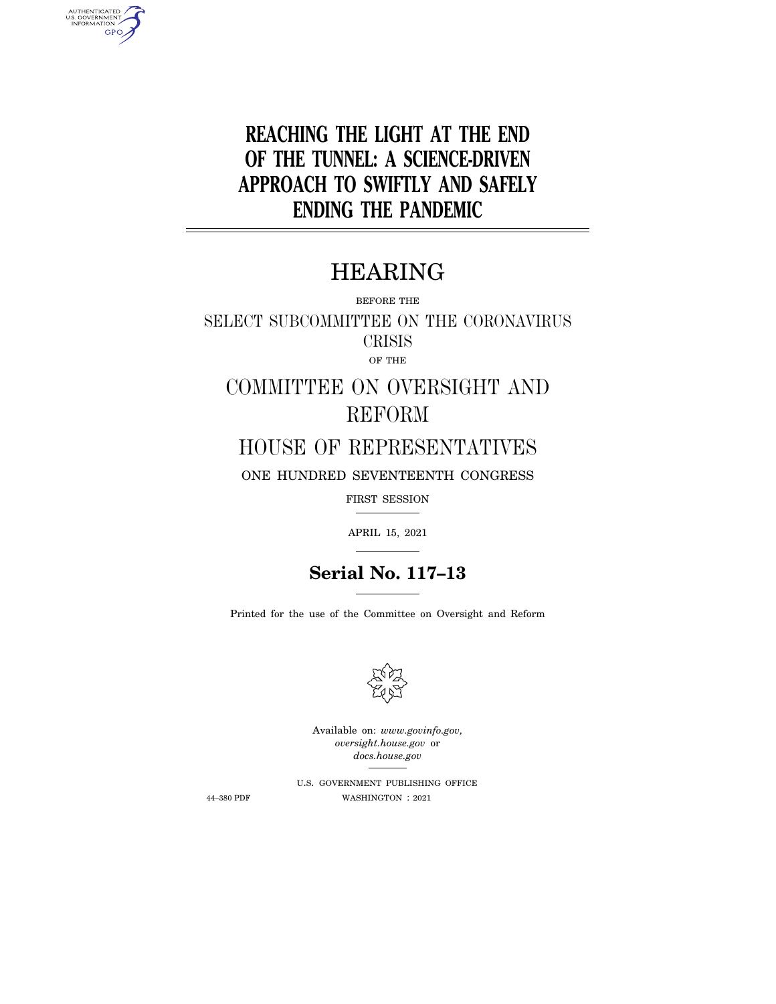**REACHING THE LIGHT AT THE END OF THE TUNNEL: A SCIENCE-DRIVEN APPROACH TO SWIFTLY AND SAFELY ENDING THE PANDEMIC** 

# HEARING

BEFORE THE

SELECT SUBCOMMITTEE ON THE CORONAVIRUS CRISIS OF THE

COMMITTEE ON OVERSIGHT AND REFORM

HOUSE OF REPRESENTATIVES

ONE HUNDRED SEVENTEENTH CONGRESS

FIRST SESSION

APRIL 15, 2021

# **Serial No. 117–13**

Printed for the use of the Committee on Oversight and Reform



Available on: *www.govinfo.gov, oversight.house.gov* or *docs.house.gov* 

U.S. GOVERNMENT PUBLISHING OFFICE 44–380 PDF WASHINGTON : 2021

AUTHENTICATED<br>U.S. GOVERNMENT<br>INFORMATION **GPO**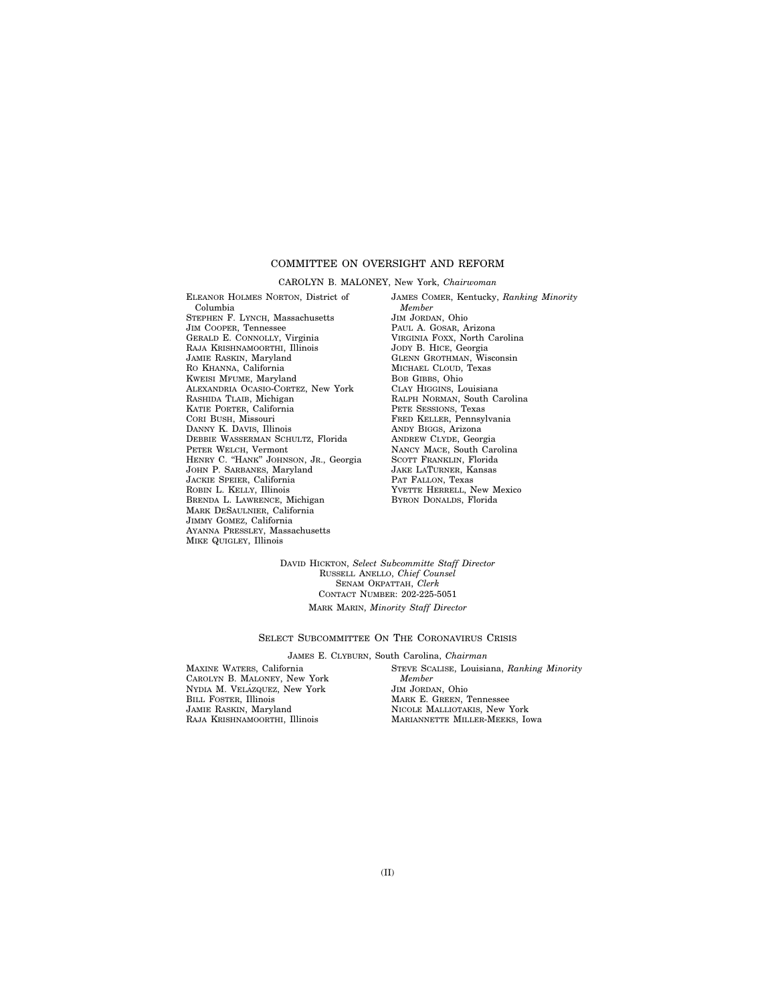# COMMITTEE ON OVERSIGHT AND REFORM

#### CAROLYN B. MALONEY, New York, *Chairwoman*

ELEANOR HOLMES NORTON, District of Columbia STEPHEN F. LYNCH, Massachusetts JIM COOPER, Tennessee GERALD E. CONNOLLY, Virginia RAJA KRISHNAMOORTHI, Illinois JAMIE RASKIN, Maryland RO KHANNA, California KWEISI MFUME, Maryland ALEXANDRIA OCASIO-CORTEZ, New York RASHIDA TLAIB, Michigan KATIE PORTER, California CORI BUSH, Missouri DANNY K. DAVIS, Illinois DEBBIE WASSERMAN SCHULTZ, Florida PETER WELCH, Vermont HENRY C. "HANK" JOHNSON, JR., Georgia JOHN P. SARBANES, Maryland JACKIE SPEIER, California ROBIN L. KELLY, Illinois BRENDA L. LAWRENCE, Michigan MARK DESAULNIER, California JIMMY GOMEZ, California AYANNA PRESSLEY, Massachusetts MIKE QUIGLEY, Illinois

JAMES COMER, Kentucky, *Ranking Minority Member*  JIM JORDAN, Ohio PAUL A. GOSAR, Arizona VIRGINIA FOXX, North Carolina JODY B. HICE, Georgia GLENN GROTHMAN, Wisconsin MICHAEL CLOUD, Texas BOB GIBBS, Ohio CLAY HIGGINS, Louisiana RALPH NORMAN, South Carolina PETE SESSIONS, Texas FRED KELLER, Pennsylvania ANDY BIGGS, Arizona ANDREW CLYDE, Georgia NANCY MACE, South Carolina SCOTT FRANKLIN, Florida JAKE LATURNER, Kansas PAT FALLON, Texas YVETTE HERRELL, New Mexico BYRON DONALDS, Florida

DAVID HICKTON, *Select Subcommitte Staff Director*  RUSSELL ANELLO, *Chief Counsel*  SENAM OKPATTAH, *Clerk*  CONTACT NUMBER: 202-225-5051 MARK MARIN, *Minority Staff Director* 

#### SELECT SUBCOMMITTEE ON THE CORONAVIRUS CRISIS

#### JAMES E. CLYBURN, South Carolina, *Chairman*

MAXINE WATERS, California CAROLYN B. MALONEY, New York NYDIA M. VELÁZQUEZ, New York BILL FOSTER, Illinois JAMIE RASKIN, Maryland RAJA KRISHNAMOORTHI, Illinois

STEVE SCALISE, Louisiana, *Ranking Minority Member*  JIM JORDAN, Ohio MARK E. GREEN, Tennessee NICOLE MALLIOTAKIS, New York MARIANNETTE MILLER-MEEKS, Iowa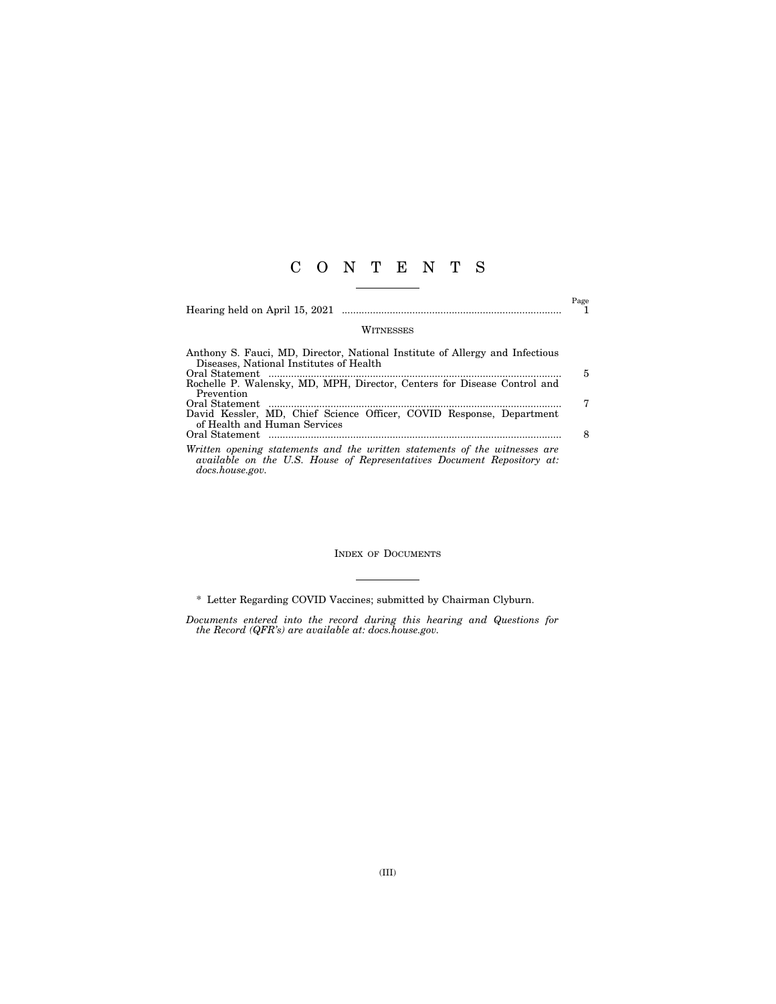# C O N T E N T S

Hearing held on April 15, 2021 .............................................................................. 1

 $\overset{\text{Page}}{1}$ 

#### WITNESSES

| Anthony S. Fauci, MD, Director, National Institute of Allergy and Infectious                                                                                            |   |
|-------------------------------------------------------------------------------------------------------------------------------------------------------------------------|---|
| Diseases, National Institutes of Health                                                                                                                                 |   |
|                                                                                                                                                                         | 5 |
| Rochelle P. Walensky, MD, MPH, Director, Centers for Disease Control and                                                                                                |   |
| Prevention                                                                                                                                                              |   |
|                                                                                                                                                                         |   |
| David Kessler, MD, Chief Science Officer, COVID Response, Department                                                                                                    |   |
| of Health and Human Services                                                                                                                                            |   |
|                                                                                                                                                                         |   |
| Written opening statements and the written statements of the witnesses are<br>available on the U.S. House of Representatives Document Repository at:<br>docs.house.gov. |   |

INDEX OF DOCUMENTS

\* Letter Regarding COVID Vaccines; submitted by Chairman Clyburn.

*Documents entered into the record during this hearing and Questions for the Record (QFR's) are available at: docs.house.gov.*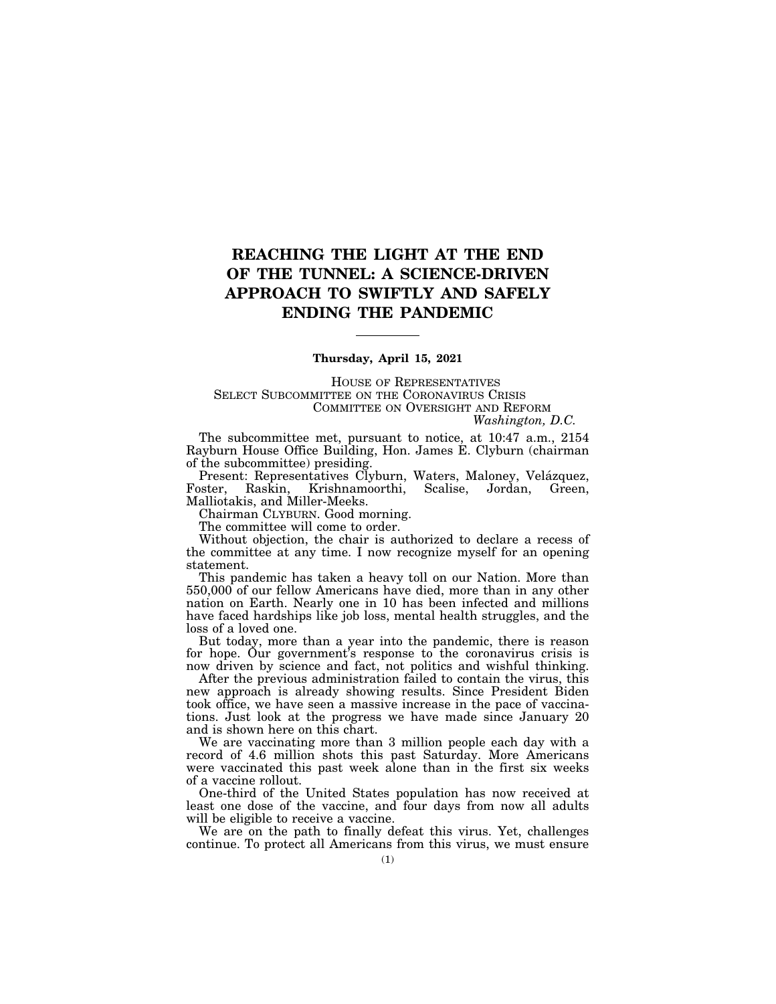# **REACHING THE LIGHT AT THE END OF THE TUNNEL: A SCIENCE-DRIVEN APPROACH TO SWIFTLY AND SAFELY ENDING THE PANDEMIC**

### **Thursday, April 15, 2021**

HOUSE OF REPRESENTATIVES SELECT SUBCOMMITTEE ON THE CORONAVIRUS CRISIS COMMITTEE ON OVERSIGHT AND REFORM

*Washington, D.C.* 

The subcommittee met, pursuant to notice, at 10:47 a.m., 2154 Rayburn House Office Building, Hon. James E. Clyburn (chairman of the subcommittee) presiding.

Present: Representatives Clyburn, Waters, Maloney, Velázquez, Foster, Raskin, Krishnamoorthi, Scalise, Jordan, Green, Malliotakis, and Miller-Meeks.

Chairman CLYBURN. Good morning.

The committee will come to order.

Without objection, the chair is authorized to declare a recess of the committee at any time. I now recognize myself for an opening statement.

This pandemic has taken a heavy toll on our Nation. More than 550,000 of our fellow Americans have died, more than in any other nation on Earth. Nearly one in 10 has been infected and millions have faced hardships like job loss, mental health struggles, and the loss of a loved one.

But today, more than a year into the pandemic, there is reason for hope. Our government's response to the coronavirus crisis is now driven by science and fact, not politics and wishful thinking.

After the previous administration failed to contain the virus, this new approach is already showing results. Since President Biden took office, we have seen a massive increase in the pace of vaccinations. Just look at the progress we have made since January 20 and is shown here on this chart.

We are vaccinating more than 3 million people each day with a record of 4.6 million shots this past Saturday. More Americans were vaccinated this past week alone than in the first six weeks of a vaccine rollout.

One-third of the United States population has now received at least one dose of the vaccine, and four days from now all adults will be eligible to receive a vaccine.

We are on the path to finally defeat this virus. Yet, challenges continue. To protect all Americans from this virus, we must ensure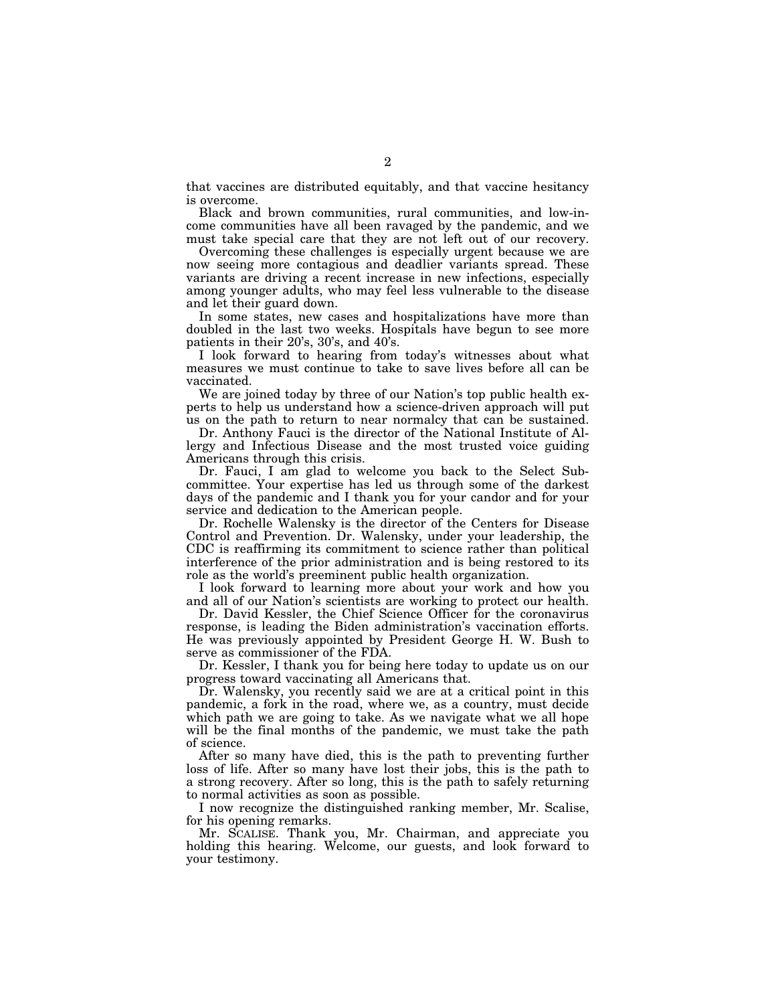that vaccines are distributed equitably, and that vaccine hesitancy is overcome.

Black and brown communities, rural communities, and low-income communities have all been ravaged by the pandemic, and we must take special care that they are not left out of our recovery.

Overcoming these challenges is especially urgent because we are now seeing more contagious and deadlier variants spread. These variants are driving a recent increase in new infections, especially among younger adults, who may feel less vulnerable to the disease and let their guard down.

In some states, new cases and hospitalizations have more than doubled in the last two weeks. Hospitals have begun to see more patients in their 20's, 30's, and 40's.

I look forward to hearing from today's witnesses about what measures we must continue to take to save lives before all can be vaccinated.

We are joined today by three of our Nation's top public health experts to help us understand how a science-driven approach will put us on the path to return to near normalcy that can be sustained.

Dr. Anthony Fauci is the director of the National Institute of Allergy and Infectious Disease and the most trusted voice guiding Americans through this crisis.

Dr. Fauci, I am glad to welcome you back to the Select Subcommittee. Your expertise has led us through some of the darkest days of the pandemic and I thank you for your candor and for your service and dedication to the American people.

Dr. Rochelle Walensky is the director of the Centers for Disease Control and Prevention. Dr. Walensky, under your leadership, the CDC is reaffirming its commitment to science rather than political interference of the prior administration and is being restored to its role as the world's preeminent public health organization.

I look forward to learning more about your work and how you and all of our Nation's scientists are working to protect our health.

Dr. David Kessler, the Chief Science Officer for the coronavirus response, is leading the Biden administration's vaccination efforts. He was previously appointed by President George H. W. Bush to serve as commissioner of the FDA.

Dr. Kessler, I thank you for being here today to update us on our progress toward vaccinating all Americans that.

Dr. Walensky, you recently said we are at a critical point in this pandemic, a fork in the road, where we, as a country, must decide which path we are going to take. As we navigate what we all hope will be the final months of the pandemic, we must take the path of science.

After so many have died, this is the path to preventing further loss of life. After so many have lost their jobs, this is the path to a strong recovery. After so long, this is the path to safely returning to normal activities as soon as possible.

I now recognize the distinguished ranking member, Mr. Scalise, for his opening remarks.

Mr. SCALISE. Thank you, Mr. Chairman, and appreciate you holding this hearing. Welcome, our guests, and look forward to your testimony.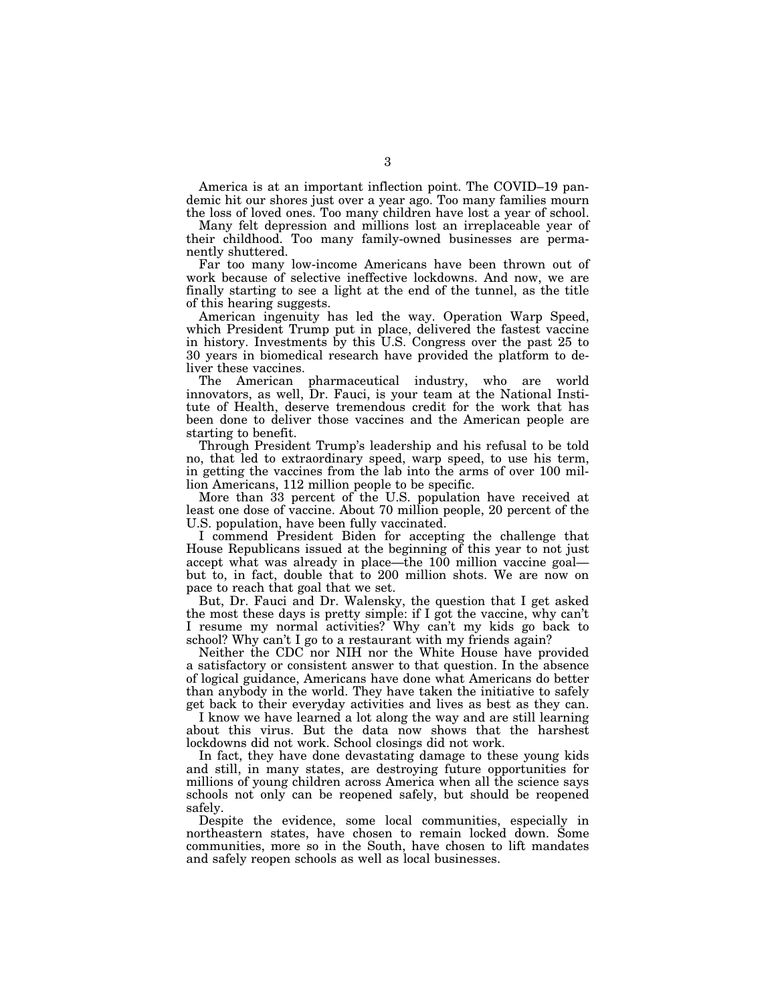America is at an important inflection point. The COVID–19 pandemic hit our shores just over a year ago. Too many families mourn the loss of loved ones. Too many children have lost a year of school.

Many felt depression and millions lost an irreplaceable year of their childhood. Too many family-owned businesses are permanently shuttered.

Far too many low-income Americans have been thrown out of work because of selective ineffective lockdowns. And now, we are finally starting to see a light at the end of the tunnel, as the title of this hearing suggests.

American ingenuity has led the way. Operation Warp Speed, which President Trump put in place, delivered the fastest vaccine in history. Investments by this U.S. Congress over the past 25 to 30 years in biomedical research have provided the platform to deliver these vaccines.

The American pharmaceutical industry, who are world innovators, as well, Dr. Fauci, is your team at the National Institute of Health, deserve tremendous credit for the work that has been done to deliver those vaccines and the American people are starting to benefit.

Through President Trump's leadership and his refusal to be told no, that led to extraordinary speed, warp speed, to use his term, in getting the vaccines from the lab into the arms of over 100 million Americans, 112 million people to be specific.

More than 33 percent of the U.S. population have received at least one dose of vaccine. About 70 million people, 20 percent of the U.S. population, have been fully vaccinated.

I commend President Biden for accepting the challenge that House Republicans issued at the beginning of this year to not just accept what was already in place—the 100 million vaccine goal but to, in fact, double that to 200 million shots. We are now on pace to reach that goal that we set.

But, Dr. Fauci and Dr. Walensky, the question that I get asked the most these days is pretty simple: if I got the vaccine, why can't I resume my normal activities? Why can't my kids go back to school? Why can't I go to a restaurant with my friends again?

Neither the CDC nor NIH nor the White House have provided a satisfactory or consistent answer to that question. In the absence of logical guidance, Americans have done what Americans do better than anybody in the world. They have taken the initiative to safely get back to their everyday activities and lives as best as they can.

I know we have learned a lot along the way and are still learning about this virus. But the data now shows that the harshest lockdowns did not work. School closings did not work.

In fact, they have done devastating damage to these young kids and still, in many states, are destroying future opportunities for millions of young children across America when all the science says schools not only can be reopened safely, but should be reopened safely.

Despite the evidence, some local communities, especially in northeastern states, have chosen to remain locked down. Some communities, more so in the South, have chosen to lift mandates and safely reopen schools as well as local businesses.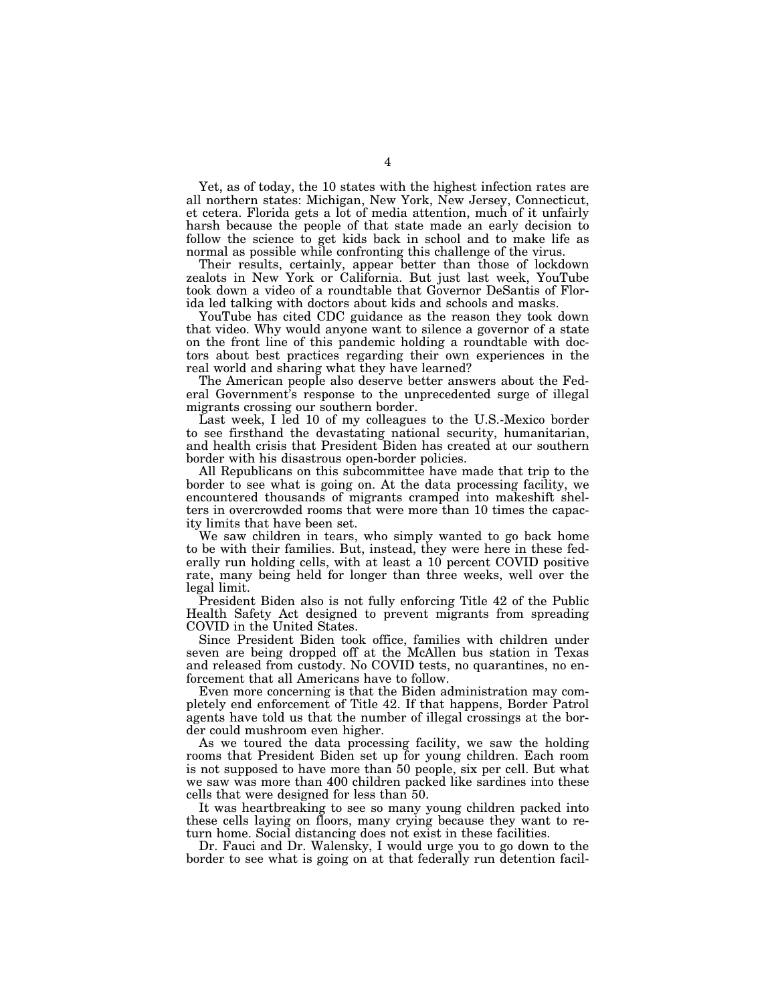Yet, as of today, the 10 states with the highest infection rates are all northern states: Michigan, New York, New Jersey, Connecticut, et cetera. Florida gets a lot of media attention, much of it unfairly harsh because the people of that state made an early decision to follow the science to get kids back in school and to make life as normal as possible while confronting this challenge of the virus.

Their results, certainly, appear better than those of lockdown zealots in New York or California. But just last week, YouTube took down a video of a roundtable that Governor DeSantis of Florida led talking with doctors about kids and schools and masks.

YouTube has cited CDC guidance as the reason they took down that video. Why would anyone want to silence a governor of a state on the front line of this pandemic holding a roundtable with doctors about best practices regarding their own experiences in the real world and sharing what they have learned?

The American people also deserve better answers about the Federal Government's response to the unprecedented surge of illegal migrants crossing our southern border.

Last week, I led 10 of my colleagues to the U.S.-Mexico border to see firsthand the devastating national security, humanitarian, and health crisis that President Biden has created at our southern border with his disastrous open-border policies.

All Republicans on this subcommittee have made that trip to the border to see what is going on. At the data processing facility, we encountered thousands of migrants cramped into makeshift shelters in overcrowded rooms that were more than 10 times the capacity limits that have been set.

We saw children in tears, who simply wanted to go back home to be with their families. But, instead, they were here in these federally run holding cells, with at least a 10 percent COVID positive rate, many being held for longer than three weeks, well over the legal limit.

President Biden also is not fully enforcing Title 42 of the Public Health Safety Act designed to prevent migrants from spreading COVID in the United States.

Since President Biden took office, families with children under seven are being dropped off at the McAllen bus station in Texas and released from custody. No COVID tests, no quarantines, no enforcement that all Americans have to follow.

Even more concerning is that the Biden administration may completely end enforcement of Title 42. If that happens, Border Patrol agents have told us that the number of illegal crossings at the border could mushroom even higher.

As we toured the data processing facility, we saw the holding rooms that President Biden set up for young children. Each room is not supposed to have more than 50 people, six per cell. But what we saw was more than 400 children packed like sardines into these cells that were designed for less than 50.

It was heartbreaking to see so many young children packed into these cells laying on floors, many crying because they want to return home. Social distancing does not exist in these facilities.

Dr. Fauci and Dr. Walensky, I would urge you to go down to the border to see what is going on at that federally run detention facil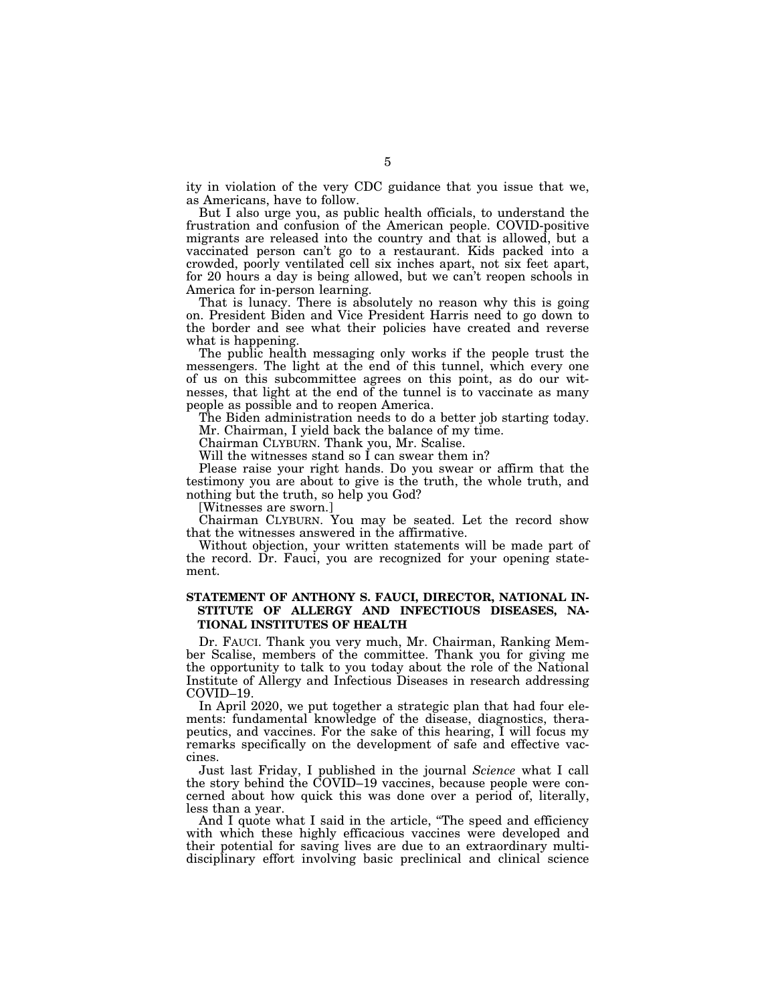ity in violation of the very CDC guidance that you issue that we, as Americans, have to follow.

But I also urge you, as public health officials, to understand the frustration and confusion of the American people. COVID-positive migrants are released into the country and that is allowed, but a vaccinated person can't go to a restaurant. Kids packed into a crowded, poorly ventilated cell six inches apart, not six feet apart, for 20 hours a day is being allowed, but we can't reopen schools in America for in-person learning.

That is lunacy. There is absolutely no reason why this is going on. President Biden and Vice President Harris need to go down to the border and see what their policies have created and reverse what is happening.

The public health messaging only works if the people trust the messengers. The light at the end of this tunnel, which every one of us on this subcommittee agrees on this point, as do our witnesses, that light at the end of the tunnel is to vaccinate as many people as possible and to reopen America.

The Biden administration needs to do a better job starting today. Mr. Chairman, I yield back the balance of my time.

Chairman CLYBURN. Thank you, Mr. Scalise.

Will the witnesses stand so I can swear them in?

Please raise your right hands. Do you swear or affirm that the testimony you are about to give is the truth, the whole truth, and nothing but the truth, so help you God?

[Witnesses are sworn.]

Chairman CLYBURN. You may be seated. Let the record show that the witnesses answered in the affirmative.

Without objection, your written statements will be made part of the record. Dr. Fauci, you are recognized for your opening statement.

## **STATEMENT OF ANTHONY S. FAUCI, DIRECTOR, NATIONAL IN-STITUTE OF ALLERGY AND INFECTIOUS DISEASES, NA-TIONAL INSTITUTES OF HEALTH**

Dr. FAUCI. Thank you very much, Mr. Chairman, Ranking Member Scalise, members of the committee. Thank you for giving me the opportunity to talk to you today about the role of the National Institute of Allergy and Infectious Diseases in research addressing COVID–19.

In April 2020, we put together a strategic plan that had four elements: fundamental knowledge of the disease, diagnostics, therapeutics, and vaccines. For the sake of this hearing, I will focus my remarks specifically on the development of safe and effective vaccines.

Just last Friday, I published in the journal *Science* what I call the story behind the COVID–19 vaccines, because people were concerned about how quick this was done over a period of, literally, less than a year.

And I quote what I said in the article, "The speed and efficiency with which these highly efficacious vaccines were developed and their potential for saving lives are due to an extraordinary multidisciplinary effort involving basic preclinical and clinical science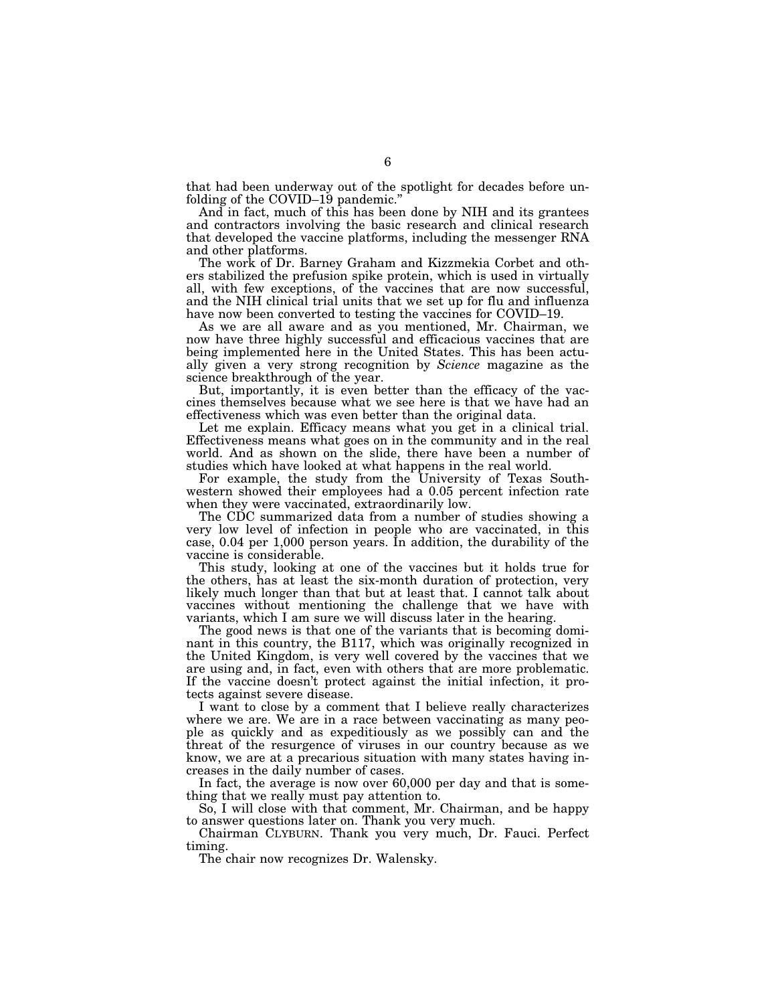that had been underway out of the spotlight for decades before unfolding of the COVID–19 pandemic.'

And in fact, much of this has been done by NIH and its grantees and contractors involving the basic research and clinical research that developed the vaccine platforms, including the messenger RNA and other platforms.

The work of Dr. Barney Graham and Kizzmekia Corbet and others stabilized the prefusion spike protein, which is used in virtually all, with few exceptions, of the vaccines that are now successful, and the NIH clinical trial units that we set up for flu and influenza have now been converted to testing the vaccines for COVID–19.

As we are all aware and as you mentioned, Mr. Chairman, we now have three highly successful and efficacious vaccines that are being implemented here in the United States. This has been actually given a very strong recognition by *Science* magazine as the science breakthrough of the year.

But, importantly, it is even better than the efficacy of the vaccines themselves because what we see here is that we have had an effectiveness which was even better than the original data.

Let me explain. Efficacy means what you get in a clinical trial. Effectiveness means what goes on in the community and in the real world. And as shown on the slide, there have been a number of studies which have looked at what happens in the real world.

For example, the study from the University of Texas Southwestern showed their employees had a 0.05 percent infection rate when they were vaccinated, extraordinarily low.

The CDC summarized data from a number of studies showing a very low level of infection in people who are vaccinated, in this case, 0.04 per 1,000 person years. In addition, the durability of the vaccine is considerable.

This study, looking at one of the vaccines but it holds true for the others, has at least the six-month duration of protection, very likely much longer than that but at least that. I cannot talk about vaccines without mentioning the challenge that we have with variants, which I am sure we will discuss later in the hearing.

The good news is that one of the variants that is becoming dominant in this country, the B117, which was originally recognized in the United Kingdom, is very well covered by the vaccines that we are using and, in fact, even with others that are more problematic. If the vaccine doesn't protect against the initial infection, it protects against severe disease.

I want to close by a comment that I believe really characterizes where we are. We are in a race between vaccinating as many people as quickly and as expeditiously as we possibly can and the threat of the resurgence of viruses in our country because as we know, we are at a precarious situation with many states having increases in the daily number of cases.

In fact, the average is now over 60,000 per day and that is something that we really must pay attention to.

So, I will close with that comment, Mr. Chairman, and be happy to answer questions later on. Thank you very much.

Chairman CLYBURN. Thank you very much, Dr. Fauci. Perfect timing.

The chair now recognizes Dr. Walensky.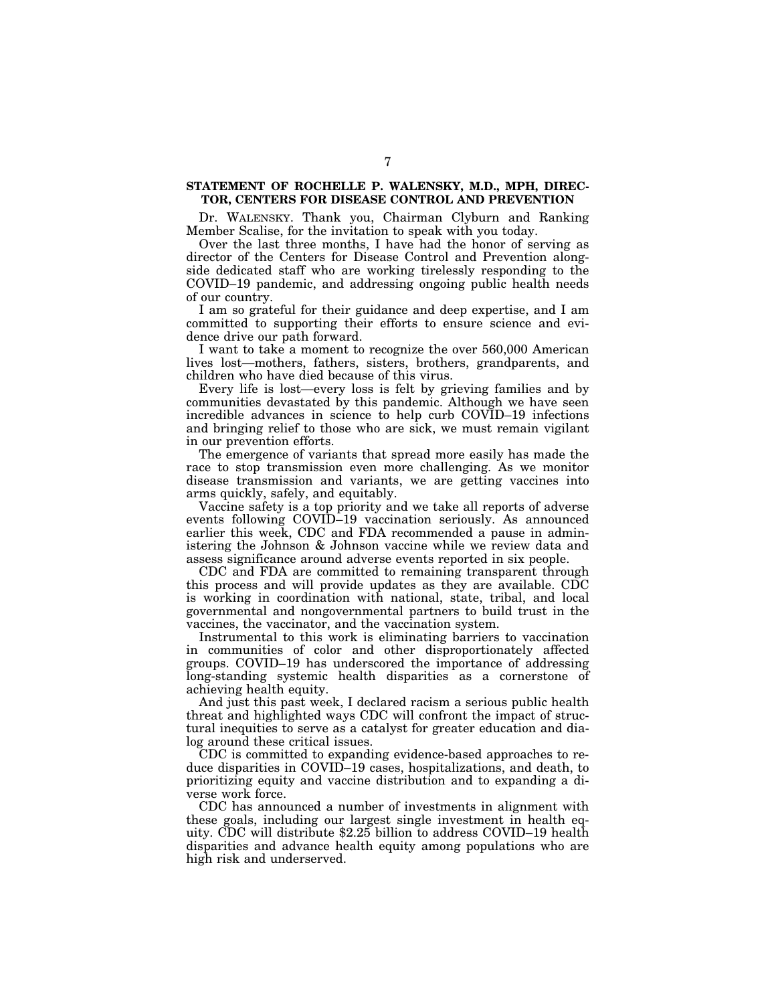## **STATEMENT OF ROCHELLE P. WALENSKY, M.D., MPH, DIREC-TOR, CENTERS FOR DISEASE CONTROL AND PREVENTION**

Dr. WALENSKY. Thank you, Chairman Clyburn and Ranking Member Scalise, for the invitation to speak with you today.

Over the last three months, I have had the honor of serving as director of the Centers for Disease Control and Prevention alongside dedicated staff who are working tirelessly responding to the COVID–19 pandemic, and addressing ongoing public health needs of our country.

I am so grateful for their guidance and deep expertise, and I am committed to supporting their efforts to ensure science and evidence drive our path forward.

I want to take a moment to recognize the over 560,000 American lives lost—mothers, fathers, sisters, brothers, grandparents, and children who have died because of this virus.

Every life is lost—every loss is felt by grieving families and by communities devastated by this pandemic. Although we have seen incredible advances in science to help curb COVID–19 infections and bringing relief to those who are sick, we must remain vigilant in our prevention efforts.

The emergence of variants that spread more easily has made the race to stop transmission even more challenging. As we monitor disease transmission and variants, we are getting vaccines into arms quickly, safely, and equitably.

Vaccine safety is a top priority and we take all reports of adverse events following COVID–19 vaccination seriously. As announced earlier this week, CDC and FDA recommended a pause in administering the Johnson & Johnson vaccine while we review data and assess significance around adverse events reported in six people.

CDC and FDA are committed to remaining transparent through this process and will provide updates as they are available. CDC is working in coordination with national, state, tribal, and local governmental and nongovernmental partners to build trust in the vaccines, the vaccinator, and the vaccination system.

Instrumental to this work is eliminating barriers to vaccination in communities of color and other disproportionately affected groups. COVID–19 has underscored the importance of addressing long-standing systemic health disparities as a cornerstone of achieving health equity.

And just this past week, I declared racism a serious public health threat and highlighted ways CDC will confront the impact of structural inequities to serve as a catalyst for greater education and dialog around these critical issues.

CDC is committed to expanding evidence-based approaches to reduce disparities in COVID–19 cases, hospitalizations, and death, to prioritizing equity and vaccine distribution and to expanding a diverse work force.

CDC has announced a number of investments in alignment with these goals, including our largest single investment in health equity. CDC will distribute \$2.25 billion to address COVID–19 health disparities and advance health equity among populations who are high risk and underserved.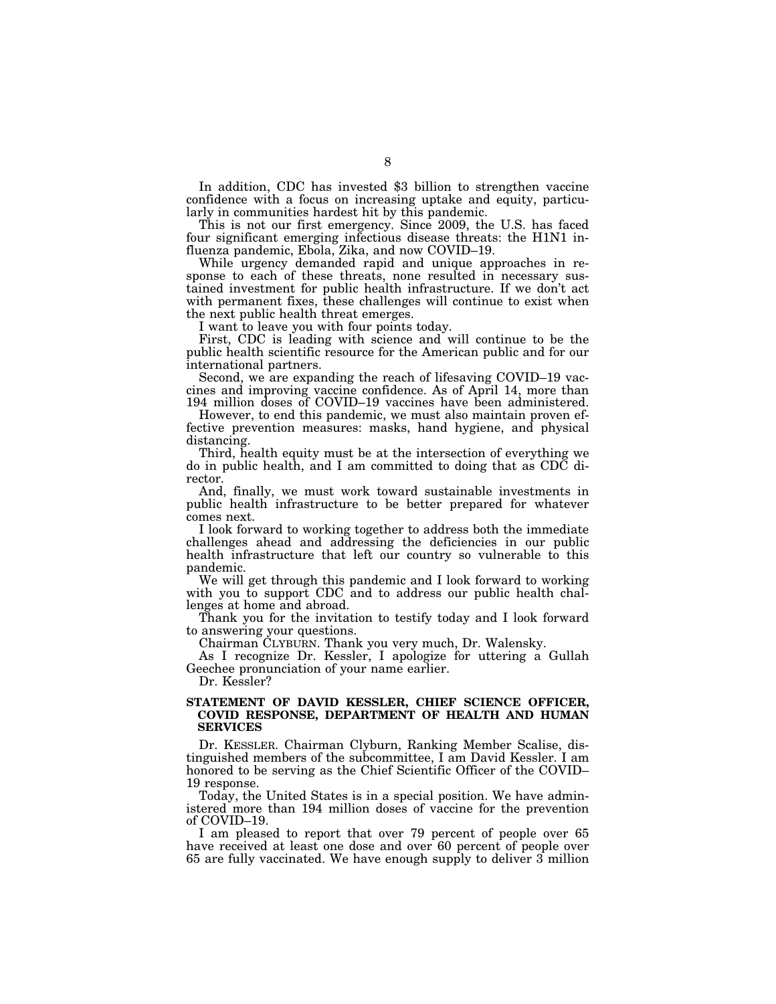In addition, CDC has invested \$3 billion to strengthen vaccine confidence with a focus on increasing uptake and equity, particularly in communities hardest hit by this pandemic.

This is not our first emergency. Since 2009, the U.S. has faced four significant emerging infectious disease threats: the H1N1 influenza pandemic, Ebola, Zika, and now COVID–19.

While urgency demanded rapid and unique approaches in response to each of these threats, none resulted in necessary sustained investment for public health infrastructure. If we don't act with permanent fixes, these challenges will continue to exist when the next public health threat emerges.

I want to leave you with four points today.

First, CDC is leading with science and will continue to be the public health scientific resource for the American public and for our international partners.

Second, we are expanding the reach of lifesaving COVID–19 vaccines and improving vaccine confidence. As of April 14, more than 194 million doses of COVID–19 vaccines have been administered.

However, to end this pandemic, we must also maintain proven effective prevention measures: masks, hand hygiene, and physical distancing.

Third, health equity must be at the intersection of everything we do in public health, and I am committed to doing that as CDC director.

And, finally, we must work toward sustainable investments in public health infrastructure to be better prepared for whatever comes next.

I look forward to working together to address both the immediate challenges ahead and addressing the deficiencies in our public health infrastructure that left our country so vulnerable to this pandemic.

We will get through this pandemic and I look forward to working with you to support CDC and to address our public health challenges at home and abroad.

Thank you for the invitation to testify today and I look forward to answering your questions.

Chairman CLYBURN. Thank you very much, Dr. Walensky.

As I recognize Dr. Kessler, I apologize for uttering a Gullah Geechee pronunciation of your name earlier.

Dr. Kessler?

### **STATEMENT OF DAVID KESSLER, CHIEF SCIENCE OFFICER, COVID RESPONSE, DEPARTMENT OF HEALTH AND HUMAN SERVICES**

Dr. KESSLER. Chairman Clyburn, Ranking Member Scalise, distinguished members of the subcommittee, I am David Kessler. I am honored to be serving as the Chief Scientific Officer of the COVID– 19 response.

Today, the United States is in a special position. We have administered more than 194 million doses of vaccine for the prevention of COVID–19.

I am pleased to report that over 79 percent of people over 65 have received at least one dose and over 60 percent of people over 65 are fully vaccinated. We have enough supply to deliver 3 million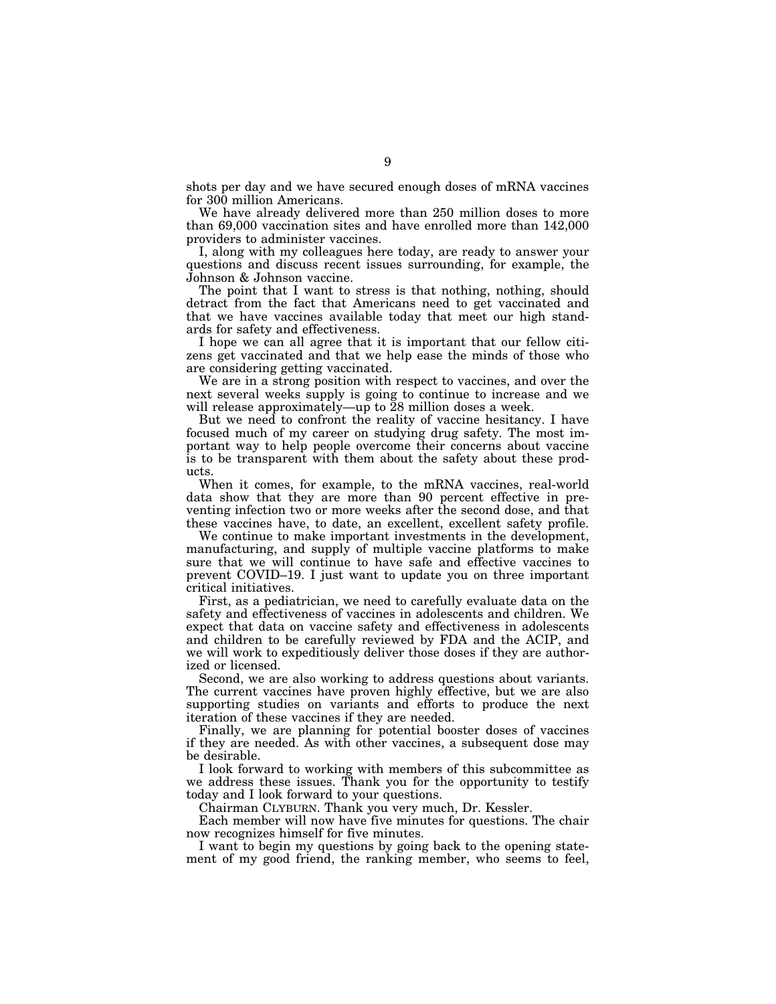shots per day and we have secured enough doses of mRNA vaccines for 300 million Americans.

We have already delivered more than 250 million doses to more than 69,000 vaccination sites and have enrolled more than 142,000 providers to administer vaccines.

I, along with my colleagues here today, are ready to answer your questions and discuss recent issues surrounding, for example, the Johnson & Johnson vaccine.

The point that I want to stress is that nothing, nothing, should detract from the fact that Americans need to get vaccinated and that we have vaccines available today that meet our high standards for safety and effectiveness.

I hope we can all agree that it is important that our fellow citizens get vaccinated and that we help ease the minds of those who are considering getting vaccinated.

We are in a strong position with respect to vaccines, and over the next several weeks supply is going to continue to increase and we will release approximately—up to 28 million doses a week.

But we need to confront the reality of vaccine hesitancy. I have focused much of my career on studying drug safety. The most important way to help people overcome their concerns about vaccine is to be transparent with them about the safety about these products.

When it comes, for example, to the mRNA vaccines, real-world data show that they are more than 90 percent effective in preventing infection two or more weeks after the second dose, and that these vaccines have, to date, an excellent, excellent safety profile.

We continue to make important investments in the development, manufacturing, and supply of multiple vaccine platforms to make sure that we will continue to have safe and effective vaccines to prevent COVID–19. I just want to update you on three important critical initiatives.

First, as a pediatrician, we need to carefully evaluate data on the safety and effectiveness of vaccines in adolescents and children. We expect that data on vaccine safety and effectiveness in adolescents and children to be carefully reviewed by FDA and the ACIP, and we will work to expeditiously deliver those doses if they are authorized or licensed.

Second, we are also working to address questions about variants. The current vaccines have proven highly effective, but we are also supporting studies on variants and efforts to produce the next iteration of these vaccines if they are needed.

Finally, we are planning for potential booster doses of vaccines if they are needed. As with other vaccines, a subsequent dose may be desirable.

I look forward to working with members of this subcommittee as we address these issues. Thank you for the opportunity to testify today and I look forward to your questions.

Chairman CLYBURN. Thank you very much, Dr. Kessler.

Each member will now have five minutes for questions. The chair now recognizes himself for five minutes.

I want to begin my questions by going back to the opening statement of my good friend, the ranking member, who seems to feel,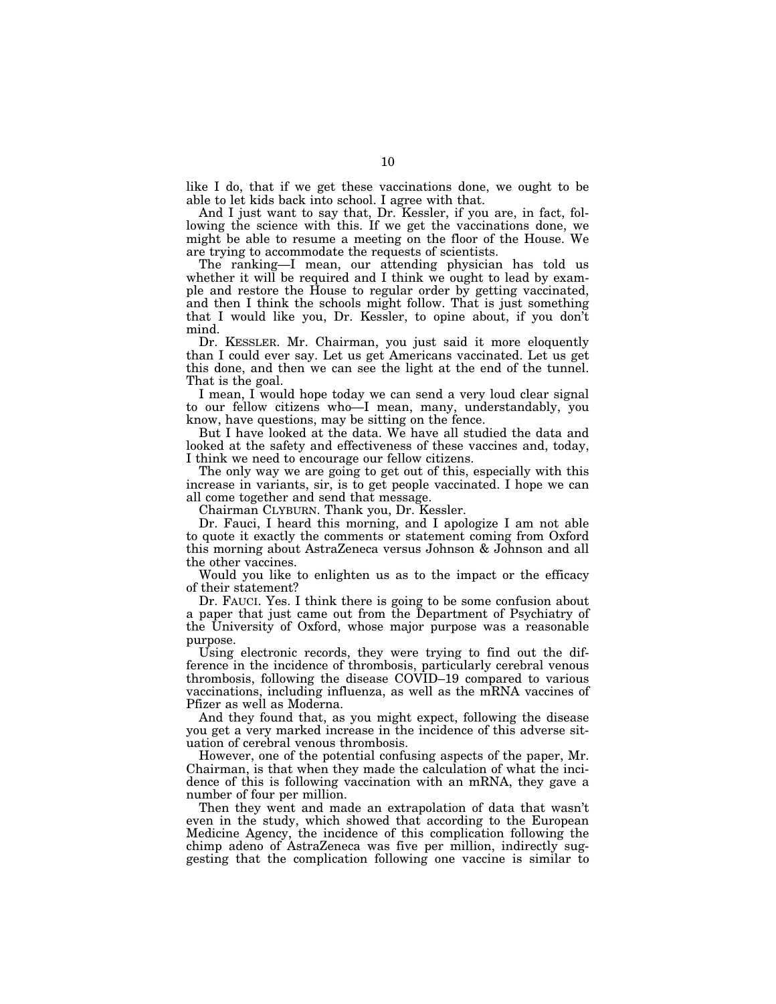like I do, that if we get these vaccinations done, we ought to be able to let kids back into school. I agree with that.

And I just want to say that, Dr. Kessler, if you are, in fact, following the science with this. If we get the vaccinations done, we might be able to resume a meeting on the floor of the House. We are trying to accommodate the requests of scientists.

The ranking—I mean, our attending physician has told us whether it will be required and I think we ought to lead by example and restore the House to regular order by getting vaccinated, and then I think the schools might follow. That is just something that I would like you, Dr. Kessler, to opine about, if you don't mind.

Dr. KESSLER. Mr. Chairman, you just said it more eloquently than I could ever say. Let us get Americans vaccinated. Let us get this done, and then we can see the light at the end of the tunnel. That is the goal.

I mean, I would hope today we can send a very loud clear signal to our fellow citizens who—I mean, many, understandably, you know, have questions, may be sitting on the fence.

But I have looked at the data. We have all studied the data and looked at the safety and effectiveness of these vaccines and, today, I think we need to encourage our fellow citizens.

The only way we are going to get out of this, especially with this increase in variants, sir, is to get people vaccinated. I hope we can all come together and send that message.

Chairman CLYBURN. Thank you, Dr. Kessler.

Dr. Fauci, I heard this morning, and I apologize I am not able to quote it exactly the comments or statement coming from Oxford this morning about AstraZeneca versus Johnson & Johnson and all the other vaccines.

Would you like to enlighten us as to the impact or the efficacy of their statement?

Dr. FAUCI. Yes. I think there is going to be some confusion about a paper that just came out from the Department of Psychiatry of the University of Oxford, whose major purpose was a reasonable purpose.

Using electronic records, they were trying to find out the difference in the incidence of thrombosis, particularly cerebral venous thrombosis, following the disease COVID–19 compared to various vaccinations, including influenza, as well as the mRNA vaccines of Pfizer as well as Moderna.

And they found that, as you might expect, following the disease you get a very marked increase in the incidence of this adverse situation of cerebral venous thrombosis.

However, one of the potential confusing aspects of the paper, Mr. Chairman, is that when they made the calculation of what the incidence of this is following vaccination with an mRNA, they gave a number of four per million.

Then they went and made an extrapolation of data that wasn't even in the study, which showed that according to the European Medicine Agency, the incidence of this complication following the chimp adeno of AstraZeneca was five per million, indirectly suggesting that the complication following one vaccine is similar to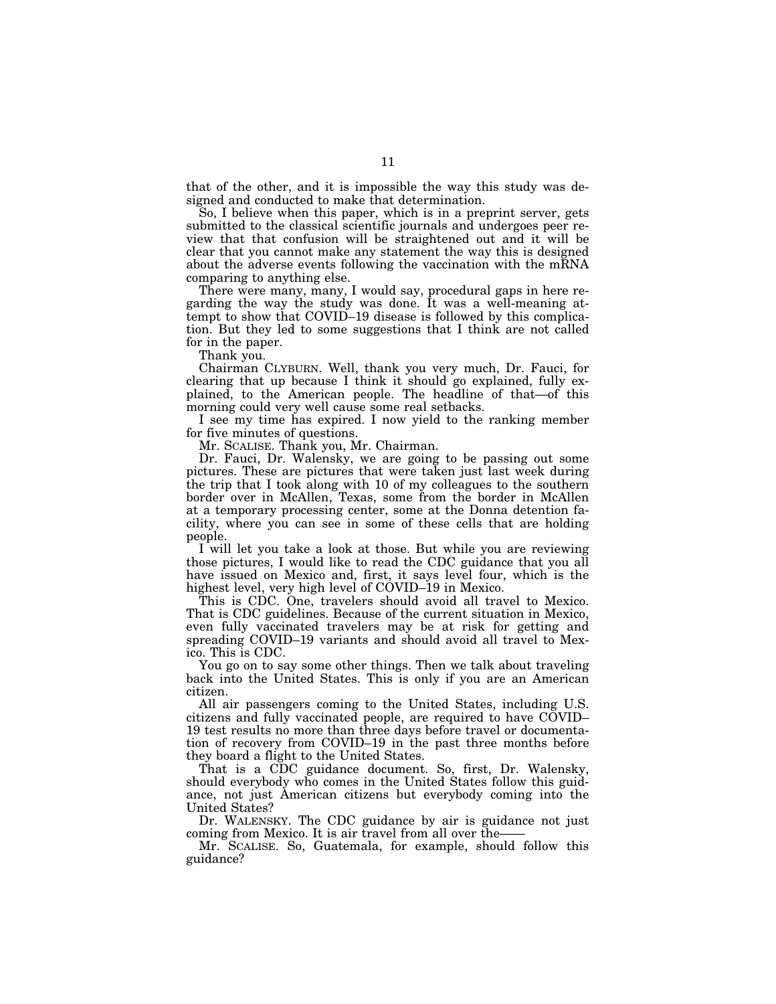that of the other, and it is impossible the way this study was designed and conducted to make that determination.

So, I believe when this paper, which is in a preprint server, gets submitted to the classical scientific journals and undergoes peer review that that confusion will be straightened out and it will be clear that you cannot make any statement the way this is designed about the adverse events following the vaccination with the mRNA comparing to anything else.

There were many, many, I would say, procedural gaps in here regarding the way the study was done. It was a well-meaning attempt to show that COVID–19 disease is followed by this complication. But they led to some suggestions that I think are not called for in the paper.

Thank you.

Chairman CLYBURN. Well, thank you very much, Dr. Fauci, for clearing that up because I think it should go explained, fully explained, to the American people. The headline of that—of this morning could very well cause some real setbacks.

I see my time has expired. I now yield to the ranking member for five minutes of questions.

Mr. SCALISE. Thank you, Mr. Chairman.

Dr. Fauci, Dr. Walensky, we are going to be passing out some pictures. These are pictures that were taken just last week during the trip that I took along with 10 of my colleagues to the southern border over in McAllen, Texas, some from the border in McAllen at a temporary processing center, some at the Donna detention facility, where you can see in some of these cells that are holding people.

I will let you take a look at those. But while you are reviewing those pictures, I would like to read the CDC guidance that you all have issued on Mexico and, first, it says level four, which is the highest level, very high level of COVID–19 in Mexico.

This is CDC. One, travelers should avoid all travel to Mexico. That is CDC guidelines. Because of the current situation in Mexico, even fully vaccinated travelers may be at risk for getting and spreading COVID–19 variants and should avoid all travel to Mexico. This is CDC.

You go on to say some other things. Then we talk about traveling back into the United States. This is only if you are an American citizen.

All air passengers coming to the United States, including U.S. citizens and fully vaccinated people, are required to have COVID– 19 test results no more than three days before travel or documentation of recovery from COVID–19 in the past three months before they board a flight to the United States.

That is a CDC guidance document. So, first, Dr. Walensky, should everybody who comes in the United States follow this guidance, not just American citizens but everybody coming into the United States?

Dr. WALENSKY. The CDC guidance by air is guidance not just coming from Mexico. It is air travel from all over the-

Mr. SCALISE. So, Guatemala, for example, should follow this guidance?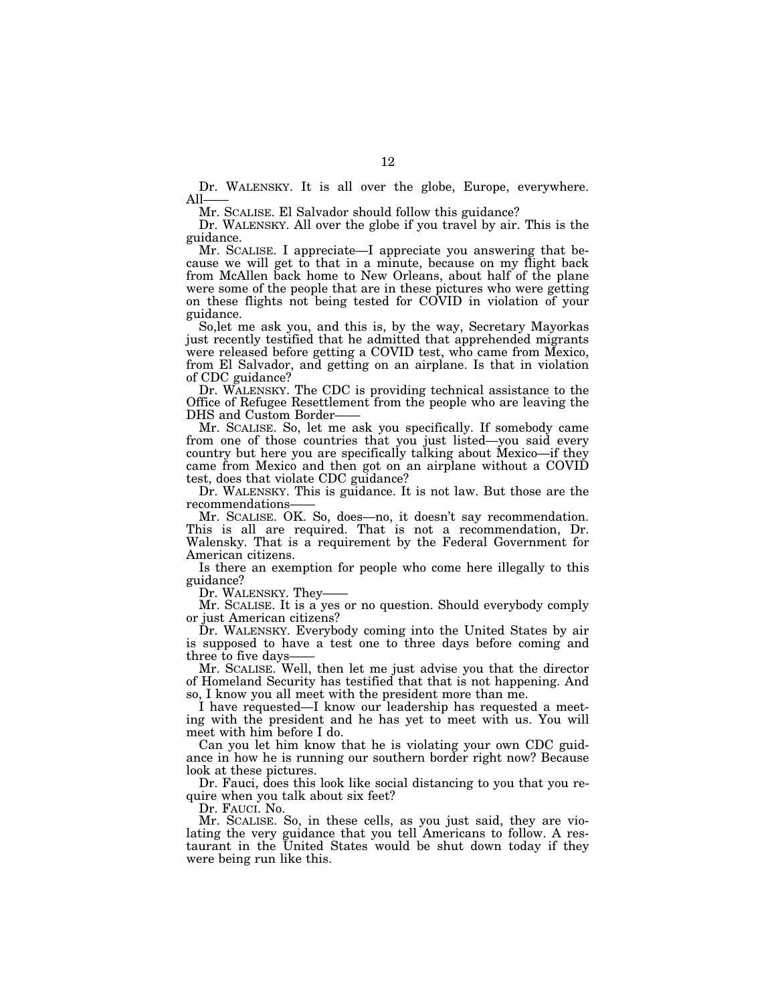Dr. WALENSKY. It is all over the globe, Europe, everywhere. All

Mr. SCALISE. El Salvador should follow this guidance?

Dr. WALENSKY. All over the globe if you travel by air. This is the guidance.

Mr. SCALISE. I appreciate—I appreciate you answering that because we will get to that in a minute, because on my flight back from McAllen back home to New Orleans, about half of the plane were some of the people that are in these pictures who were getting on these flights not being tested for COVID in violation of your guidance.

So,let me ask you, and this is, by the way, Secretary Mayorkas just recently testified that he admitted that apprehended migrants were released before getting a COVID test, who came from Mexico, from El Salvador, and getting on an airplane. Is that in violation of CDC guidance?

Dr. WALENSKY. The CDC is providing technical assistance to the Office of Refugee Resettlement from the people who are leaving the DHS and Custom Border-

Mr. SCALISE. So, let me ask you specifically. If somebody came from one of those countries that you just listed—you said every country but here you are specifically talking about Mexico—if they came from Mexico and then got on an airplane without a COVID test, does that violate CDC guidance?

Dr. WALENSKY. This is guidance. It is not law. But those are the recommendations——

Mr. SCALISE. OK. So, does—no, it doesn't say recommendation. This is all are required. That is not a recommendation, Dr. Walensky. That is a requirement by the Federal Government for American citizens.

Is there an exemption for people who come here illegally to this guidance?

Dr. WALENSKY. They-

Mr. SCALISE. It is a yes or no question. Should everybody comply or just American citizens?

Dr. WALENSKY. Everybody coming into the United States by air is supposed to have a test one to three days before coming and three to five days-

Mr. SCALISE. Well, then let me just advise you that the director of Homeland Security has testified that that is not happening. And so, I know you all meet with the president more than me.

I have requested—I know our leadership has requested a meeting with the president and he has yet to meet with us. You will meet with him before I do.

Can you let him know that he is violating your own CDC guidance in how he is running our southern border right now? Because look at these pictures.

Dr. Fauci, does this look like social distancing to you that you require when you talk about six feet?

Dr. FAUCI. No.

Mr. SCALISE. So, in these cells, as you just said, they are violating the very guidance that you tell Americans to follow. A restaurant in the United States would be shut down today if they were being run like this.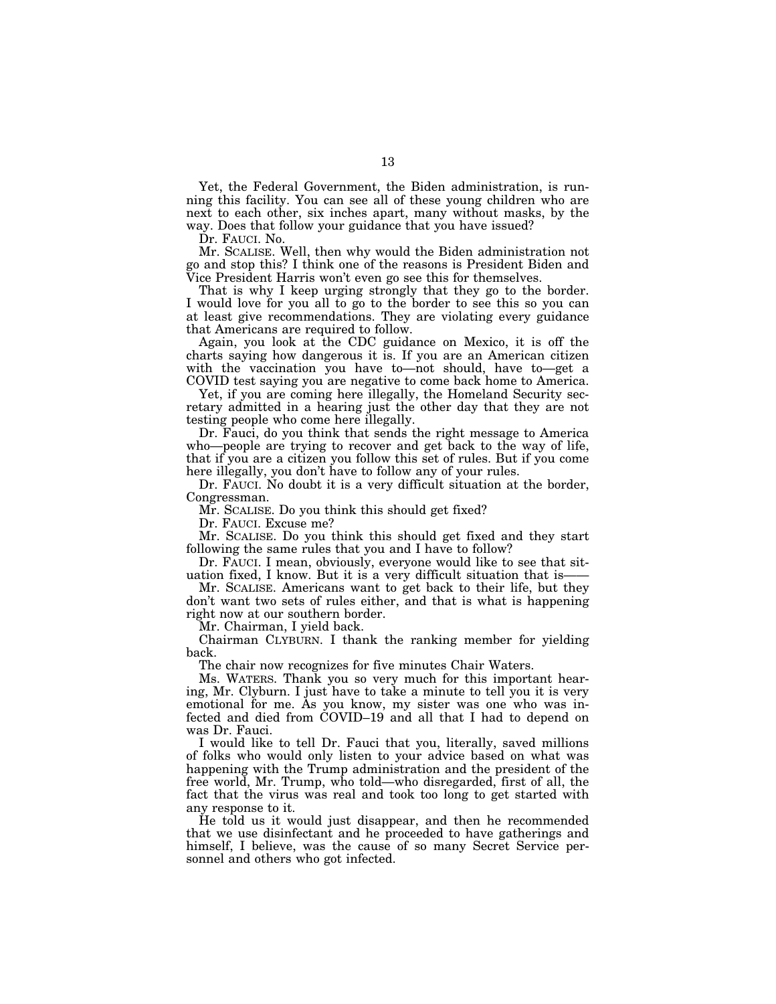Yet, the Federal Government, the Biden administration, is running this facility. You can see all of these young children who are next to each other, six inches apart, many without masks, by the way. Does that follow your guidance that you have issued?

Dr. FAUCI. No.

Mr. SCALISE. Well, then why would the Biden administration not go and stop this? I think one of the reasons is President Biden and Vice President Harris won't even go see this for themselves.

That is why I keep urging strongly that they go to the border. I would love for you all to go to the border to see this so you can at least give recommendations. They are violating every guidance that Americans are required to follow.

Again, you look at the CDC guidance on Mexico, it is off the charts saying how dangerous it is. If you are an American citizen with the vaccination you have to—not should, have to—get a COVID test saying you are negative to come back home to America.

Yet, if you are coming here illegally, the Homeland Security secretary admitted in a hearing just the other day that they are not testing people who come here illegally.

Dr. Fauci, do you think that sends the right message to America who—people are trying to recover and get back to the way of life, that if you are a citizen you follow this set of rules. But if you come here illegally, you don't have to follow any of your rules.

Dr. FAUCI. No doubt it is a very difficult situation at the border, Congressman.

Mr. SCALISE. Do you think this should get fixed?

Dr. FAUCI. Excuse me?

Mr. SCALISE. Do you think this should get fixed and they start following the same rules that you and I have to follow?

Dr. FAUCI. I mean, obviously, everyone would like to see that situation fixed, I know. But it is a very difficult situation that is——

Mr. SCALISE. Americans want to get back to their life, but they don't want two sets of rules either, and that is what is happening right now at our southern border.

Mr. Chairman, I yield back.

Chairman CLYBURN. I thank the ranking member for yielding back.

The chair now recognizes for five minutes Chair Waters.

Ms. WATERS. Thank you so very much for this important hearing, Mr. Clyburn. I just have to take a minute to tell you it is very emotional for me. As you know, my sister was one who was infected and died from COVID–19 and all that I had to depend on was Dr. Fauci.

I would like to tell Dr. Fauci that you, literally, saved millions of folks who would only listen to your advice based on what was happening with the Trump administration and the president of the free world, Mr. Trump, who told—who disregarded, first of all, the fact that the virus was real and took too long to get started with any response to it.

He told us it would just disappear, and then he recommended that we use disinfectant and he proceeded to have gatherings and himself, I believe, was the cause of so many Secret Service personnel and others who got infected.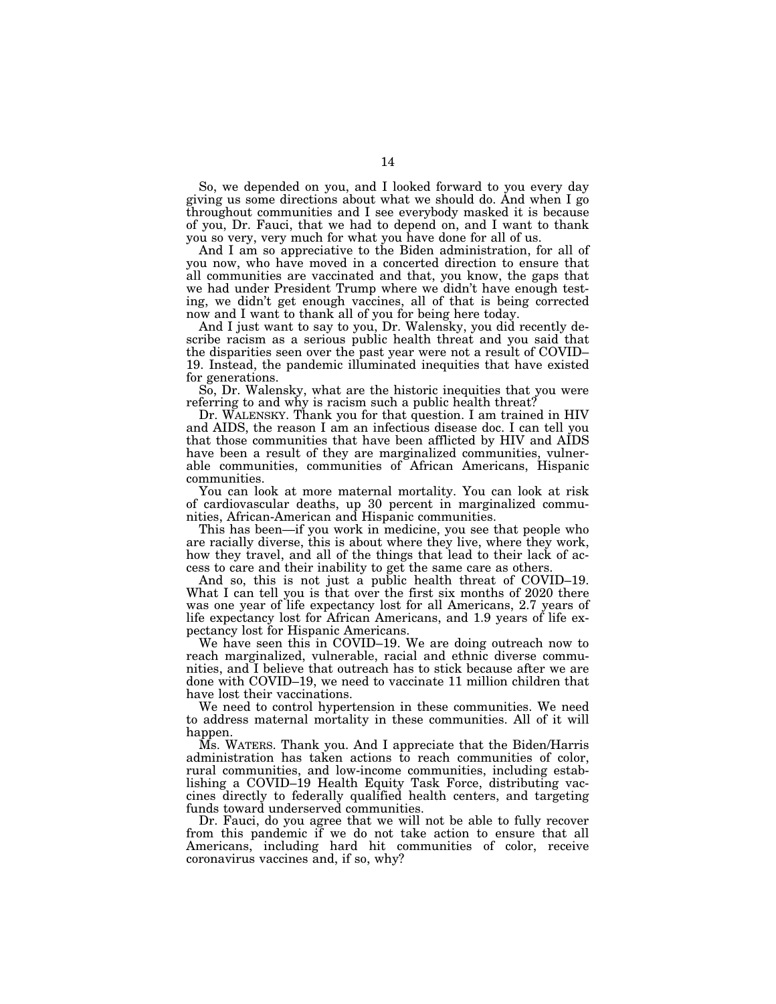So, we depended on you, and I looked forward to you every day giving us some directions about what we should do. And when I go throughout communities and I see everybody masked it is because of you, Dr. Fauci, that we had to depend on, and I want to thank you so very, very much for what you have done for all of us.

And I am so appreciative to the Biden administration, for all of you now, who have moved in a concerted direction to ensure that all communities are vaccinated and that, you know, the gaps that we had under President Trump where we didn't have enough testing, we didn't get enough vaccines, all of that is being corrected now and I want to thank all of you for being here today.

And I just want to say to you, Dr. Walensky, you did recently describe racism as a serious public health threat and you said that the disparities seen over the past year were not a result of COVID– 19. Instead, the pandemic illuminated inequities that have existed for generations.

So, Dr. Walensky, what are the historic inequities that you were referring to and why is racism such a public health threat?

Dr. WALENSKY. Thank you for that question. I am trained in HIV and AIDS, the reason I am an infectious disease doc. I can tell you that those communities that have been afflicted by HIV and AIDS have been a result of they are marginalized communities, vulnerable communities, communities of African Americans, Hispanic communities.

You can look at more maternal mortality. You can look at risk of cardiovascular deaths, up 30 percent in marginalized communities, African-American and Hispanic communities.

This has been—if you work in medicine, you see that people who are racially diverse, this is about where they live, where they work, how they travel, and all of the things that lead to their lack of access to care and their inability to get the same care as others.

And so, this is not just a public health threat of COVID–19. What I can tell you is that over the first six months of 2020 there was one year of life expectancy lost for all Americans, 2.7 years of life expectancy lost for African Americans, and 1.9 years of life expectancy lost for Hispanic Americans.

We have seen this in COVID–19. We are doing outreach now to reach marginalized, vulnerable, racial and ethnic diverse communities, and I believe that outreach has to stick because after we are done with COVID–19, we need to vaccinate 11 million children that have lost their vaccinations.

We need to control hypertension in these communities. We need to address maternal mortality in these communities. All of it will happen.

Ms. WATERS. Thank you. And I appreciate that the Biden/Harris administration has taken actions to reach communities of color, rural communities, and low-income communities, including establishing a COVID–19 Health Equity Task Force, distributing vaccines directly to federally qualified health centers, and targeting funds toward underserved communities.

Dr. Fauci, do you agree that we will not be able to fully recover from this pandemic if we do not take action to ensure that all Americans, including hard hit communities of color, receive coronavirus vaccines and, if so, why?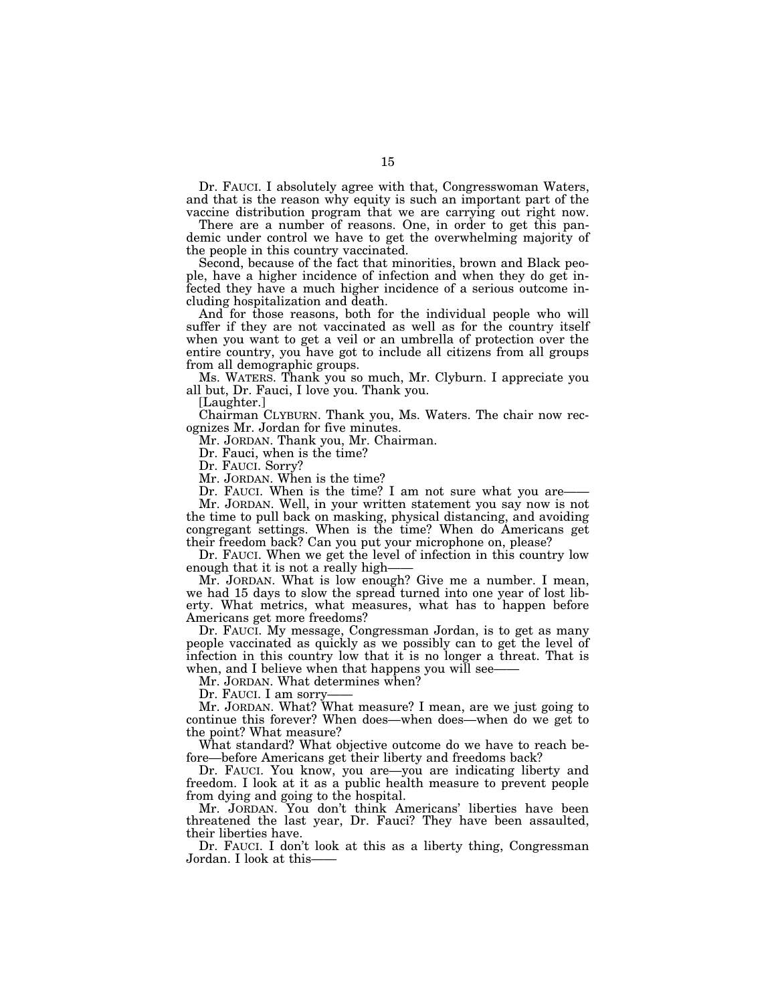Dr. FAUCI. I absolutely agree with that, Congresswoman Waters, and that is the reason why equity is such an important part of the vaccine distribution program that we are carrying out right now.

There are a number of reasons. One, in order to get this pandemic under control we have to get the overwhelming majority of the people in this country vaccinated.

Second, because of the fact that minorities, brown and Black people, have a higher incidence of infection and when they do get infected they have a much higher incidence of a serious outcome including hospitalization and death.

And for those reasons, both for the individual people who will suffer if they are not vaccinated as well as for the country itself when you want to get a veil or an umbrella of protection over the entire country, you have got to include all citizens from all groups from all demographic groups.

Ms. WATERS. Thank you so much, Mr. Clyburn. I appreciate you all but, Dr. Fauci, I love you. Thank you.

[Laughter.]

Chairman CLYBURN. Thank you, Ms. Waters. The chair now recognizes Mr. Jordan for five minutes.

Mr. JORDAN. Thank you, Mr. Chairman.

Dr. Fauci, when is the time?

Dr. FAUCI. Sorry?

Mr. JORDAN. When is the time?

Dr. FAUCI. When is the time? I am not sure what you are

Mr. JORDAN. Well, in your written statement you say now is not the time to pull back on masking, physical distancing, and avoiding congregant settings. When is the time? When do Americans get their freedom back? Can you put your microphone on, please?

Dr. FAUCI. When we get the level of infection in this country low enough that it is not a really high-

Mr. JORDAN. What is low enough? Give me a number. I mean, we had 15 days to slow the spread turned into one year of lost liberty. What metrics, what measures, what has to happen before Americans get more freedoms?

Dr. FAUCI. My message, Congressman Jordan, is to get as many people vaccinated as quickly as we possibly can to get the level of infection in this country low that it is no longer a threat. That is when, and I believe when that happens you will see

Mr. JORDAN. What determines when?

Dr. FAUCI. I am sorry

Mr. JORDAN. What? What measure? I mean, are we just going to continue this forever? When does—when does—when do we get to the point? What measure?

What standard? What objective outcome do we have to reach before—before Americans get their liberty and freedoms back?

Dr. FAUCI. You know, you are—you are indicating liberty and freedom. I look at it as a public health measure to prevent people from dying and going to the hospital.

Mr. JORDAN. You don't think Americans' liberties have been threatened the last year, Dr. Fauci? They have been assaulted, their liberties have.

Dr. FAUCI. I don't look at this as a liberty thing, Congressman Jordan. I look at this——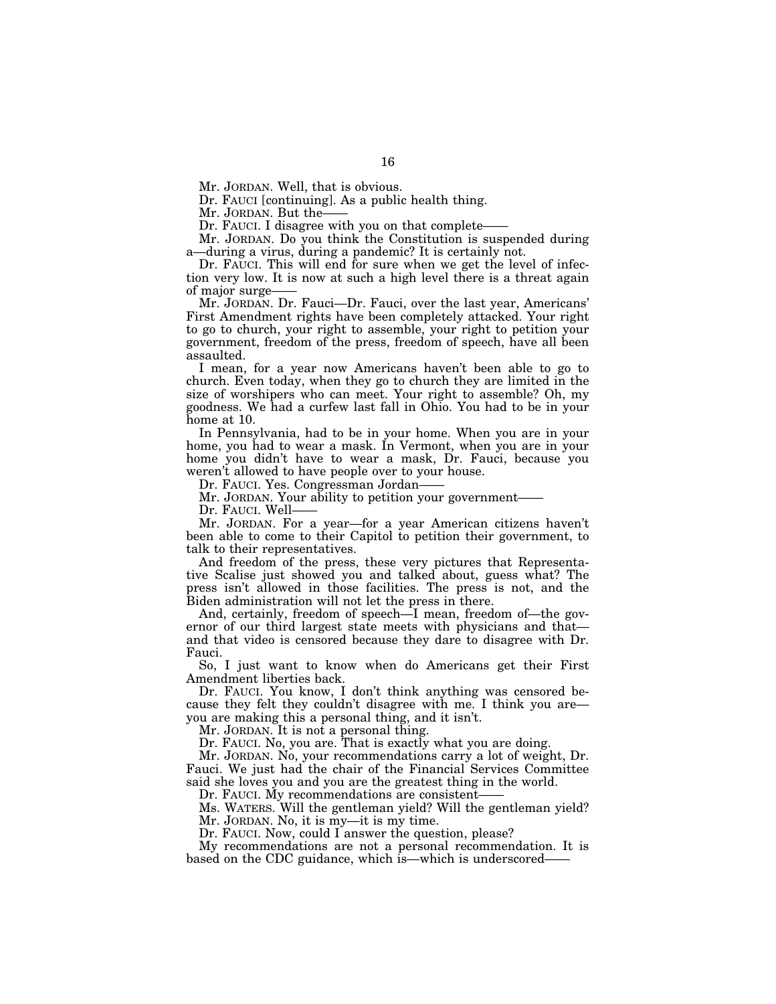Mr. JORDAN. Well, that is obvious.

Dr. FAUCI [continuing]. As a public health thing.

Mr. JORDAN. But the-

Dr. FAUCI. I disagree with you on that complete—

Mr. JORDAN. Do you think the Constitution is suspended during a—during a virus, during a pandemic? It is certainly not.

Dr. FAUCI. This will end for sure when we get the level of infection very low. It is now at such a high level there is a threat again of major surge-

Mr. JORDAN. Dr. Fauci—Dr. Fauci, over the last year, Americans' First Amendment rights have been completely attacked. Your right to go to church, your right to assemble, your right to petition your government, freedom of the press, freedom of speech, have all been assaulted.

I mean, for a year now Americans haven't been able to go to church. Even today, when they go to church they are limited in the size of worshipers who can meet. Your right to assemble? Oh, my goodness. We had a curfew last fall in Ohio. You had to be in your home at 10.

In Pennsylvania, had to be in your home. When you are in your home, you had to wear a mask. In Vermont, when you are in your home you didn't have to wear a mask, Dr. Fauci, because you weren't allowed to have people over to your house.

Dr. FAUCI. Yes. Congressman Jordan

Mr. JORDAN. Your ability to petition your government——

Dr. FAUCI. Well-

Mr. JORDAN. For a year—for a year American citizens haven't been able to come to their Capitol to petition their government, to talk to their representatives.

And freedom of the press, these very pictures that Representative Scalise just showed you and talked about, guess what? The press isn't allowed in those facilities. The press is not, and the Biden administration will not let the press in there.

And, certainly, freedom of speech—I mean, freedom of—the governor of our third largest state meets with physicians and that and that video is censored because they dare to disagree with Dr. Fauci.

So, I just want to know when do Americans get their First Amendment liberties back.

Dr. FAUCI. You know, I don't think anything was censored because they felt they couldn't disagree with me. I think you are you are making this a personal thing, and it isn't.

Mr. JORDAN. It is not a personal thing.

Dr. FAUCI. No, you are. That is exactly what you are doing.

Mr. JORDAN. No, your recommendations carry a lot of weight, Dr. Fauci. We just had the chair of the Financial Services Committee said she loves you and you are the greatest thing in the world.

Dr. FAUCI. My recommendations are consistent-

Ms. WATERS. Will the gentleman yield? Will the gentleman yield? Mr. JORDAN. No, it is my—it is my time.

Dr. FAUCI. Now, could I answer the question, please?

My recommendations are not a personal recommendation. It is based on the CDC guidance, which is—which is underscored——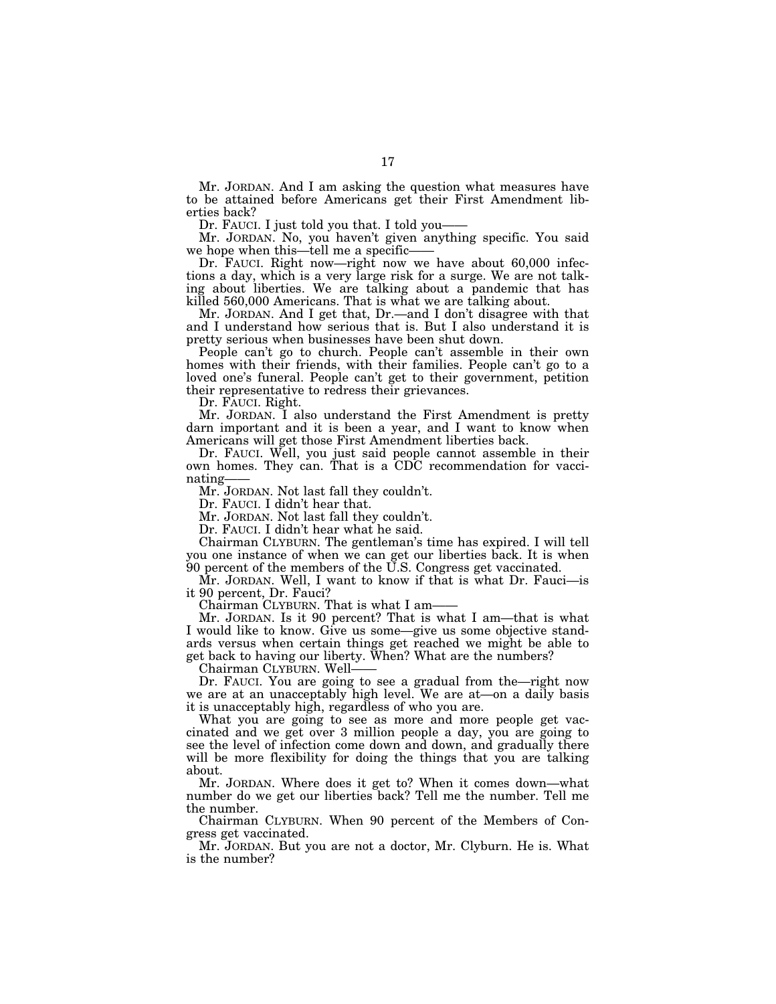Mr. JORDAN. And I am asking the question what measures have to be attained before Americans get their First Amendment liberties back?

Dr. FAUCI. I just told you that. I told you-

Mr. JORDAN. No, you haven't given anything specific. You said we hope when this—tell me a specific-

Dr. FAUCI. Right now—right now we have about 60,000 infections a day, which is a very large risk for a surge. We are not talking about liberties. We are talking about a pandemic that has killed 560,000 Americans. That is what we are talking about.

Mr. JORDAN. And I get that, Dr.—and I don't disagree with that and I understand how serious that is. But I also understand it is pretty serious when businesses have been shut down.

People can't go to church. People can't assemble in their own homes with their friends, with their families. People can't go to a loved one's funeral. People can't get to their government, petition their representative to redress their grievances.

Dr. FAUCI. Right.

Mr. JORDAN. I also understand the First Amendment is pretty darn important and it is been a year, and I want to know when Americans will get those First Amendment liberties back.

Dr. FAUCI. Well, you just said people cannot assemble in their own homes. They can. That is a CDC recommendation for vaccinating-

Mr. JORDAN. Not last fall they couldn't.

Dr. FAUCI. I didn't hear that.

Mr. JORDAN. Not last fall they couldn't.

Dr. FAUCI. I didn't hear what he said.

Chairman CLYBURN. The gentleman's time has expired. I will tell you one instance of when we can get our liberties back. It is when 90 percent of the members of the U.S. Congress get vaccinated.

Mr. JORDAN. Well, I want to know if that is what Dr. Fauci—is it 90 percent, Dr. Fauci?

Chairman CLYBURN. That is what I am-

Mr. JORDAN. Is it 90 percent? That is what I am—that is what I would like to know. Give us some—give us some objective standards versus when certain things get reached we might be able to get back to having our liberty. When? What are the numbers?

Chairman CLYBURN. Well——

Dr. FAUCI. You are going to see a gradual from the—right now we are at an unacceptably high level. We are at—on a daily basis it is unacceptably high, regardless of who you are.

What you are going to see as more and more people get vaccinated and we get over 3 million people a day, you are going to see the level of infection come down and down, and gradually there will be more flexibility for doing the things that you are talking about.

Mr. JORDAN. Where does it get to? When it comes down—what number do we get our liberties back? Tell me the number. Tell me the number.

Chairman CLYBURN. When 90 percent of the Members of Congress get vaccinated.

Mr. JORDAN. But you are not a doctor, Mr. Clyburn. He is. What is the number?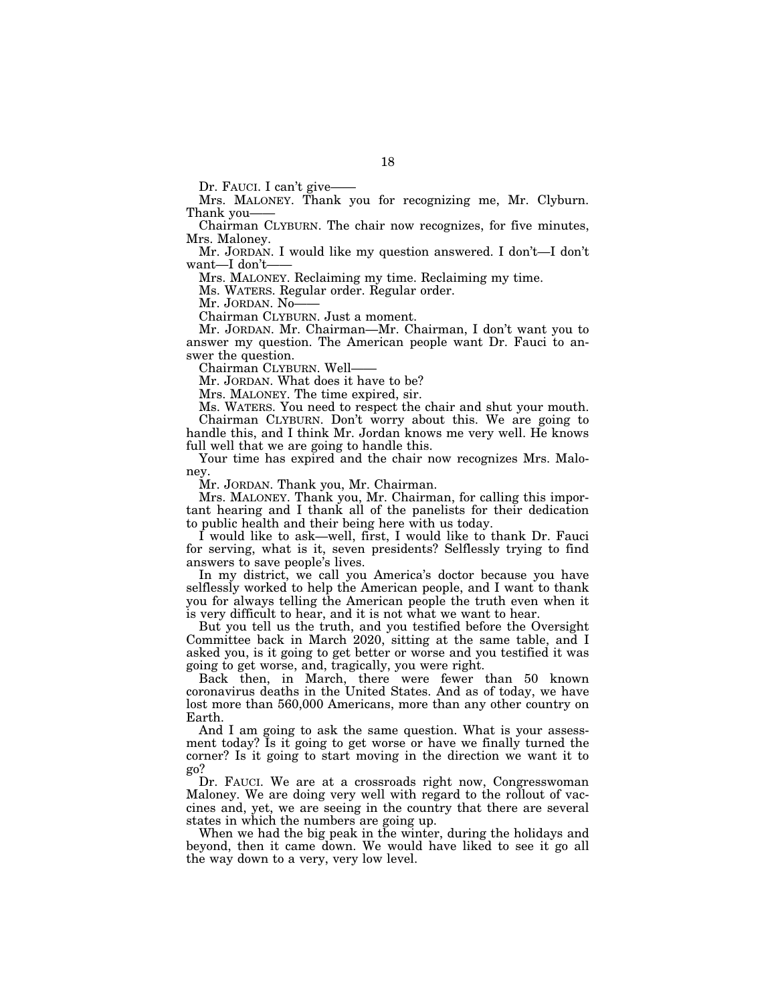Dr. FAUCI. I can't give-

Mrs. MALONEY. Thank you for recognizing me, Mr. Clyburn. Thank you——

Chairman CLYBURN. The chair now recognizes, for five minutes, Mrs. Maloney.

Mr. JORDAN. I would like my question answered. I don't—I don't want-I don't-

Mrs. MALONEY. Reclaiming my time. Reclaiming my time.

Ms. WATERS. Regular order. Regular order.

Mr. JORDAN. No-

Chairman CLYBURN. Just a moment.

Mr. JORDAN. Mr. Chairman—Mr. Chairman, I don't want you to answer my question. The American people want Dr. Fauci to answer the question.

Chairman CLYBURN. Well——

Mr. JORDAN. What does it have to be?

Mrs. MALONEY. The time expired, sir.

Ms. WATERS. You need to respect the chair and shut your mouth. Chairman CLYBURN. Don't worry about this. We are going to handle this, and I think Mr. Jordan knows me very well. He knows full well that we are going to handle this.

Your time has expired and the chair now recognizes Mrs. Maloney.

Mr. JORDAN. Thank you, Mr. Chairman.

Mrs. MALONEY. Thank you, Mr. Chairman, for calling this important hearing and I thank all of the panelists for their dedication to public health and their being here with us today.

I would like to ask—well, first, I would like to thank Dr. Fauci for serving, what is it, seven presidents? Selflessly trying to find answers to save people's lives.

In my district, we call you America's doctor because you have selflessly worked to help the American people, and I want to thank you for always telling the American people the truth even when it is very difficult to hear, and it is not what we want to hear.

But you tell us the truth, and you testified before the Oversight Committee back in March 2020, sitting at the same table, and I asked you, is it going to get better or worse and you testified it was going to get worse, and, tragically, you were right.

Back then, in March, there were fewer than 50 known coronavirus deaths in the United States. And as of today, we have lost more than 560,000 Americans, more than any other country on Earth.

And I am going to ask the same question. What is your assessment today? Is it going to get worse or have we finally turned the corner? Is it going to start moving in the direction we want it to go?

Dr. FAUCI. We are at a crossroads right now, Congresswoman Maloney. We are doing very well with regard to the rollout of vaccines and, yet, we are seeing in the country that there are several states in which the numbers are going up.

When we had the big peak in the winter, during the holidays and beyond, then it came down. We would have liked to see it go all the way down to a very, very low level.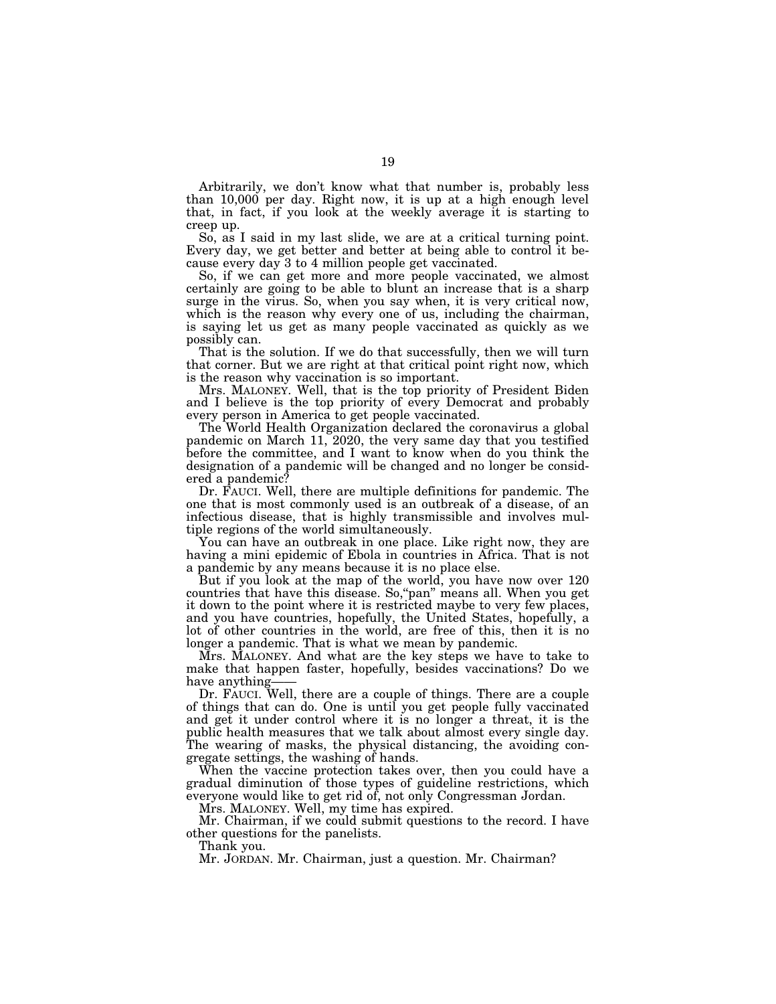Arbitrarily, we don't know what that number is, probably less than 10,000 per day. Right now, it is up at a high enough level that, in fact, if you look at the weekly average it is starting to creep up.

So, as I said in my last slide, we are at a critical turning point. Every day, we get better and better at being able to control it because every day 3 to 4 million people get vaccinated.

So, if we can get more and more people vaccinated, we almost certainly are going to be able to blunt an increase that is a sharp surge in the virus. So, when you say when, it is very critical now, which is the reason why every one of us, including the chairman, is saying let us get as many people vaccinated as quickly as we possibly can.

That is the solution. If we do that successfully, then we will turn that corner. But we are right at that critical point right now, which is the reason why vaccination is so important.

Mrs. MALONEY. Well, that is the top priority of President Biden and I believe is the top priority of every Democrat and probably every person in America to get people vaccinated.

The World Health Organization declared the coronavirus a global pandemic on March 11, 2020, the very same day that you testified before the committee, and I want to know when do you think the designation of a pandemic will be changed and no longer be considered a pandemic?

Dr. FAUCI. Well, there are multiple definitions for pandemic. The one that is most commonly used is an outbreak of a disease, of an infectious disease, that is highly transmissible and involves multiple regions of the world simultaneously.

You can have an outbreak in one place. Like right now, they are having a mini epidemic of Ebola in countries in Africa. That is not a pandemic by any means because it is no place else.

But if you look at the map of the world, you have now over 120 countries that have this disease. So, "pan" means all. When you get it down to the point where it is restricted maybe to very few places, and you have countries, hopefully, the United States, hopefully, a lot of other countries in the world, are free of this, then it is no longer a pandemic. That is what we mean by pandemic.

Mrs. MALONEY. And what are the key steps we have to take to make that happen faster, hopefully, besides vaccinations? Do we have anything

Dr. FAUCI. Well, there are a couple of things. There are a couple of things that can do. One is until you get people fully vaccinated and get it under control where it is no longer a threat, it is the public health measures that we talk about almost every single day. The wearing of masks, the physical distancing, the avoiding congregate settings, the washing of hands.

When the vaccine protection takes over, then you could have a gradual diminution of those types of guideline restrictions, which everyone would like to get rid of, not only Congressman Jordan.

Mrs. MALONEY. Well, my time has expired.

Mr. Chairman, if we could submit questions to the record. I have other questions for the panelists.

Thank you.

Mr. JORDAN. Mr. Chairman, just a question. Mr. Chairman?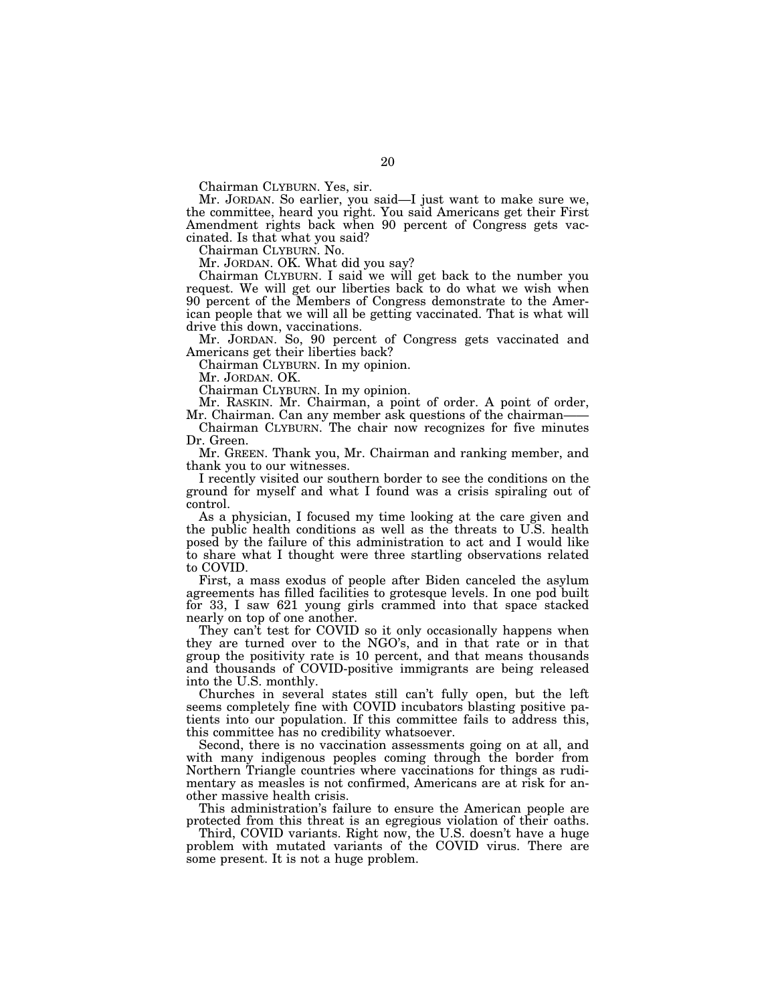Chairman CLYBURN. Yes, sir.

Mr. JORDAN. So earlier, you said—I just want to make sure we, the committee, heard you right. You said Americans get their First Amendment rights back when 90 percent of Congress gets vaccinated. Is that what you said?

Chairman CLYBURN. No.

Mr. JORDAN. OK. What did you say?

Chairman CLYBURN. I said we will get back to the number you request. We will get our liberties back to do what we wish when 90 percent of the Members of Congress demonstrate to the American people that we will all be getting vaccinated. That is what will drive this down, vaccinations.

Mr. JORDAN. So, 90 percent of Congress gets vaccinated and Americans get their liberties back?

Chairman CLYBURN. In my opinion.

Mr. JORDAN. OK.

Chairman CLYBURN. In my opinion.

Mr. RASKIN. Mr. Chairman, a point of order. A point of order, Mr. Chairman. Can any member ask questions of the chairman-

Chairman CLYBURN. The chair now recognizes for five minutes Dr. Green.

Mr. GREEN. Thank you, Mr. Chairman and ranking member, and thank you to our witnesses.

I recently visited our southern border to see the conditions on the ground for myself and what I found was a crisis spiraling out of control.

As a physician, I focused my time looking at the care given and the public health conditions as well as the threats to U.S. health posed by the failure of this administration to act and I would like to share what I thought were three startling observations related to COVID.

First, a mass exodus of people after Biden canceled the asylum agreements has filled facilities to grotesque levels. In one pod built for 33, I saw 621 young girls crammed into that space stacked nearly on top of one another.

They can't test for COVID so it only occasionally happens when they are turned over to the NGO's, and in that rate or in that group the positivity rate is 10 percent, and that means thousands and thousands of COVID-positive immigrants are being released into the U.S. monthly.

Churches in several states still can't fully open, but the left seems completely fine with COVID incubators blasting positive patients into our population. If this committee fails to address this, this committee has no credibility whatsoever.

Second, there is no vaccination assessments going on at all, and with many indigenous peoples coming through the border from Northern Triangle countries where vaccinations for things as rudimentary as measles is not confirmed, Americans are at risk for another massive health crisis.

This administration's failure to ensure the American people are protected from this threat is an egregious violation of their oaths.

Third, COVID variants. Right now, the U.S. doesn't have a huge problem with mutated variants of the COVID virus. There are some present. It is not a huge problem.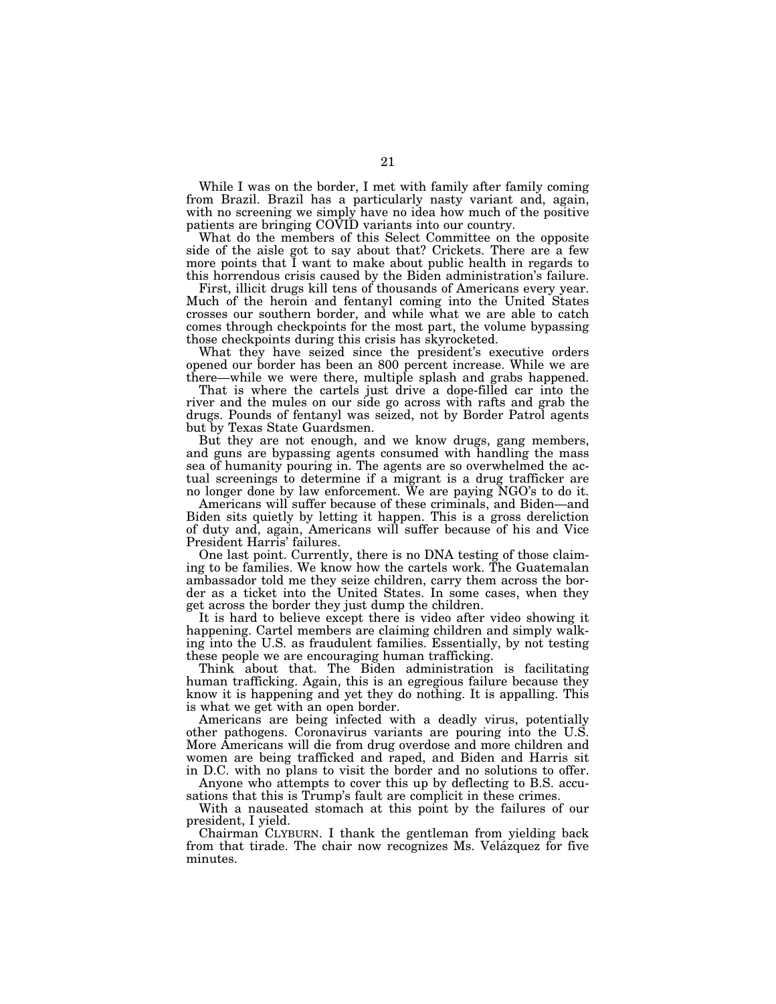While I was on the border, I met with family after family coming from Brazil. Brazil has a particularly nasty variant and, again, with no screening we simply have no idea how much of the positive patients are bringing COVID variants into our country.

What do the members of this Select Committee on the opposite side of the aisle got to say about that? Crickets. There are a few more points that I want to make about public health in regards to this horrendous crisis caused by the Biden administration's failure.

First, illicit drugs kill tens of thousands of Americans every year. Much of the heroin and fentanyl coming into the United States crosses our southern border, and while what we are able to catch comes through checkpoints for the most part, the volume bypassing those checkpoints during this crisis has skyrocketed.

What they have seized since the president's executive orders opened our border has been an 800 percent increase. While we are there—while we were there, multiple splash and grabs happened.

That is where the cartels just drive a dope-filled car into the river and the mules on our side go across with rafts and grab the drugs. Pounds of fentanyl was seized, not by Border Patrol agents but by Texas State Guardsmen.

But they are not enough, and we know drugs, gang members, and guns are bypassing agents consumed with handling the mass sea of humanity pouring in. The agents are so overwhelmed the actual screenings to determine if a migrant is a drug trafficker are no longer done by law enforcement. We are paying NGO's to do it.

Americans will suffer because of these criminals, and Biden—and Biden sits quietly by letting it happen. This is a gross dereliction of duty and, again, Americans will suffer because of his and Vice President Harris' failures.

One last point. Currently, there is no DNA testing of those claiming to be families. We know how the cartels work. The Guatemalan ambassador told me they seize children, carry them across the border as a ticket into the United States. In some cases, when they get across the border they just dump the children.

It is hard to believe except there is video after video showing it happening. Cartel members are claiming children and simply walking into the U.S. as fraudulent families. Essentially, by not testing these people we are encouraging human trafficking.

Think about that. The Biden administration is facilitating human trafficking. Again, this is an egregious failure because they know it is happening and yet they do nothing. It is appalling. This is what we get with an open border.

Americans are being infected with a deadly virus, potentially other pathogens. Coronavirus variants are pouring into the U.S. More Americans will die from drug overdose and more children and women are being trafficked and raped, and Biden and Harris sit in D.C. with no plans to visit the border and no solutions to offer.

Anyone who attempts to cover this up by deflecting to B.S. accusations that this is Trump's fault are complicit in these crimes.

With a nauseated stomach at this point by the failures of our president, I yield.

Chairman CLYBURN. I thank the gentleman from yielding back from that tirade. The chair now recognizes Ms. Velázquez for five minutes.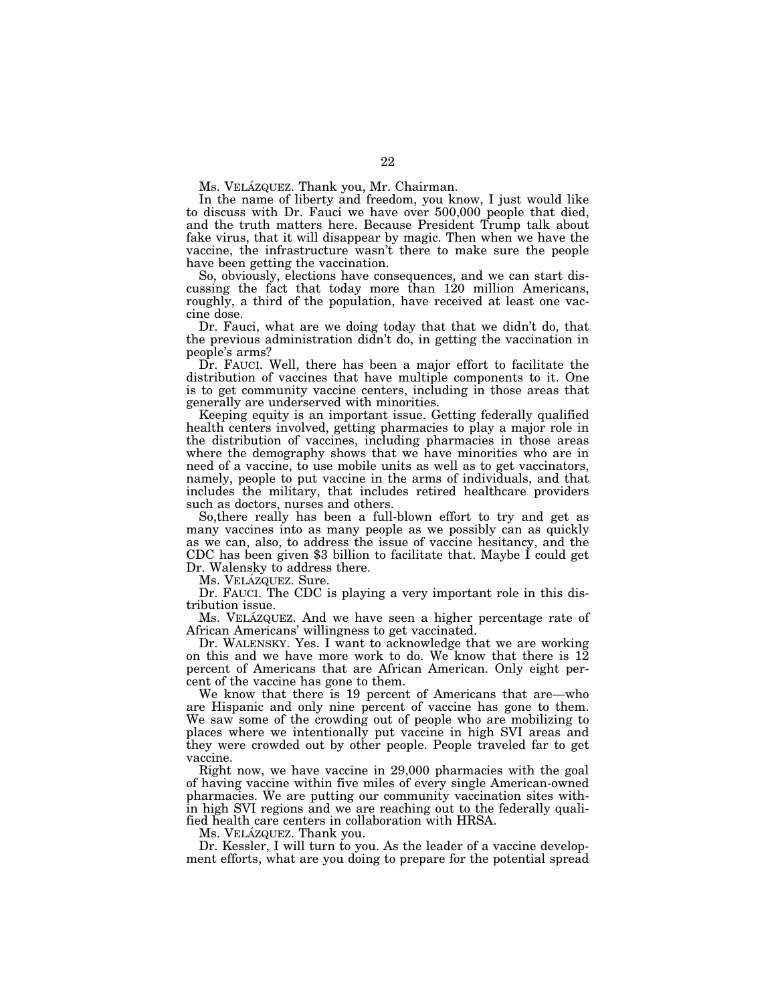Ms. VELÁZQUEZ. Thank you, Mr. Chairman.

In the name of liberty and freedom, you know, I just would like to discuss with Dr. Fauci we have over 500,000 people that died, and the truth matters here. Because President Trump talk about fake virus, that it will disappear by magic. Then when we have the vaccine, the infrastructure wasn't there to make sure the people have been getting the vaccination.

So, obviously, elections have consequences, and we can start discussing the fact that today more than 120 million Americans, roughly, a third of the population, have received at least one vaccine dose.

Dr. Fauci, what are we doing today that that we didn't do, that the previous administration didn't do, in getting the vaccination in people's arms?

Dr. FAUCI. Well, there has been a major effort to facilitate the distribution of vaccines that have multiple components to it. One is to get community vaccine centers, including in those areas that generally are underserved with minorities.

Keeping equity is an important issue. Getting federally qualified health centers involved, getting pharmacies to play a major role in the distribution of vaccines, including pharmacies in those areas where the demography shows that we have minorities who are in need of a vaccine, to use mobile units as well as to get vaccinators, namely, people to put vaccine in the arms of individuals, and that includes the military, that includes retired healthcare providers such as doctors, nurses and others.

So,there really has been a full-blown effort to try and get as many vaccines into as many people as we possibly can as quickly as we can, also, to address the issue of vaccine hesitancy, and the CDC has been given \$3 billion to facilitate that. Maybe I could get Dr. Walensky to address there.

Ms. VELÁZQUEZ. Sure.

Dr. FAUCI. The CDC is playing a very important role in this distribution issue.

Ms. VELÁZQUEZ. And we have seen a higher percentage rate of African Americans' willingness to get vaccinated.

Dr. WALENSKY. Yes. I want to acknowledge that we are working on this and we have more work to do. We know that there is 12 percent of Americans that are African American. Only eight percent of the vaccine has gone to them.

We know that there is 19 percent of Americans that are—who are Hispanic and only nine percent of vaccine has gone to them. We saw some of the crowding out of people who are mobilizing to places where we intentionally put vaccine in high SVI areas and they were crowded out by other people. People traveled far to get vaccine.

Right now, we have vaccine in 29,000 pharmacies with the goal of having vaccine within five miles of every single American-owned pharmacies. We are putting our community vaccination sites within high SVI regions and we are reaching out to the federally qualified health care centers in collaboration with HRSA.

Ms. VELÁZQUEZ. Thank you.

Dr. Kessler, I will turn to you. As the leader of a vaccine development efforts, what are you doing to prepare for the potential spread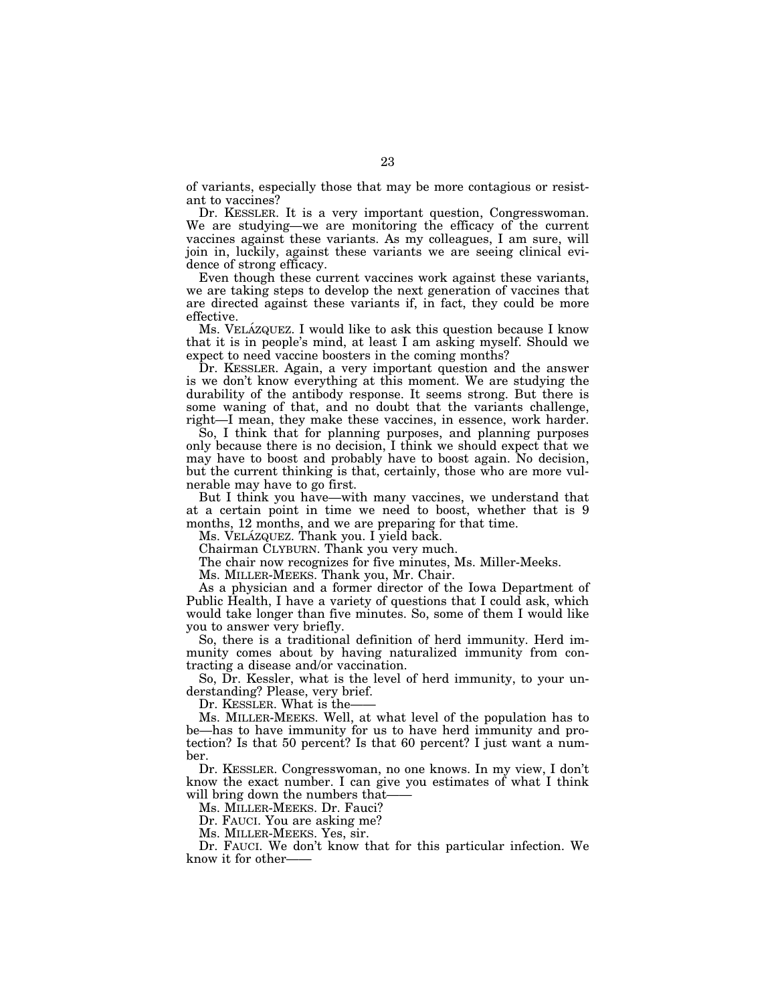of variants, especially those that may be more contagious or resistant to vaccines?

Dr. KESSLER. It is a very important question, Congresswoman. We are studying—we are monitoring the efficacy of the current vaccines against these variants. As my colleagues, I am sure, will join in, luckily, against these variants we are seeing clinical evidence of strong efficacy.

Even though these current vaccines work against these variants, we are taking steps to develop the next generation of vaccines that are directed against these variants if, in fact, they could be more effective.

Ms. VELAZQUEZ. I would like to ask this question because I know that it is in people's mind, at least I am asking myself. Should we expect to need vaccine boosters in the coming months?

Dr. KESSLER. Again, a very important question and the answer is we don't know everything at this moment. We are studying the durability of the antibody response. It seems strong. But there is some waning of that, and no doubt that the variants challenge, right—I mean, they make these vaccines, in essence, work harder.

So, I think that for planning purposes, and planning purposes only because there is no decision, I think we should expect that we may have to boost and probably have to boost again. No decision, but the current thinking is that, certainly, those who are more vulnerable may have to go first.

But I think you have—with many vaccines, we understand that at a certain point in time we need to boost, whether that is 9 months, 12 months, and we are preparing for that time.

Ms. VELÁZQUEZ. Thank you. I yield back.

Chairman CLYBURN. Thank you very much.

The chair now recognizes for five minutes, Ms. Miller-Meeks.

Ms. MILLER-MEEKS. Thank you, Mr. Chair.

As a physician and a former director of the Iowa Department of Public Health, I have a variety of questions that I could ask, which would take longer than five minutes. So, some of them I would like you to answer very briefly.

So, there is a traditional definition of herd immunity. Herd immunity comes about by having naturalized immunity from contracting a disease and/or vaccination.

So, Dr. Kessler, what is the level of herd immunity, to your understanding? Please, very brief.

Dr. KESSLER. What is the-

Ms. MILLER-MEEKS. Well, at what level of the population has to be—has to have immunity for us to have herd immunity and protection? Is that 50 percent? Is that 60 percent? I just want a number.

Dr. KESSLER. Congresswoman, no one knows. In my view, I don't know the exact number. I can give you estimates of what I think will bring down the numbers that-

Ms. MILLER-MEEKS. Dr. Fauci?

Dr. FAUCI. You are asking me?

Ms. MILLER-MEEKS. Yes, sir.

Dr. FAUCI. We don't know that for this particular infection. We know it for other——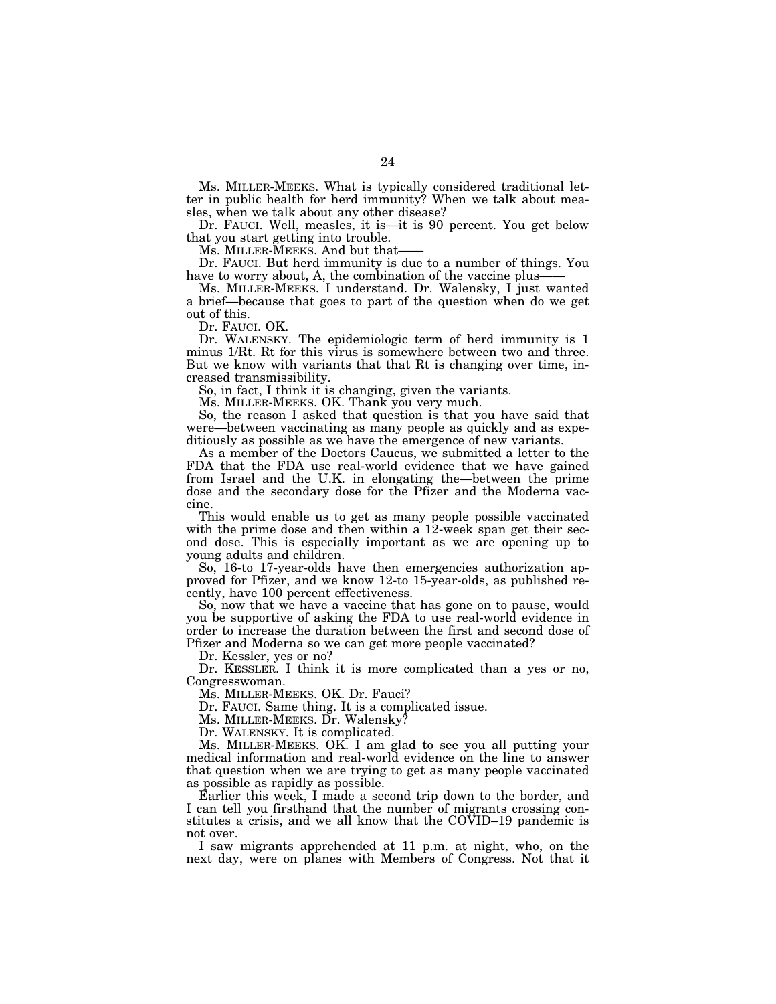Ms. MILLER-MEEKS. What is typically considered traditional letter in public health for herd immunity? When we talk about measles, when we talk about any other disease?

Dr. FAUCI. Well, measles, it is—it is 90 percent. You get below that you start getting into trouble.

Ms. MILLER-MEEKS. And but that-

Dr. FAUCI. But herd immunity is due to a number of things. You have to worry about, A, the combination of the vaccine plus-

Ms. MILLER-MEEKS. I understand. Dr. Walensky, I just wanted a brief—because that goes to part of the question when do we get out of this.

Dr. FAUCI. OK.

Dr. WALENSKY. The epidemiologic term of herd immunity is 1 minus 1/Rt. Rt for this virus is somewhere between two and three. But we know with variants that that Rt is changing over time, increased transmissibility.

So, in fact, I think it is changing, given the variants.

Ms. MILLER-MEEKS. OK. Thank you very much.

So, the reason I asked that question is that you have said that were—between vaccinating as many people as quickly and as expeditiously as possible as we have the emergence of new variants.

As a member of the Doctors Caucus, we submitted a letter to the FDA that the FDA use real-world evidence that we have gained from Israel and the U.K. in elongating the—between the prime dose and the secondary dose for the Pfizer and the Moderna vaccine.

This would enable us to get as many people possible vaccinated with the prime dose and then within a 12-week span get their second dose. This is especially important as we are opening up to young adults and children.

So, 16-to 17-year-olds have then emergencies authorization approved for Pfizer, and we know 12-to 15-year-olds, as published recently, have 100 percent effectiveness.

So, now that we have a vaccine that has gone on to pause, would you be supportive of asking the FDA to use real-world evidence in order to increase the duration between the first and second dose of Pfizer and Moderna so we can get more people vaccinated?

Dr. Kessler, yes or no?

Dr. KESSLER. I think it is more complicated than a yes or no, Congresswoman.

Ms. MILLER-MEEKS. OK. Dr. Fauci?

Dr. FAUCI. Same thing. It is a complicated issue.

Ms. MILLER-MEEKS. Dr. Walensky?

Dr. WALENSKY. It is complicated.

Ms. MILLER-MEEKS. OK. I am glad to see you all putting your medical information and real-world evidence on the line to answer that question when we are trying to get as many people vaccinated as possible as rapidly as possible.

Earlier this week, I made a second trip down to the border, and I can tell you firsthand that the number of migrants crossing constitutes a crisis, and we all know that the COVID–19 pandemic is not over.

I saw migrants apprehended at 11 p.m. at night, who, on the next day, were on planes with Members of Congress. Not that it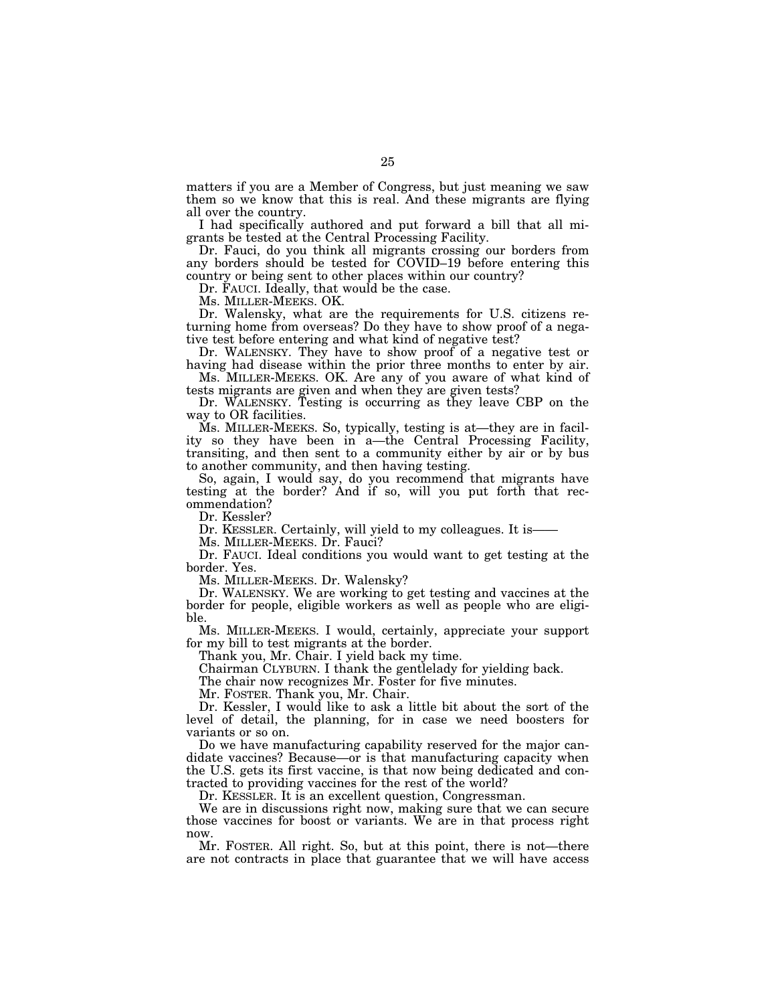matters if you are a Member of Congress, but just meaning we saw them so we know that this is real. And these migrants are flying all over the country.

I had specifically authored and put forward a bill that all migrants be tested at the Central Processing Facility.

Dr. Fauci, do you think all migrants crossing our borders from any borders should be tested for COVID–19 before entering this country or being sent to other places within our country?

Dr. FAUCI. Ideally, that would be the case.

Ms. MILLER-MEEKS. OK.

Dr. Walensky, what are the requirements for U.S. citizens returning home from overseas? Do they have to show proof of a negative test before entering and what kind of negative test?

Dr. WALENSKY. They have to show proof of a negative test or having had disease within the prior three months to enter by air.

Ms. MILLER-MEEKS. OK. Are any of you aware of what kind of tests migrants are given and when they are given tests?

Dr. WALENSKY. Testing is occurring as they leave CBP on the way to OR facilities.

Ms. MILLER-MEEKS. So, typically, testing is at—they are in facility so they have been in a—the Central Processing Facility, transiting, and then sent to a community either by air or by bus to another community, and then having testing.

So, again, I would say, do you recommend that migrants have testing at the border? And if so, will you put forth that recommendation?

Dr. Kessler?

Dr. KESSLER. Certainly, will yield to my colleagues. It is——

Ms. MILLER-MEEKS. Dr. Fauci?

Dr. FAUCI. Ideal conditions you would want to get testing at the border. Yes.

Ms. MILLER-MEEKS. Dr. Walensky?

Dr. WALENSKY. We are working to get testing and vaccines at the border for people, eligible workers as well as people who are eligible.

Ms. MILLER-MEEKS. I would, certainly, appreciate your support for my bill to test migrants at the border.

Thank you, Mr. Chair. I yield back my time.

Chairman CLYBURN. I thank the gentlelady for yielding back.

The chair now recognizes Mr. Foster for five minutes.

Mr. FOSTER. Thank you, Mr. Chair.

Dr. Kessler, I would like to ask a little bit about the sort of the level of detail, the planning, for in case we need boosters for variants or so on.

Do we have manufacturing capability reserved for the major candidate vaccines? Because—or is that manufacturing capacity when the U.S. gets its first vaccine, is that now being dedicated and contracted to providing vaccines for the rest of the world?

Dr. KESSLER. It is an excellent question, Congressman.

We are in discussions right now, making sure that we can secure those vaccines for boost or variants. We are in that process right now.

Mr. FOSTER. All right. So, but at this point, there is not—there are not contracts in place that guarantee that we will have access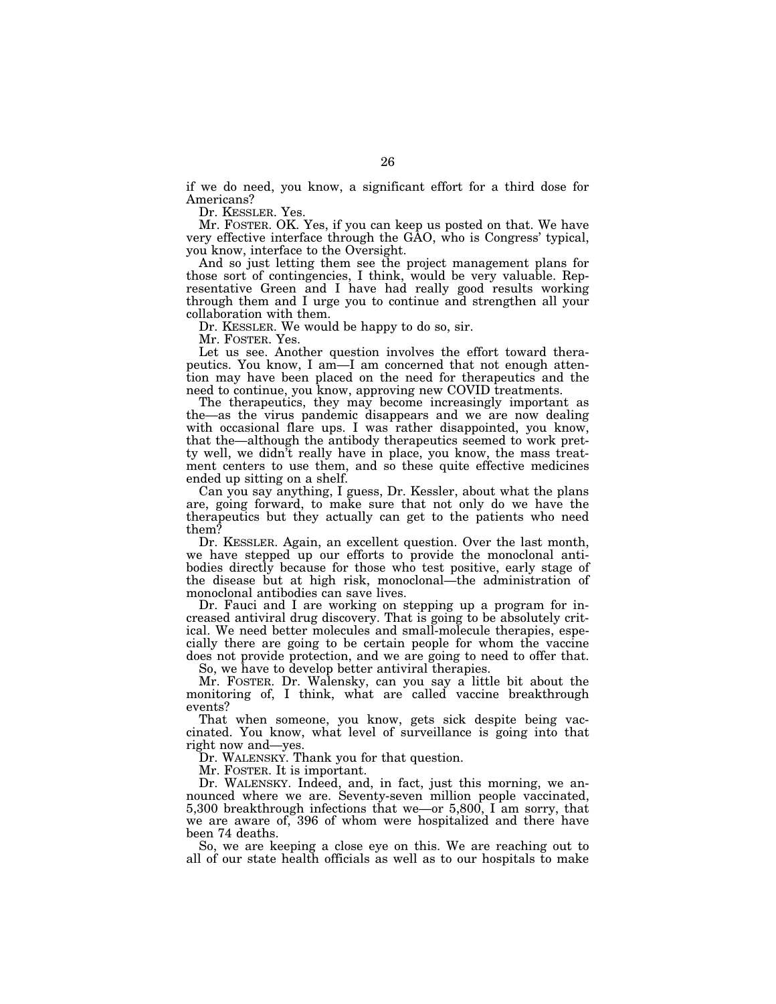if we do need, you know, a significant effort for a third dose for Americans?

Dr. KESSLER. Yes.

Mr. FOSTER. OK. Yes, if you can keep us posted on that. We have very effective interface through the GAO, who is Congress' typical, you know, interface to the Oversight.

And so just letting them see the project management plans for those sort of contingencies, I think, would be very valuable. Representative Green and I have had really good results working through them and I urge you to continue and strengthen all your collaboration with them.

Dr. KESSLER. We would be happy to do so, sir.

Mr. FOSTER. Yes.

Let us see. Another question involves the effort toward therapeutics. You know, I am—I am concerned that not enough attention may have been placed on the need for therapeutics and the need to continue, you know, approving new COVID treatments.

The therapeutics, they may become increasingly important as the—as the virus pandemic disappears and we are now dealing with occasional flare ups. I was rather disappointed, you know, that the—although the antibody therapeutics seemed to work pretty well, we didn't really have in place, you know, the mass treatment centers to use them, and so these quite effective medicines ended up sitting on a shelf.

Can you say anything, I guess, Dr. Kessler, about what the plans are, going forward, to make sure that not only do we have the therapeutics but they actually can get to the patients who need them?

Dr. KESSLER. Again, an excellent question. Over the last month, we have stepped up our efforts to provide the monoclonal antibodies directly because for those who test positive, early stage of the disease but at high risk, monoclonal—the administration of monoclonal antibodies can save lives.

Dr. Fauci and I are working on stepping up a program for increased antiviral drug discovery. That is going to be absolutely critical. We need better molecules and small-molecule therapies, especially there are going to be certain people for whom the vaccine does not provide protection, and we are going to need to offer that.

So, we have to develop better antiviral therapies.

Mr. FOSTER. Dr. Walensky, can you say a little bit about the monitoring of, I think, what are called vaccine breakthrough events?

That when someone, you know, gets sick despite being vaccinated. You know, what level of surveillance is going into that right now and—yes.

Dr. WALENSKY. Thank you for that question.

Mr. FOSTER. It is important.

Dr. WALENSKY. Indeed, and, in fact, just this morning, we announced where we are. Seventy-seven million people vaccinated, 5,300 breakthrough infections that we—or 5,800, I am sorry, that we are aware of, 396 of whom were hospitalized and there have been 74 deaths.

So, we are keeping a close eye on this. We are reaching out to all of our state health officials as well as to our hospitals to make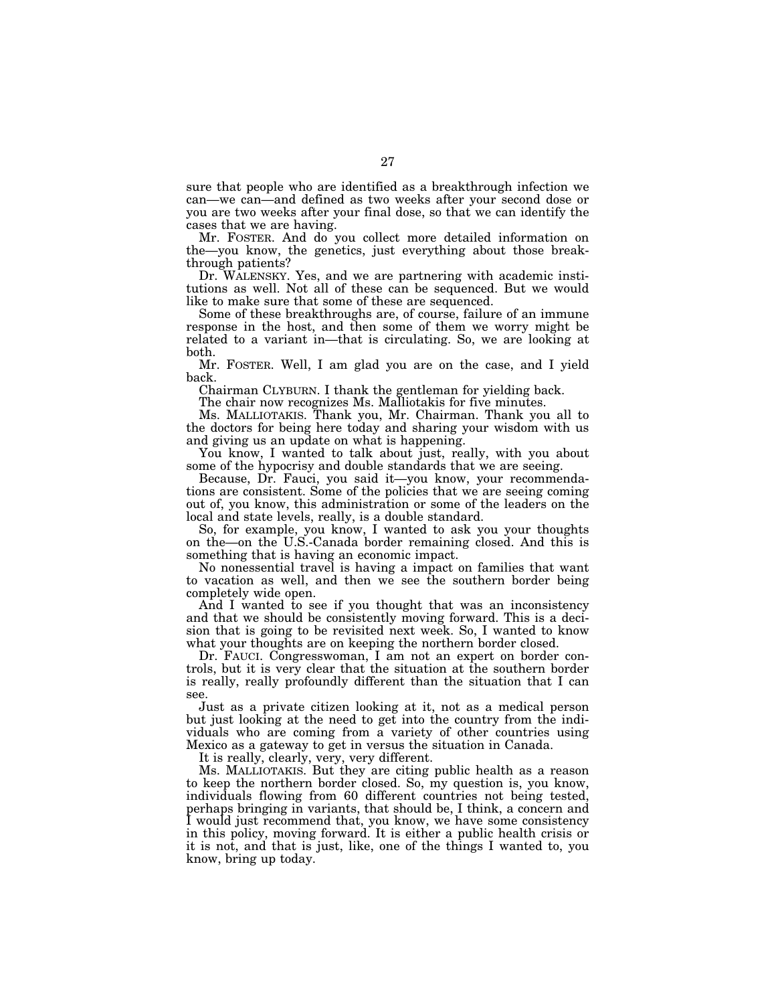sure that people who are identified as a breakthrough infection we can—we can—and defined as two weeks after your second dose or you are two weeks after your final dose, so that we can identify the cases that we are having.

Mr. FOSTER. And do you collect more detailed information on the—you know, the genetics, just everything about those breakthrough patients?

Dr. WALENSKY. Yes, and we are partnering with academic institutions as well. Not all of these can be sequenced. But we would like to make sure that some of these are sequenced.

Some of these breakthroughs are, of course, failure of an immune response in the host, and then some of them we worry might be related to a variant in—that is circulating. So, we are looking at both.

Mr. FOSTER. Well, I am glad you are on the case, and I yield back.

Chairman CLYBURN. I thank the gentleman for yielding back.

The chair now recognizes Ms. Malliotakis for five minutes.

Ms. MALLIOTAKIS. Thank you, Mr. Chairman. Thank you all to the doctors for being here today and sharing your wisdom with us and giving us an update on what is happening.

You know, I wanted to talk about just, really, with you about some of the hypocrisy and double standards that we are seeing.

Because, Dr. Fauci, you said it—you know, your recommendations are consistent. Some of the policies that we are seeing coming out of, you know, this administration or some of the leaders on the local and state levels, really, is a double standard.

So, for example, you know, I wanted to ask you your thoughts on the—on the U.S.-Canada border remaining closed. And this is something that is having an economic impact.

No nonessential travel is having a impact on families that want to vacation as well, and then we see the southern border being completely wide open.

And I wanted to see if you thought that was an inconsistency and that we should be consistently moving forward. This is a decision that is going to be revisited next week. So, I wanted to know what your thoughts are on keeping the northern border closed.

Dr. FAUCI. Congresswoman, I am not an expert on border controls, but it is very clear that the situation at the southern border is really, really profoundly different than the situation that I can see.

Just as a private citizen looking at it, not as a medical person but just looking at the need to get into the country from the individuals who are coming from a variety of other countries using Mexico as a gateway to get in versus the situation in Canada.

It is really, clearly, very, very different.

Ms. MALLIOTAKIS. But they are citing public health as a reason to keep the northern border closed. So, my question is, you know, individuals flowing from 60 different countries not being tested, perhaps bringing in variants, that should be, I think, a concern and I would just recommend that, you know, we have some consistency in this policy, moving forward. It is either a public health crisis or it is not, and that is just, like, one of the things I wanted to, you know, bring up today.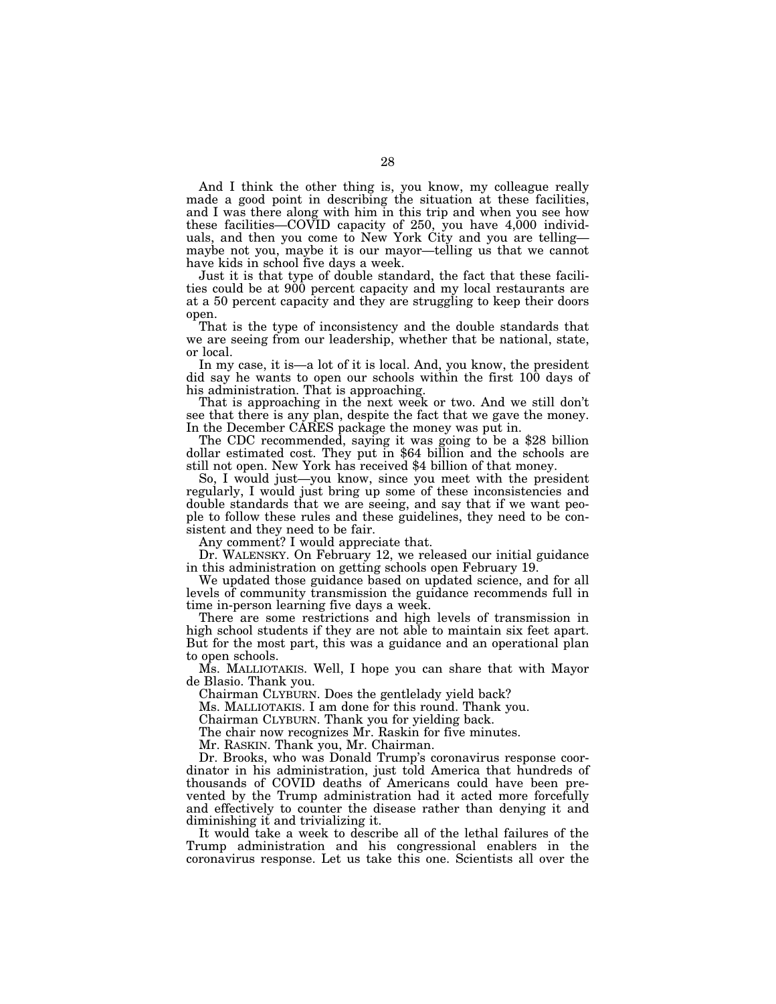And I think the other thing is, you know, my colleague really made a good point in describing the situation at these facilities, and I was there along with him in this trip and when you see how these facilities—COVID capacity of 250, you have 4,000 individuals, and then you come to New York City and you are telling maybe not you, maybe it is our mayor—telling us that we cannot have kids in school five days a week.

Just it is that type of double standard, the fact that these facilities could be at 900 percent capacity and my local restaurants are at a 50 percent capacity and they are struggling to keep their doors open.

That is the type of inconsistency and the double standards that we are seeing from our leadership, whether that be national, state, or local.

In my case, it is—a lot of it is local. And, you know, the president did say he wants to open our schools within the first 100 days of his administration. That is approaching.

That is approaching in the next week or two. And we still don't see that there is any plan, despite the fact that we gave the money.<br>In the December CARES package the money was put in.

The CDC recommended, saying it was going to be a \$28 billion dollar estimated cost. They put in \$64 billion and the schools are still not open. New York has received \$4 billion of that money.

So, I would just—you know, since you meet with the president regularly, I would just bring up some of these inconsistencies and double standards that we are seeing, and say that if we want people to follow these rules and these guidelines, they need to be consistent and they need to be fair.

Any comment? I would appreciate that.

Dr. WALENSKY. On February 12, we released our initial guidance in this administration on getting schools open February 19.

We updated those guidance based on updated science, and for all levels of community transmission the guidance recommends full in time in-person learning five days a week.

There are some restrictions and high levels of transmission in high school students if they are not able to maintain six feet apart. But for the most part, this was a guidance and an operational plan to open schools.

Ms. MALLIOTAKIS. Well, I hope you can share that with Mayor de Blasio. Thank you.

Chairman CLYBURN. Does the gentlelady yield back?

Ms. MALLIOTAKIS. I am done for this round. Thank you.

Chairman CLYBURN. Thank you for yielding back.

The chair now recognizes Mr. Raskin for five minutes.

Mr. RASKIN. Thank you, Mr. Chairman.

Dr. Brooks, who was Donald Trump's coronavirus response coordinator in his administration, just told America that hundreds of thousands of COVID deaths of Americans could have been prevented by the Trump administration had it acted more forcefully and effectively to counter the disease rather than denying it and diminishing it and trivializing it.

It would take a week to describe all of the lethal failures of the Trump administration and his congressional enablers in the coronavirus response. Let us take this one. Scientists all over the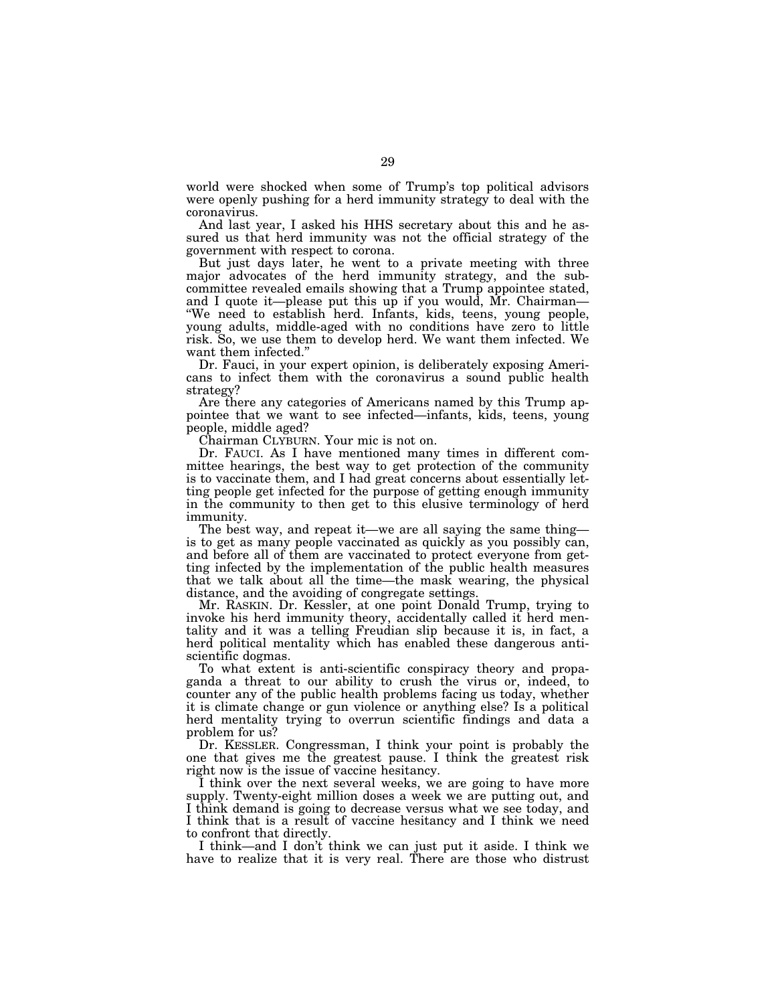world were shocked when some of Trump's top political advisors were openly pushing for a herd immunity strategy to deal with the coronavirus.

And last year, I asked his HHS secretary about this and he assured us that herd immunity was not the official strategy of the government with respect to corona.

But just days later, he went to a private meeting with three major advocates of the herd immunity strategy, and the subcommittee revealed emails showing that a Trump appointee stated, and I quote it—please put this up if you would, Mr. Chairman— ''We need to establish herd. Infants, kids, teens, young people, young adults, middle-aged with no conditions have zero to little risk. So, we use them to develop herd. We want them infected. We want them infected.''

Dr. Fauci, in your expert opinion, is deliberately exposing Americans to infect them with the coronavirus a sound public health strategy?

Are there any categories of Americans named by this Trump appointee that we want to see infected—infants, kids, teens, young people, middle aged?

Chairman CLYBURN. Your mic is not on.

Dr. FAUCI. As I have mentioned many times in different committee hearings, the best way to get protection of the community is to vaccinate them, and I had great concerns about essentially letting people get infected for the purpose of getting enough immunity in the community to then get to this elusive terminology of herd immunity.

The best way, and repeat it—we are all saying the same thing is to get as many people vaccinated as quickly as you possibly can, and before all of them are vaccinated to protect everyone from getting infected by the implementation of the public health measures that we talk about all the time—the mask wearing, the physical distance, and the avoiding of congregate settings.

Mr. RASKIN. Dr. Kessler, at one point Donald Trump, trying to invoke his herd immunity theory, accidentally called it herd mentality and it was a telling Freudian slip because it is, in fact, a herd political mentality which has enabled these dangerous antiscientific dogmas.

To what extent is anti-scientific conspiracy theory and propaganda a threat to our ability to crush the virus or, indeed, to counter any of the public health problems facing us today, whether it is climate change or gun violence or anything else? Is a political herd mentality trying to overrun scientific findings and data a problem for us?

Dr. KESSLER. Congressman, I think your point is probably the one that gives me the greatest pause. I think the greatest risk right now is the issue of vaccine hesitancy.

I think over the next several weeks, we are going to have more supply. Twenty-eight million doses a week we are putting out, and I think demand is going to decrease versus what we see today, and I think that is a result of vaccine hesitancy and I think we need to confront that directly.

I think—and I don't think we can just put it aside. I think we have to realize that it is very real. There are those who distrust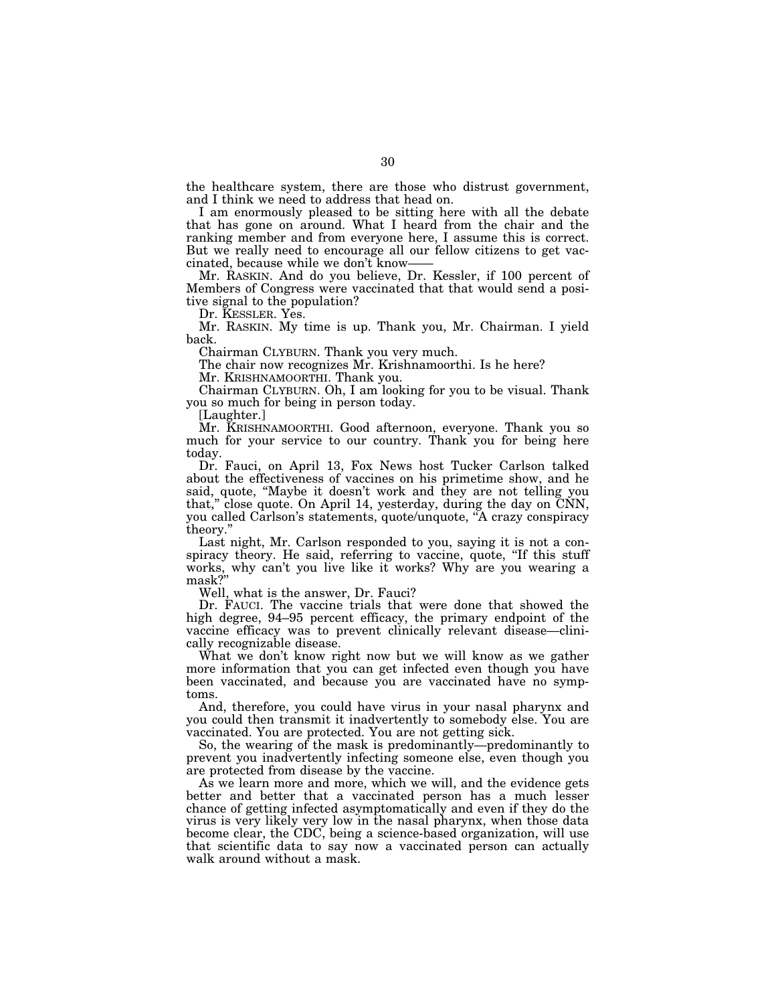the healthcare system, there are those who distrust government, and I think we need to address that head on.

I am enormously pleased to be sitting here with all the debate that has gone on around. What I heard from the chair and the ranking member and from everyone here, I assume this is correct. But we really need to encourage all our fellow citizens to get vaccinated, because while we don't know-

Mr. RASKIN. And do you believe, Dr. Kessler, if 100 percent of Members of Congress were vaccinated that that would send a positive signal to the population?

Dr. KESSLER. Yes.

Mr. RASKIN. My time is up. Thank you, Mr. Chairman. I yield back.

Chairman CLYBURN. Thank you very much.

The chair now recognizes Mr. Krishnamoorthi. Is he here? Mr. KRISHNAMOORTHI. Thank you.

Chairman CLYBURN. Oh, I am looking for you to be visual. Thank you so much for being in person today.

[Laughter.]

Mr. KRISHNAMOORTHI. Good afternoon, everyone. Thank you so much for your service to our country. Thank you for being here today.

Dr. Fauci, on April 13, Fox News host Tucker Carlson talked about the effectiveness of vaccines on his primetime show, and he said, quote, ''Maybe it doesn't work and they are not telling you that,'' close quote. On April 14, yesterday, during the day on CNN, you called Carlson's statements, quote/unquote, ''A crazy conspiracy theory.''

Last night, Mr. Carlson responded to you, saying it is not a conspiracy theory. He said, referring to vaccine, quote, "If this stuff works, why can't you live like it works? Why are you wearing a mask?''

Well, what is the answer, Dr. Fauci?

Dr. FAUCI. The vaccine trials that were done that showed the high degree, 94–95 percent efficacy, the primary endpoint of the vaccine efficacy was to prevent clinically relevant disease—clinically recognizable disease.

What we don't know right now but we will know as we gather more information that you can get infected even though you have been vaccinated, and because you are vaccinated have no symptoms.

And, therefore, you could have virus in your nasal pharynx and you could then transmit it inadvertently to somebody else. You are vaccinated. You are protected. You are not getting sick.

So, the wearing of the mask is predominantly—predominantly to prevent you inadvertently infecting someone else, even though you are protected from disease by the vaccine.

As we learn more and more, which we will, and the evidence gets better and better that a vaccinated person has a much lesser chance of getting infected asymptomatically and even if they do the virus is very likely very low in the nasal pharynx, when those data become clear, the CDC, being a science-based organization, will use that scientific data to say now a vaccinated person can actually walk around without a mask.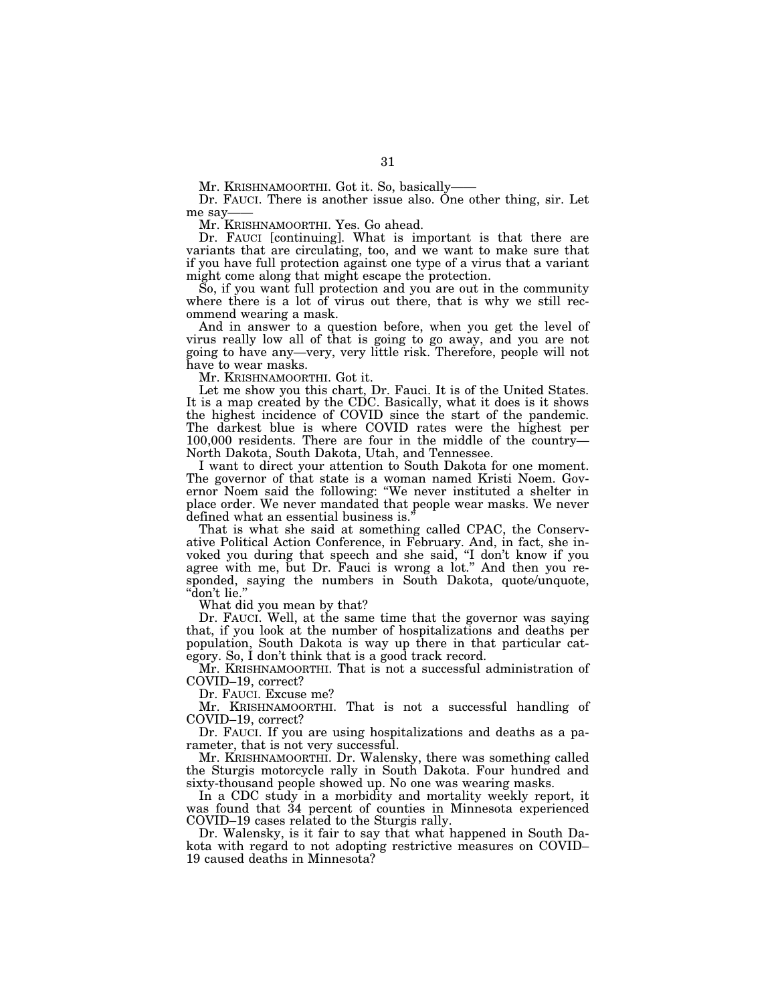Mr. KRISHNAMOORTHI. Got it. So, basically-

Dr. FAUCI. There is another issue also. One other thing, sir. Let me say

Mr. KRISHNAMOORTHI. Yes. Go ahead.

Dr. FAUCI [continuing]. What is important is that there are variants that are circulating, too, and we want to make sure that if you have full protection against one type of a virus that a variant might come along that might escape the protection.

So, if you want full protection and you are out in the community where there is a lot of virus out there, that is why we still recommend wearing a mask.

And in answer to a question before, when you get the level of virus really low all of that is going to go away, and you are not going to have any—very, very little risk. Therefore, people will not have to wear masks.

Mr. KRISHNAMOORTHI. Got it.

Let me show you this chart, Dr. Fauci. It is of the United States. It is a map created by the CDC. Basically, what it does is it shows the highest incidence of COVID since the start of the pandemic. The darkest blue is where COVID rates were the highest per 100,000 residents. There are four in the middle of the country— North Dakota, South Dakota, Utah, and Tennessee.

I want to direct your attention to South Dakota for one moment. The governor of that state is a woman named Kristi Noem. Governor Noem said the following: ''We never instituted a shelter in place order. We never mandated that people wear masks. We never defined what an essential business is.''

That is what she said at something called CPAC, the Conservative Political Action Conference, in February. And, in fact, she invoked you during that speech and she said, ''I don't know if you agree with me, but Dr. Fauci is wrong a lot.'' And then you responded, saying the numbers in South Dakota, quote/unquote, ''don't lie.''

What did you mean by that?

Dr. FAUCI. Well, at the same time that the governor was saying that, if you look at the number of hospitalizations and deaths per population, South Dakota is way up there in that particular category. So, I don't think that is a good track record.

Mr. KRISHNAMOORTHI. That is not a successful administration of COVID–19, correct?

Dr. FAUCI. Excuse me?

Mr. KRISHNAMOORTHI. That is not a successful handling of COVID–19, correct?

Dr. FAUCI. If you are using hospitalizations and deaths as a parameter, that is not very successful.

Mr. KRISHNAMOORTHI. Dr. Walensky, there was something called the Sturgis motorcycle rally in South Dakota. Four hundred and sixty-thousand people showed up. No one was wearing masks.

In a CDC study in a morbidity and mortality weekly report, it was found that 34 percent of counties in Minnesota experienced COVID–19 cases related to the Sturgis rally.

Dr. Walensky, is it fair to say that what happened in South Dakota with regard to not adopting restrictive measures on COVID– 19 caused deaths in Minnesota?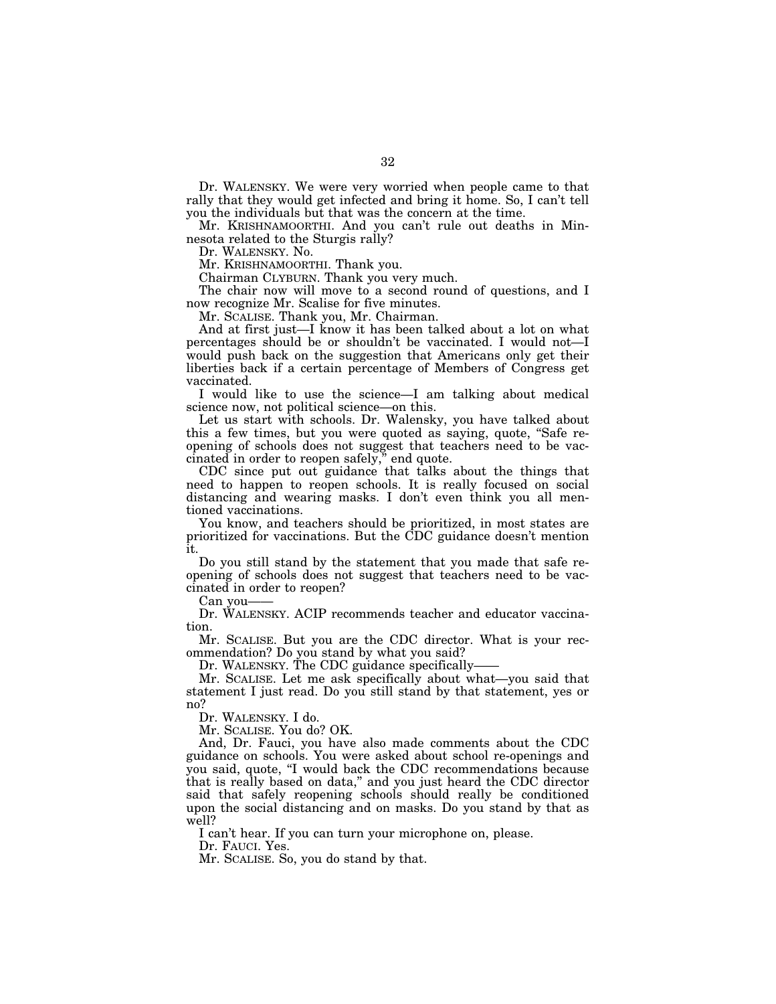Dr. WALENSKY. We were very worried when people came to that rally that they would get infected and bring it home. So, I can't tell you the individuals but that was the concern at the time.

Mr. KRISHNAMOORTHI. And you can't rule out deaths in Minnesota related to the Sturgis rally?

Dr. WALENSKY. No.

Mr. KRISHNAMOORTHI. Thank you.

Chairman CLYBURN. Thank you very much.

The chair now will move to a second round of questions, and I now recognize Mr. Scalise for five minutes.

Mr. SCALISE. Thank you, Mr. Chairman.

And at first just—I know it has been talked about a lot on what percentages should be or shouldn't be vaccinated. I would not—I would push back on the suggestion that Americans only get their liberties back if a certain percentage of Members of Congress get vaccinated.

I would like to use the science—I am talking about medical science now, not political science—on this.

Let us start with schools. Dr. Walensky, you have talked about this a few times, but you were quoted as saying, quote, ''Safe reopening of schools does not suggest that teachers need to be vaccinated in order to reopen safely,'' end quote.

CDC since put out guidance that talks about the things that need to happen to reopen schools. It is really focused on social distancing and wearing masks. I don't even think you all mentioned vaccinations.

You know, and teachers should be prioritized, in most states are prioritized for vaccinations. But the CDC guidance doesn't mention it.

Do you still stand by the statement that you made that safe reopening of schools does not suggest that teachers need to be vaccinated in order to reopen?

Can you-

Dr. WALENSKY. ACIP recommends teacher and educator vaccination.

Mr. SCALISE. But you are the CDC director. What is your recommendation? Do you stand by what you said?

Dr. WALENSKY. The CDC guidance specifically—

Mr. SCALISE. Let me ask specifically about what—you said that statement I just read. Do you still stand by that statement, yes or no?

Dr. WALENSKY. I do.

Mr. SCALISE. You do? OK.

And, Dr. Fauci, you have also made comments about the CDC guidance on schools. You were asked about school re-openings and you said, quote, ''I would back the CDC recommendations because that is really based on data,'' and you just heard the CDC director said that safely reopening schools should really be conditioned upon the social distancing and on masks. Do you stand by that as well?

I can't hear. If you can turn your microphone on, please.

Dr. FAUCI. Yes.

Mr. SCALISE. So, you do stand by that.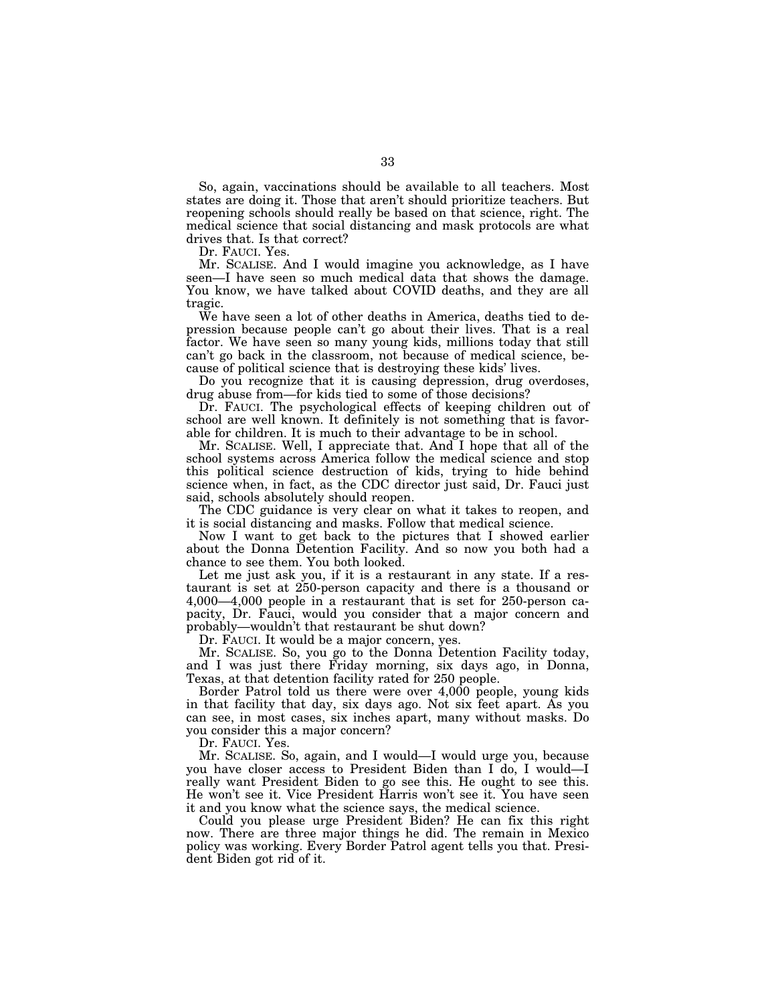So, again, vaccinations should be available to all teachers. Most states are doing it. Those that aren't should prioritize teachers. But reopening schools should really be based on that science, right. The medical science that social distancing and mask protocols are what drives that. Is that correct?

Dr. FAUCI. Yes.

Mr. SCALISE. And I would imagine you acknowledge, as I have seen—I have seen so much medical data that shows the damage. You know, we have talked about COVID deaths, and they are all tragic.

We have seen a lot of other deaths in America, deaths tied to depression because people can't go about their lives. That is a real factor. We have seen so many young kids, millions today that still can't go back in the classroom, not because of medical science, because of political science that is destroying these kids' lives.

Do you recognize that it is causing depression, drug overdoses, drug abuse from—for kids tied to some of those decisions?

Dr. FAUCI. The psychological effects of keeping children out of school are well known. It definitely is not something that is favorable for children. It is much to their advantage to be in school.

Mr. SCALISE. Well, I appreciate that. And I hope that all of the school systems across America follow the medical science and stop this political science destruction of kids, trying to hide behind science when, in fact, as the CDC director just said, Dr. Fauci just said, schools absolutely should reopen.

The CDC guidance is very clear on what it takes to reopen, and it is social distancing and masks. Follow that medical science.

Now I want to get back to the pictures that I showed earlier about the Donna Detention Facility. And so now you both had a chance to see them. You both looked.

Let me just ask you, if it is a restaurant in any state. If a restaurant is set at 250-person capacity and there is a thousand or 4,000—4,000 people in a restaurant that is set for 250-person capacity, Dr. Fauci, would you consider that a major concern and probably—wouldn't that restaurant be shut down?

Dr. FAUCI. It would be a major concern, yes.

Mr. SCALISE. So, you go to the Donna Detention Facility today, and I was just there Friday morning, six days ago, in Donna, Texas, at that detention facility rated for 250 people.

Border Patrol told us there were over 4,000 people, young kids in that facility that day, six days ago. Not six feet apart. As you can see, in most cases, six inches apart, many without masks. Do you consider this a major concern?

Dr. FAUCI. Yes.

Mr. SCALISE. So, again, and I would—I would urge you, because you have closer access to President Biden than I do, I would—I really want President Biden to go see this. He ought to see this. He won't see it. Vice President Harris won't see it. You have seen it and you know what the science says, the medical science.

Could you please urge President Biden? He can fix this right now. There are three major things he did. The remain in Mexico policy was working. Every Border Patrol agent tells you that. President Biden got rid of it.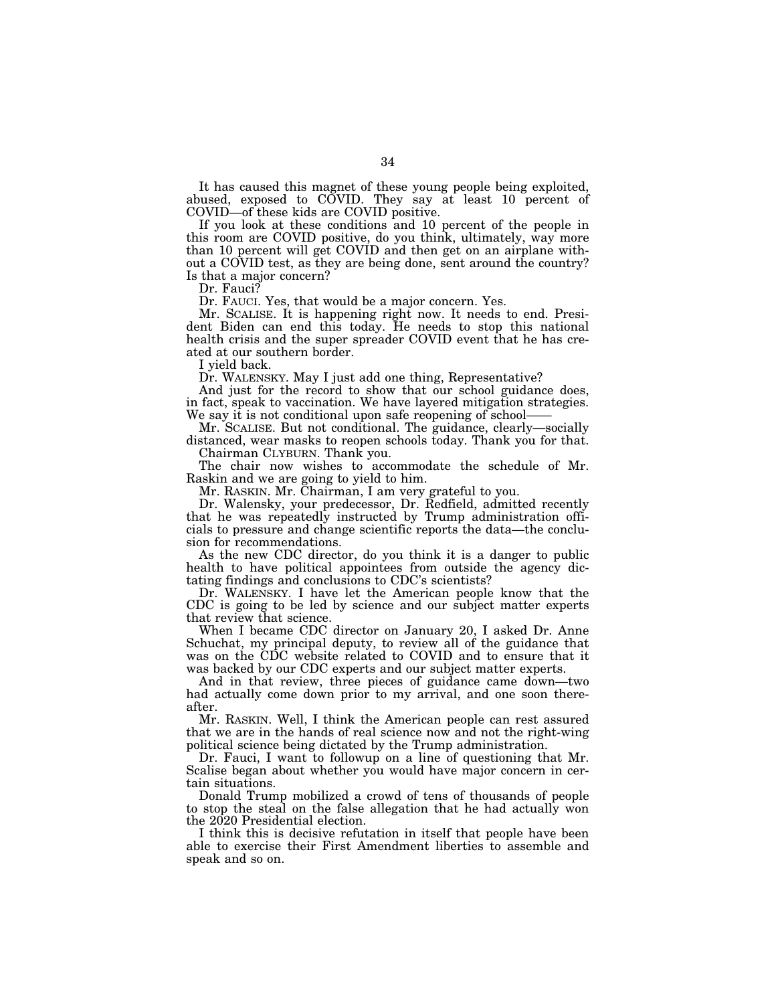It has caused this magnet of these young people being exploited, abused, exposed to COVID. They say at least 10 percent of COVID—of these kids are COVID positive.

If you look at these conditions and 10 percent of the people in this room are COVID positive, do you think, ultimately, way more than 10 percent will get COVID and then get on an airplane without a COVID test, as they are being done, sent around the country? Is that a major concern?

Dr. Fauci?

Dr. FAUCI. Yes, that would be a major concern. Yes.

Mr. SCALISE. It is happening right now. It needs to end. President Biden can end this today. He needs to stop this national health crisis and the super spreader COVID event that he has created at our southern border.

I yield back.

Dr. WALENSKY. May I just add one thing, Representative?

And just for the record to show that our school guidance does, in fact, speak to vaccination. We have layered mitigation strategies. We say it is not conditional upon safe reopening of school-

Mr. SCALISE. But not conditional. The guidance, clearly—socially distanced, wear masks to reopen schools today. Thank you for that. Chairman CLYBURN. Thank you.

The chair now wishes to accommodate the schedule of Mr. Raskin and we are going to yield to him.

Mr. RASKIN. Mr. Chairman, I am very grateful to you.

Dr. Walensky, your predecessor, Dr. Redfield, admitted recently that he was repeatedly instructed by Trump administration officials to pressure and change scientific reports the data—the conclusion for recommendations.

As the new CDC director, do you think it is a danger to public health to have political appointees from outside the agency dictating findings and conclusions to CDC's scientists?

Dr. WALENSKY. I have let the American people know that the CDC is going to be led by science and our subject matter experts that review that science.

When I became CDC director on January 20, I asked Dr. Anne Schuchat, my principal deputy, to review all of the guidance that was on the CDC website related to COVID and to ensure that it was backed by our CDC experts and our subject matter experts.

And in that review, three pieces of guidance came down—two had actually come down prior to my arrival, and one soon thereafter.

Mr. RASKIN. Well, I think the American people can rest assured that we are in the hands of real science now and not the right-wing political science being dictated by the Trump administration.

Dr. Fauci, I want to followup on a line of questioning that Mr. Scalise began about whether you would have major concern in certain situations.

Donald Trump mobilized a crowd of tens of thousands of people to stop the steal on the false allegation that he had actually won the 2020 Presidential election.

I think this is decisive refutation in itself that people have been able to exercise their First Amendment liberties to assemble and speak and so on.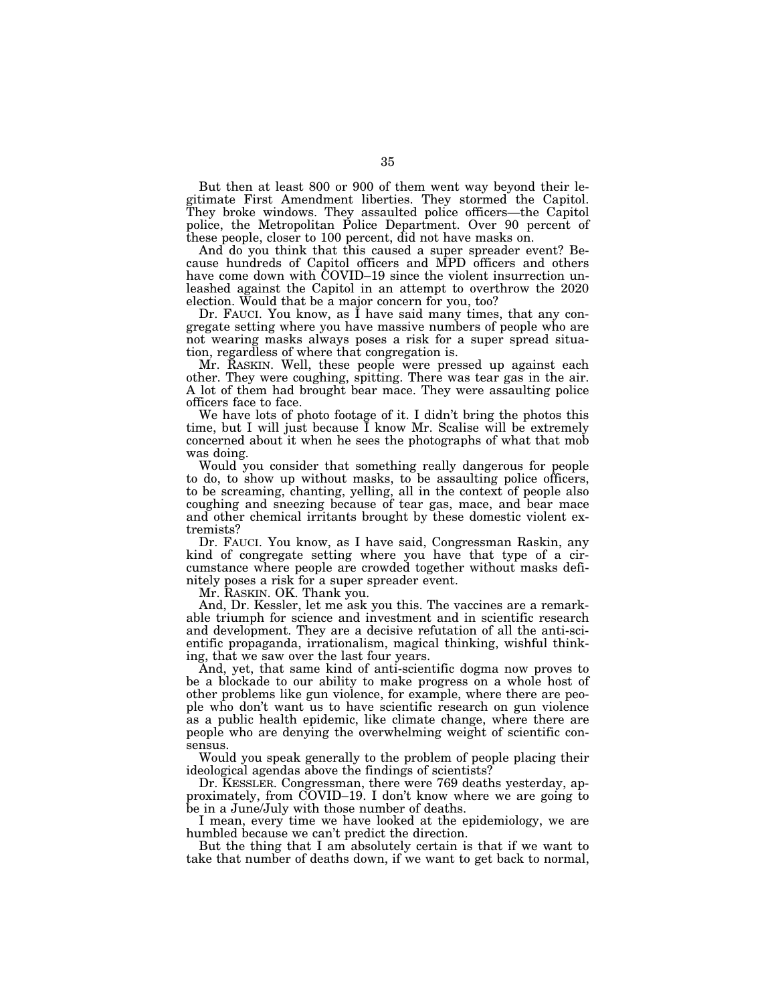But then at least 800 or 900 of them went way beyond their legitimate First Amendment liberties. They stormed the Capitol. They broke windows. They assaulted police officers—the Capitol police, the Metropolitan Police Department. Over 90 percent of these people, closer to 100 percent, did not have masks on.

And do you think that this caused a super spreader event? Because hundreds of Capitol officers and MPD officers and others have come down with COVID–19 since the violent insurrection unleashed against the Capitol in an attempt to overthrow the 2020 election. Would that be a major concern for you, too?

Dr. FAUCI. You know, as I have said many times, that any congregate setting where you have massive numbers of people who are not wearing masks always poses a risk for a super spread situation, regardless of where that congregation is.

Mr. RASKIN. Well, these people were pressed up against each other. They were coughing, spitting. There was tear gas in the air. A lot of them had brought bear mace. They were assaulting police officers face to face.

We have lots of photo footage of it. I didn't bring the photos this time, but I will just because I know Mr. Scalise will be extremely concerned about it when he sees the photographs of what that mob was doing.

Would you consider that something really dangerous for people to do, to show up without masks, to be assaulting police officers, to be screaming, chanting, yelling, all in the context of people also coughing and sneezing because of tear gas, mace, and bear mace and other chemical irritants brought by these domestic violent extremists?

Dr. FAUCI. You know, as I have said, Congressman Raskin, any kind of congregate setting where you have that type of a circumstance where people are crowded together without masks definitely poses a risk for a super spreader event.

Mr. RASKIN. OK. Thank you.

And, Dr. Kessler, let me ask you this. The vaccines are a remarkable triumph for science and investment and in scientific research and development. They are a decisive refutation of all the anti-scientific propaganda, irrationalism, magical thinking, wishful thinking, that we saw over the last four years.

And, yet, that same kind of anti-scientific dogma now proves to be a blockade to our ability to make progress on a whole host of other problems like gun violence, for example, where there are people who don't want us to have scientific research on gun violence as a public health epidemic, like climate change, where there are people who are denying the overwhelming weight of scientific consensus.

Would you speak generally to the problem of people placing their ideological agendas above the findings of scientists?

Dr. KESSLER. Congressman, there were 769 deaths yesterday, approximately, from COVID–19. I don't know where we are going to be in a June/July with those number of deaths.

I mean, every time we have looked at the epidemiology, we are humbled because we can't predict the direction.

But the thing that I am absolutely certain is that if we want to take that number of deaths down, if we want to get back to normal,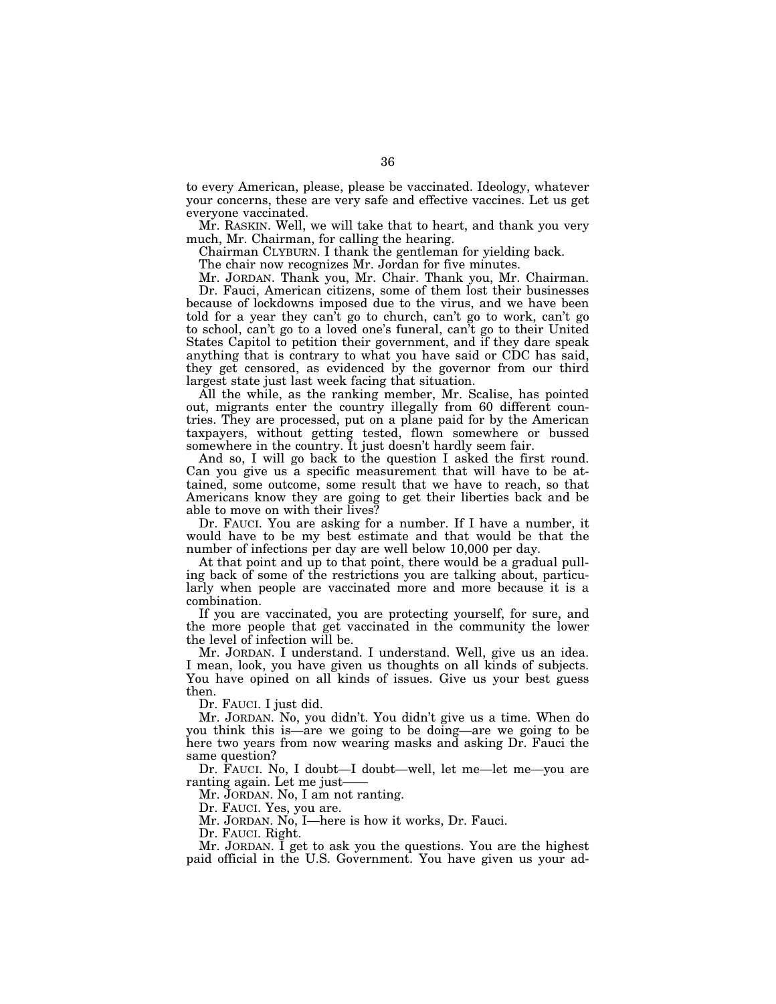to every American, please, please be vaccinated. Ideology, whatever your concerns, these are very safe and effective vaccines. Let us get everyone vaccinated.

Mr. RASKIN. Well, we will take that to heart, and thank you very much, Mr. Chairman, for calling the hearing.

Chairman CLYBURN. I thank the gentleman for yielding back.

The chair now recognizes Mr. Jordan for five minutes.

Mr. JORDAN. Thank you, Mr. Chair. Thank you, Mr. Chairman.

Dr. Fauci, American citizens, some of them lost their businesses because of lockdowns imposed due to the virus, and we have been told for a year they can't go to church, can't go to work, can't go to school, can't go to a loved one's funeral, can't go to their United States Capitol to petition their government, and if they dare speak anything that is contrary to what you have said or CDC has said, they get censored, as evidenced by the governor from our third largest state just last week facing that situation.

All the while, as the ranking member, Mr. Scalise, has pointed out, migrants enter the country illegally from 60 different countries. They are processed, put on a plane paid for by the American taxpayers, without getting tested, flown somewhere or bussed somewhere in the country. It just doesn't hardly seem fair.

And so, I will go back to the question I asked the first round. Can you give us a specific measurement that will have to be attained, some outcome, some result that we have to reach, so that Americans know they are going to get their liberties back and be able to move on with their lives?

Dr. FAUCI. You are asking for a number. If I have a number, it would have to be my best estimate and that would be that the number of infections per day are well below 10,000 per day.

At that point and up to that point, there would be a gradual pulling back of some of the restrictions you are talking about, particularly when people are vaccinated more and more because it is a combination.

If you are vaccinated, you are protecting yourself, for sure, and the more people that get vaccinated in the community the lower the level of infection will be.

Mr. JORDAN. I understand. I understand. Well, give us an idea. I mean, look, you have given us thoughts on all kinds of subjects. You have opined on all kinds of issues. Give us your best guess then.

Dr. FAUCI. I just did.

Mr. JORDAN. No, you didn't. You didn't give us a time. When do you think this is—are we going to be doing—are we going to be here two years from now wearing masks and asking Dr. Fauci the same question?

Dr. FAUCI. No, I doubt—I doubt—well, let me—let me—you are ranting again. Let me just—

Mr. JORDAN. No, I am not ranting.

Dr. FAUCI. Yes, you are.

Mr. JORDAN. No, I—here is how it works, Dr. Fauci.

Dr. FAUCI. Right.

Mr. JORDAN. I get to ask you the questions. You are the highest paid official in the U.S. Government. You have given us your ad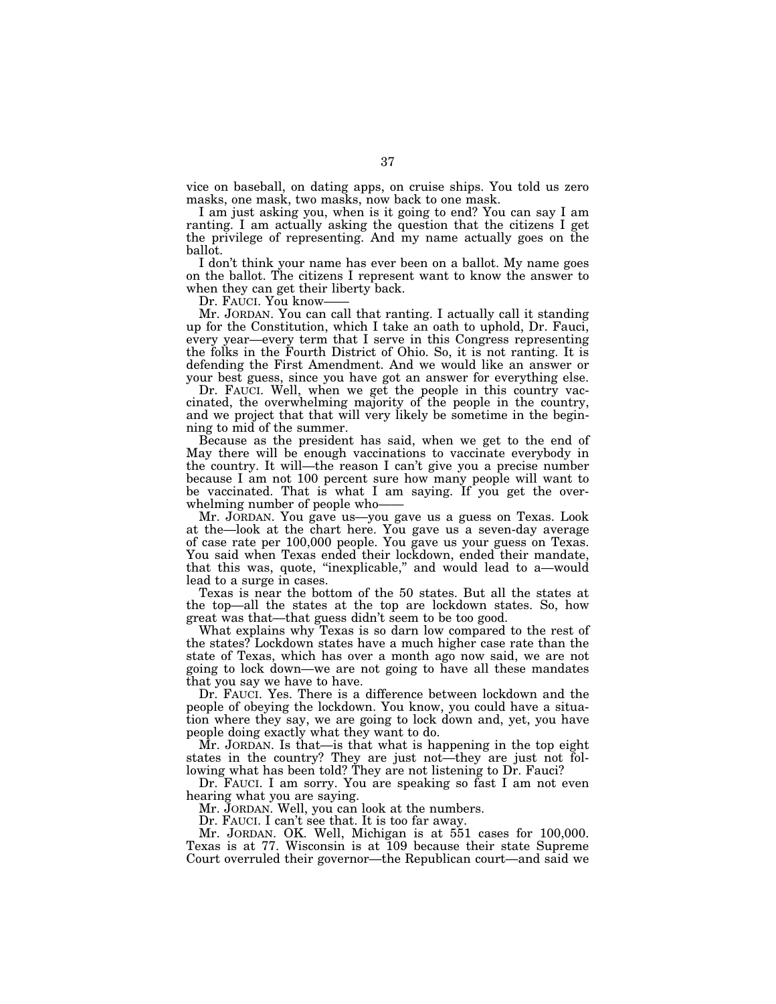vice on baseball, on dating apps, on cruise ships. You told us zero masks, one mask, two masks, now back to one mask.

I am just asking you, when is it going to end? You can say I am ranting. I am actually asking the question that the citizens I get the privilege of representing. And my name actually goes on the ballot.

I don't think your name has ever been on a ballot. My name goes on the ballot. The citizens I represent want to know the answer to when they can get their liberty back.

Dr. FAUCI. You know-

Mr. JORDAN. You can call that ranting. I actually call it standing up for the Constitution, which I take an oath to uphold, Dr. Fauci, every year—every term that I serve in this Congress representing the folks in the Fourth District of Ohio. So, it is not ranting. It is defending the First Amendment. And we would like an answer or your best guess, since you have got an answer for everything else.

Dr. FAUCI. Well, when we get the people in this country vaccinated, the overwhelming majority of the people in the country, and we project that that will very likely be sometime in the beginning to mid of the summer.

Because as the president has said, when we get to the end of May there will be enough vaccinations to vaccinate everybody in the country. It will—the reason I can't give you a precise number because I am not 100 percent sure how many people will want to be vaccinated. That is what I am saying. If you get the overwhelming number of people who-

Mr. JORDAN. You gave us—you gave us a guess on Texas. Look at the—look at the chart here. You gave us a seven-day average of case rate per 100,000 people. You gave us your guess on Texas. You said when Texas ended their lockdown, ended their mandate, that this was, quote, ''inexplicable,'' and would lead to a—would lead to a surge in cases.

Texas is near the bottom of the 50 states. But all the states at the top—all the states at the top are lockdown states. So, how great was that—that guess didn't seem to be too good.

What explains why Texas is so darn low compared to the rest of the states? Lockdown states have a much higher case rate than the state of Texas, which has over a month ago now said, we are not going to lock down—we are not going to have all these mandates that you say we have to have.

Dr. FAUCI. Yes. There is a difference between lockdown and the people of obeying the lockdown. You know, you could have a situation where they say, we are going to lock down and, yet, you have people doing exactly what they want to do.

Mr. JORDAN. Is that—is that what is happening in the top eight states in the country? They are just not—they are just not following what has been told? They are not listening to Dr. Fauci?

Dr. FAUCI. I am sorry. You are speaking so fast I am not even hearing what you are saying.

Mr. JORDAN. Well, you can look at the numbers.

Dr. FAUCI. I can't see that. It is too far away.

Mr. JORDAN. OK. Well, Michigan is at 551 cases for 100,000. Texas is at 77. Wisconsin is at 109 because their state Supreme Court overruled their governor—the Republican court—and said we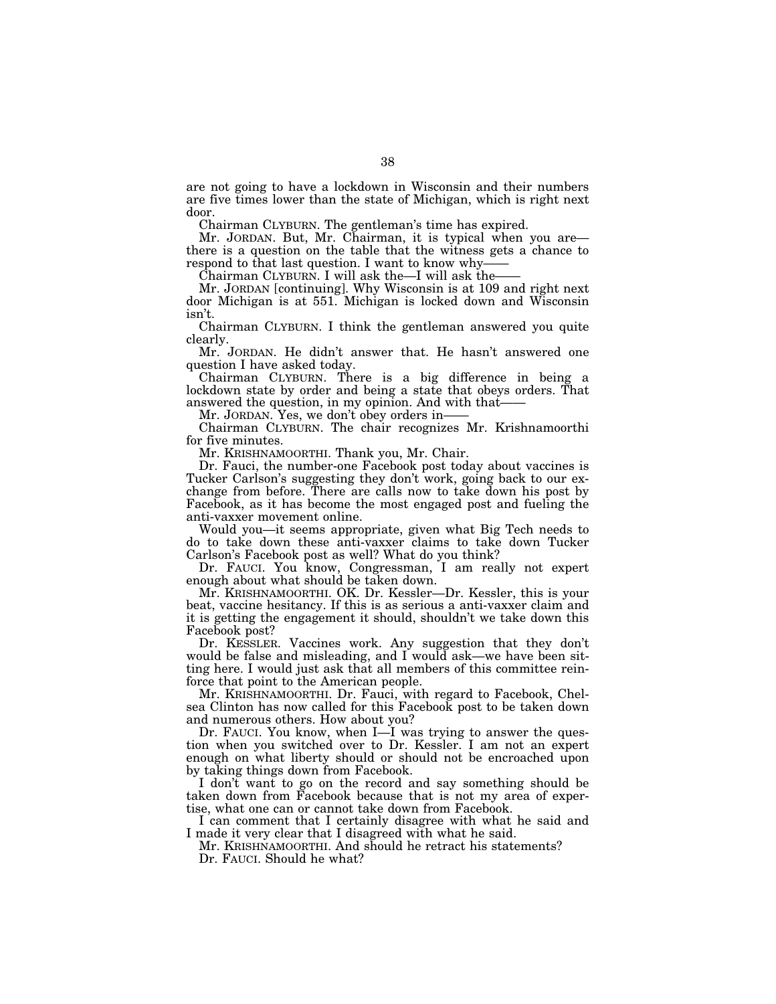are not going to have a lockdown in Wisconsin and their numbers are five times lower than the state of Michigan, which is right next door.

Chairman CLYBURN. The gentleman's time has expired.

Mr. JORDAN. But, Mr. Chairman, it is typical when you are there is a question on the table that the witness gets a chance to respond to that last question. I want to know why-

Chairman CLYBURN. I will ask the—I will ask the——

Mr. JORDAN [continuing]. Why Wisconsin is at 109 and right next door Michigan is at 551. Michigan is locked down and Wisconsin isn't.

Chairman CLYBURN. I think the gentleman answered you quite clearly.

Mr. JORDAN. He didn't answer that. He hasn't answered one question I have asked today.

Chairman CLYBURN. There is a big difference in being a lockdown state by order and being a state that obeys orders. That answered the question, in my opinion. And with that-

Mr. JORDAN. Yes, we don't obey orders in-

Chairman CLYBURN. The chair recognizes Mr. Krishnamoorthi for five minutes.

Mr. KRISHNAMOORTHI. Thank you, Mr. Chair.

Dr. Fauci, the number-one Facebook post today about vaccines is Tucker Carlson's suggesting they don't work, going back to our exchange from before. There are calls now to take down his post by Facebook, as it has become the most engaged post and fueling the anti-vaxxer movement online.

Would you—it seems appropriate, given what Big Tech needs to do to take down these anti-vaxxer claims to take down Tucker Carlson's Facebook post as well? What do you think?

Dr. FAUCI. You know, Congressman, I am really not expert enough about what should be taken down.

Mr. KRISHNAMOORTHI. OK. Dr. Kessler—Dr. Kessler, this is your beat, vaccine hesitancy. If this is as serious a anti-vaxxer claim and it is getting the engagement it should, shouldn't we take down this Facebook post?

Dr. KESSLER. Vaccines work. Any suggestion that they don't would be false and misleading, and I would ask—we have been sitting here. I would just ask that all members of this committee reinforce that point to the American people.

Mr. KRISHNAMOORTHI. Dr. Fauci, with regard to Facebook, Chelsea Clinton has now called for this Facebook post to be taken down and numerous others. How about you?

Dr. FAUCI. You know, when I—I was trying to answer the question when you switched over to Dr. Kessler. I am not an expert enough on what liberty should or should not be encroached upon by taking things down from Facebook.

I don't want to go on the record and say something should be taken down from Facebook because that is not my area of expertise, what one can or cannot take down from Facebook.

I can comment that I certainly disagree with what he said and I made it very clear that I disagreed with what he said.

Mr. KRISHNAMOORTHI. And should he retract his statements? Dr. FAUCI. Should he what?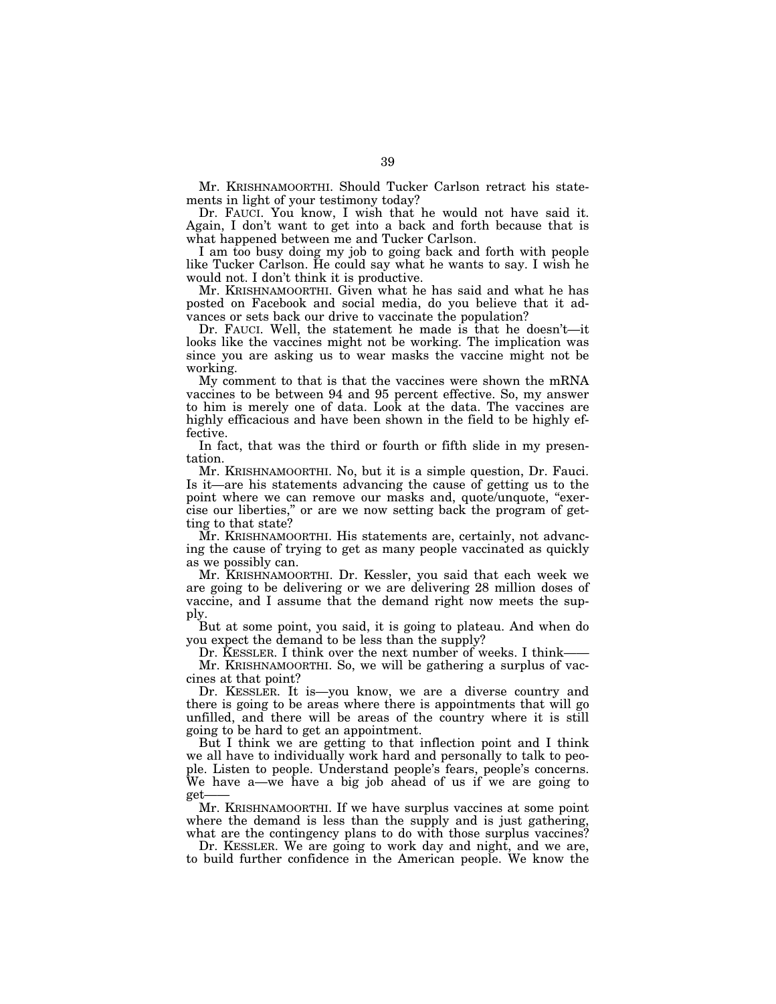Mr. KRISHNAMOORTHI. Should Tucker Carlson retract his statements in light of your testimony today?

Dr. FAUCI. You know, I wish that he would not have said it. Again, I don't want to get into a back and forth because that is what happened between me and Tucker Carlson.

I am too busy doing my job to going back and forth with people like Tucker Carlson. He could say what he wants to say. I wish he would not. I don't think it is productive.

Mr. KRISHNAMOORTHI. Given what he has said and what he has posted on Facebook and social media, do you believe that it advances or sets back our drive to vaccinate the population?

Dr. FAUCI. Well, the statement he made is that he doesn't—it looks like the vaccines might not be working. The implication was since you are asking us to wear masks the vaccine might not be working.

My comment to that is that the vaccines were shown the mRNA vaccines to be between 94 and 95 percent effective. So, my answer to him is merely one of data. Look at the data. The vaccines are highly efficacious and have been shown in the field to be highly effective.

In fact, that was the third or fourth or fifth slide in my presentation.

Mr. KRISHNAMOORTHI. No, but it is a simple question, Dr. Fauci. Is it—are his statements advancing the cause of getting us to the point where we can remove our masks and, quote/unquote, "exercise our liberties,'' or are we now setting back the program of getting to that state?

Mr. KRISHNAMOORTHI. His statements are, certainly, not advancing the cause of trying to get as many people vaccinated as quickly as we possibly can.

Mr. KRISHNAMOORTHI. Dr. Kessler, you said that each week we are going to be delivering or we are delivering 28 million doses of vaccine, and I assume that the demand right now meets the supply.

But at some point, you said, it is going to plateau. And when do you expect the demand to be less than the supply?

Dr. KESSLER. I think over the next number of weeks. I think— Mr. KRISHNAMOORTHI. So, we will be gathering a surplus of vac-

cines at that point? Dr. KESSLER. It is—you know, we are a diverse country and there is going to be areas where there is appointments that will go unfilled, and there will be areas of the country where it is still going to be hard to get an appointment.

But I think we are getting to that inflection point and I think we all have to individually work hard and personally to talk to people. Listen to people. Understand people's fears, people's concerns. We have a—we have a big job ahead of us if we are going to get

Mr. KRISHNAMOORTHI. If we have surplus vaccines at some point where the demand is less than the supply and is just gathering, what are the contingency plans to do with those surplus vaccines?

Dr. KESSLER. We are going to work day and night, and we are, to build further confidence in the American people. We know the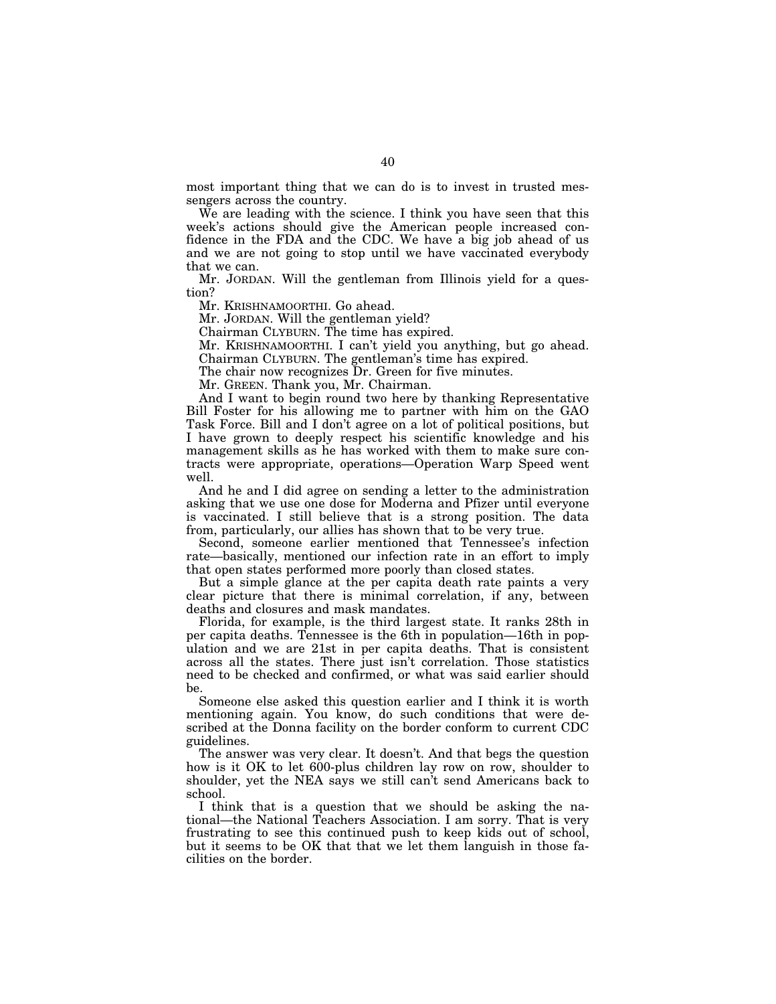most important thing that we can do is to invest in trusted messengers across the country.

We are leading with the science. I think you have seen that this week's actions should give the American people increased confidence in the FDA and the CDC. We have a big job ahead of us and we are not going to stop until we have vaccinated everybody that we can.

Mr. JORDAN. Will the gentleman from Illinois yield for a question?

Mr. KRISHNAMOORTHI. Go ahead.

Mr. JORDAN. Will the gentleman yield?

Chairman CLYBURN. The time has expired.

Mr. KRISHNAMOORTHI. I can't yield you anything, but go ahead. Chairman CLYBURN. The gentleman's time has expired.

The chair now recognizes Dr. Green for five minutes.

Mr. GREEN. Thank you, Mr. Chairman.

And I want to begin round two here by thanking Representative Bill Foster for his allowing me to partner with him on the GAO Task Force. Bill and I don't agree on a lot of political positions, but I have grown to deeply respect his scientific knowledge and his management skills as he has worked with them to make sure contracts were appropriate, operations—Operation Warp Speed went well.

And he and I did agree on sending a letter to the administration asking that we use one dose for Moderna and Pfizer until everyone is vaccinated. I still believe that is a strong position. The data from, particularly, our allies has shown that to be very true.

Second, someone earlier mentioned that Tennessee's infection rate—basically, mentioned our infection rate in an effort to imply that open states performed more poorly than closed states.

But a simple glance at the per capita death rate paints a very clear picture that there is minimal correlation, if any, between deaths and closures and mask mandates.

Florida, for example, is the third largest state. It ranks 28th in per capita deaths. Tennessee is the 6th in population—16th in population and we are 21st in per capita deaths. That is consistent across all the states. There just isn't correlation. Those statistics need to be checked and confirmed, or what was said earlier should be.

Someone else asked this question earlier and I think it is worth mentioning again. You know, do such conditions that were described at the Donna facility on the border conform to current CDC guidelines.

The answer was very clear. It doesn't. And that begs the question how is it OK to let 600-plus children lay row on row, shoulder to shoulder, yet the NEA says we still can't send Americans back to school.

I think that is a question that we should be asking the national—the National Teachers Association. I am sorry. That is very frustrating to see this continued push to keep kids out of school, but it seems to be OK that that we let them languish in those facilities on the border.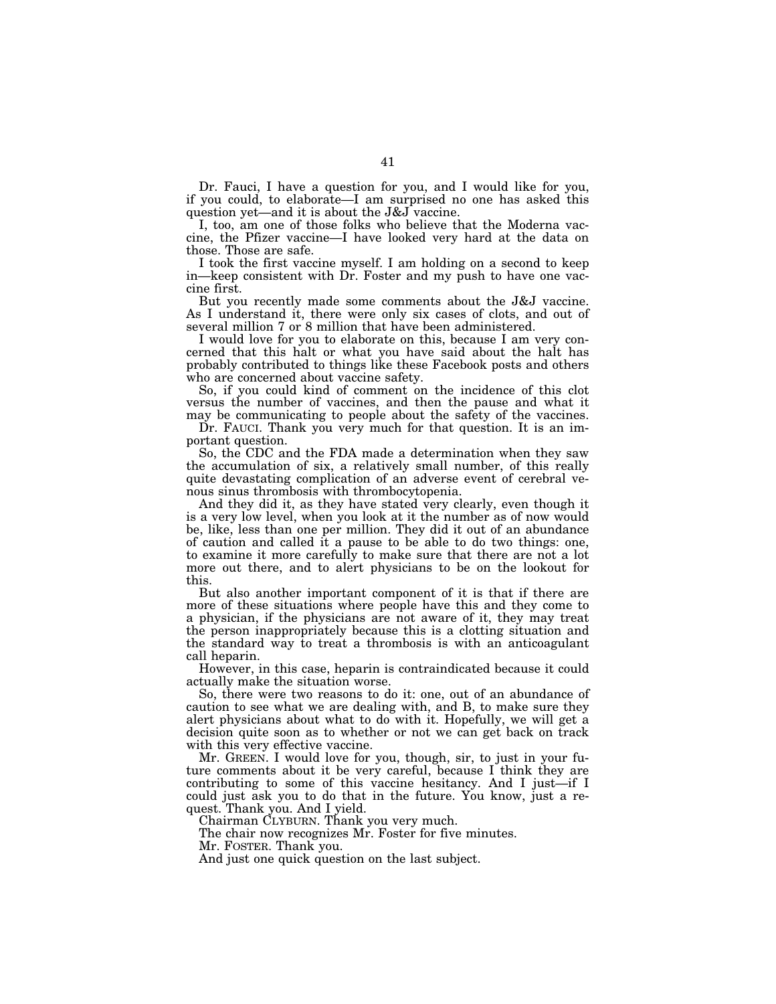Dr. Fauci, I have a question for you, and I would like for you, if you could, to elaborate—I am surprised no one has asked this question yet—and it is about the J&J vaccine.

I, too, am one of those folks who believe that the Moderna vaccine, the Pfizer vaccine—I have looked very hard at the data on those. Those are safe.

I took the first vaccine myself. I am holding on a second to keep in—keep consistent with Dr. Foster and my push to have one vaccine first.

But you recently made some comments about the J&J vaccine. As I understand it, there were only six cases of clots, and out of several million 7 or 8 million that have been administered.

I would love for you to elaborate on this, because I am very concerned that this halt or what you have said about the halt has probably contributed to things like these Facebook posts and others who are concerned about vaccine safety.

So, if you could kind of comment on the incidence of this clot versus the number of vaccines, and then the pause and what it may be communicating to people about the safety of the vaccines.

Dr. FAUCI. Thank you very much for that question. It is an important question.

So, the CDC and the FDA made a determination when they saw the accumulation of six, a relatively small number, of this really quite devastating complication of an adverse event of cerebral venous sinus thrombosis with thrombocytopenia.

And they did it, as they have stated very clearly, even though it is a very low level, when you look at it the number as of now would be, like, less than one per million. They did it out of an abundance of caution and called it a pause to be able to do two things: one, to examine it more carefully to make sure that there are not a lot more out there, and to alert physicians to be on the lookout for this.

But also another important component of it is that if there are more of these situations where people have this and they come to a physician, if the physicians are not aware of it, they may treat the person inappropriately because this is a clotting situation and the standard way to treat a thrombosis is with an anticoagulant call heparin.

However, in this case, heparin is contraindicated because it could actually make the situation worse.

So, there were two reasons to do it: one, out of an abundance of caution to see what we are dealing with, and B, to make sure they alert physicians about what to do with it. Hopefully, we will get a decision quite soon as to whether or not we can get back on track with this very effective vaccine.

Mr. GREEN. I would love for you, though, sir, to just in your future comments about it be very careful, because I think they are contributing to some of this vaccine hesitancy. And I just—if I could just ask you to do that in the future. You know, just a request. Thank you. And I yield.

Chairman CLYBURN. Thank you very much.

The chair now recognizes Mr. Foster for five minutes.

Mr. FOSTER. Thank you.

And just one quick question on the last subject.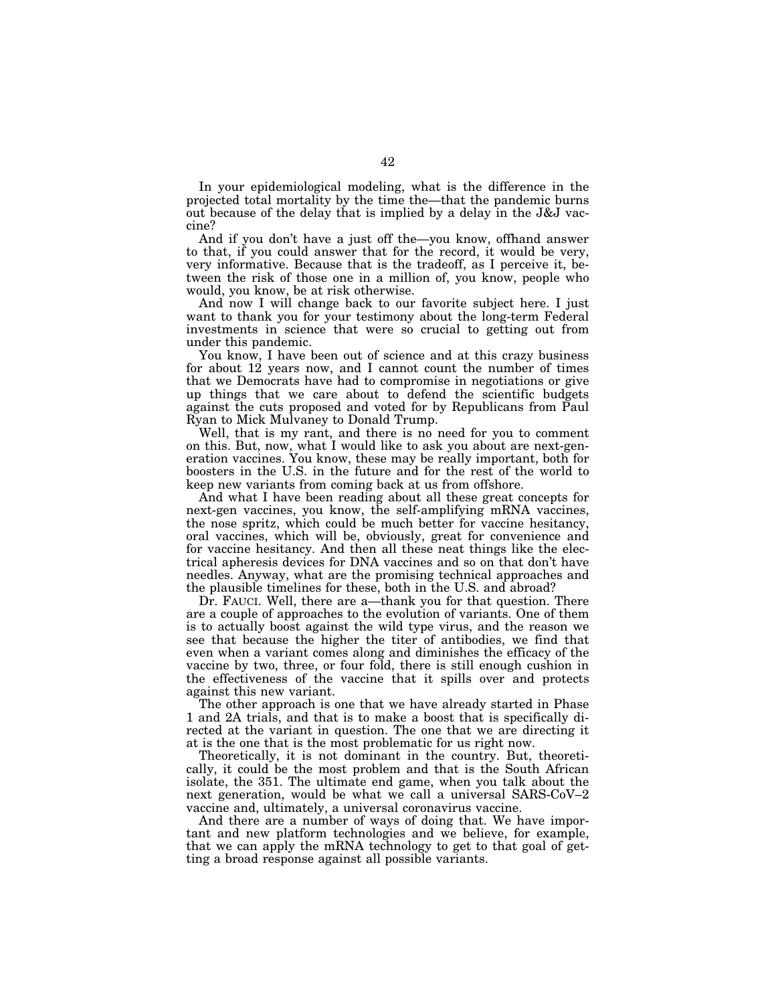In your epidemiological modeling, what is the difference in the projected total mortality by the time the—that the pandemic burns out because of the delay that is implied by a delay in the J&J vaccine?

And if you don't have a just off the—you know, offhand answer to that, if you could answer that for the record, it would be very, very informative. Because that is the tradeoff, as I perceive it, between the risk of those one in a million of, you know, people who would, you know, be at risk otherwise.

And now I will change back to our favorite subject here. I just want to thank you for your testimony about the long-term Federal investments in science that were so crucial to getting out from under this pandemic.

You know, I have been out of science and at this crazy business for about 12 years now, and I cannot count the number of times that we Democrats have had to compromise in negotiations or give up things that we care about to defend the scientific budgets against the cuts proposed and voted for by Republicans from Paul Ryan to Mick Mulvaney to Donald Trump.

Well, that is my rant, and there is no need for you to comment on this. But, now, what I would like to ask you about are next-generation vaccines. You know, these may be really important, both for boosters in the U.S. in the future and for the rest of the world to keep new variants from coming back at us from offshore.

And what I have been reading about all these great concepts for next-gen vaccines, you know, the self-amplifying mRNA vaccines, the nose spritz, which could be much better for vaccine hesitancy, oral vaccines, which will be, obviously, great for convenience and for vaccine hesitancy. And then all these neat things like the electrical apheresis devices for DNA vaccines and so on that don't have needles. Anyway, what are the promising technical approaches and the plausible timelines for these, both in the U.S. and abroad?

Dr. FAUCI. Well, there are a—thank you for that question. There are a couple of approaches to the evolution of variants. One of them is to actually boost against the wild type virus, and the reason we see that because the higher the titer of antibodies, we find that even when a variant comes along and diminishes the efficacy of the vaccine by two, three, or four fold, there is still enough cushion in the effectiveness of the vaccine that it spills over and protects against this new variant.

The other approach is one that we have already started in Phase 1 and 2A trials, and that is to make a boost that is specifically directed at the variant in question. The one that we are directing it at is the one that is the most problematic for us right now.

Theoretically, it is not dominant in the country. But, theoretically, it could be the most problem and that is the South African isolate, the 351. The ultimate end game, when you talk about the next generation, would be what we call a universal SARS-CoV–2 vaccine and, ultimately, a universal coronavirus vaccine.

And there are a number of ways of doing that. We have important and new platform technologies and we believe, for example, that we can apply the mRNA technology to get to that goal of getting a broad response against all possible variants.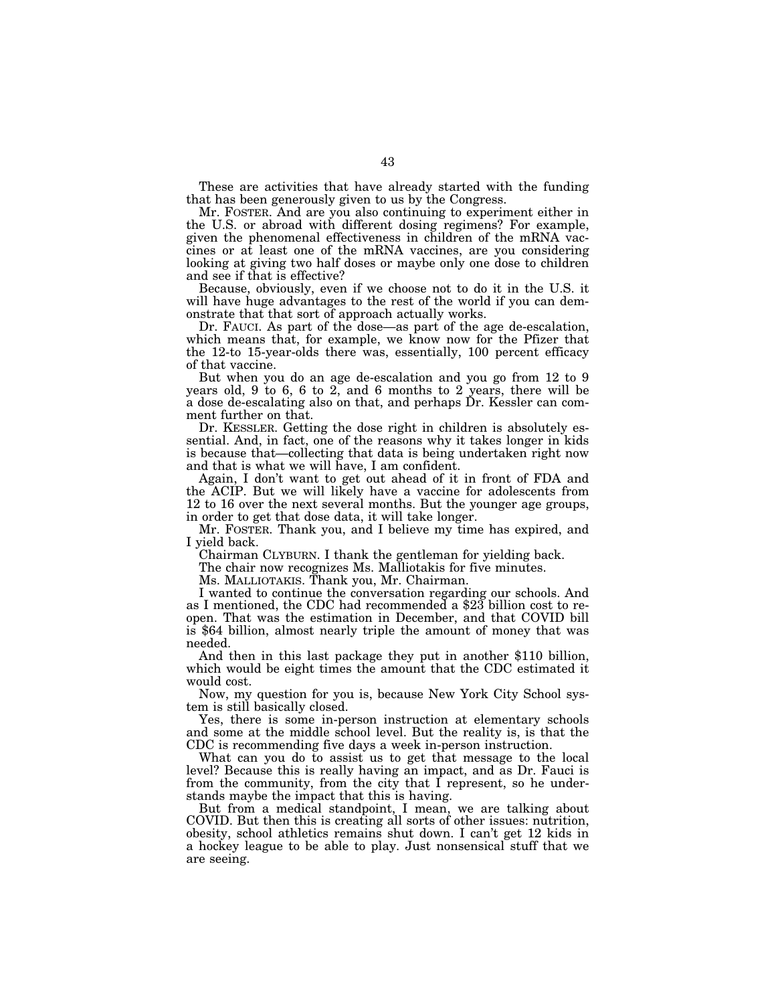These are activities that have already started with the funding that has been generously given to us by the Congress.

Mr. FOSTER. And are you also continuing to experiment either in the U.S. or abroad with different dosing regimens? For example, given the phenomenal effectiveness in children of the mRNA vaccines or at least one of the mRNA vaccines, are you considering looking at giving two half doses or maybe only one dose to children and see if that is effective?

Because, obviously, even if we choose not to do it in the U.S. it will have huge advantages to the rest of the world if you can demonstrate that that sort of approach actually works.

Dr. FAUCI. As part of the dose—as part of the age de-escalation, which means that, for example, we know now for the Pfizer that the 12-to 15-year-olds there was, essentially, 100 percent efficacy of that vaccine.

But when you do an age de-escalation and you go from 12 to 9 years old, 9 to 6, 6 to 2, and 6 months to 2 years, there will be a dose de-escalating also on that, and perhaps Dr. Kessler can comment further on that.

Dr. KESSLER. Getting the dose right in children is absolutely essential. And, in fact, one of the reasons why it takes longer in kids is because that—collecting that data is being undertaken right now and that is what we will have, I am confident.

Again, I don't want to get out ahead of it in front of FDA and the ACIP. But we will likely have a vaccine for adolescents from 12 to 16 over the next several months. But the younger age groups, in order to get that dose data, it will take longer.

Mr. FOSTER. Thank you, and I believe my time has expired, and I yield back.

Chairman CLYBURN. I thank the gentleman for yielding back.

The chair now recognizes Ms. Malliotakis for five minutes.

Ms. MALLIOTAKIS. Thank you, Mr. Chairman. as I mentioned, the CDC had recommended a  $$23$  billion cost to reopen. That was the estimation in December, and that COVID bill is \$64 billion, almost nearly triple the amount of money that was needed.

And then in this last package they put in another \$110 billion, which would be eight times the amount that the CDC estimated it would cost.

Now, my question for you is, because New York City School system is still basically closed.

Yes, there is some in-person instruction at elementary schools and some at the middle school level. But the reality is, is that the CDC is recommending five days a week in-person instruction.

What can you do to assist us to get that message to the local level? Because this is really having an impact, and as Dr. Fauci is from the community, from the city that I represent, so he understands maybe the impact that this is having.

But from a medical standpoint, I mean, we are talking about COVID. But then this is creating all sorts of other issues: nutrition, obesity, school athletics remains shut down. I can't get 12 kids in a hockey league to be able to play. Just nonsensical stuff that we are seeing.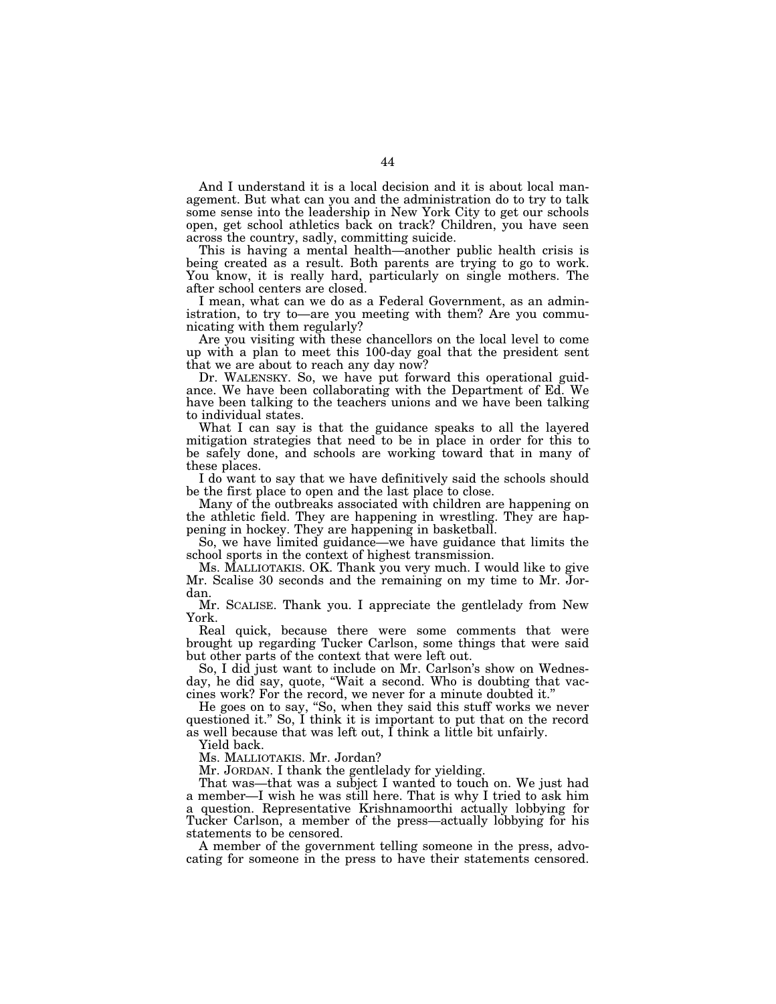And I understand it is a local decision and it is about local management. But what can you and the administration do to try to talk some sense into the leadership in New York City to get our schools open, get school athletics back on track? Children, you have seen across the country, sadly, committing suicide.

This is having a mental health—another public health crisis is being created as a result. Both parents are trying to go to work. You know, it is really hard, particularly on single mothers. The after school centers are closed.

I mean, what can we do as a Federal Government, as an administration, to try to—are you meeting with them? Are you communicating with them regularly?

Are you visiting with these chancellors on the local level to come up with a plan to meet this 100-day goal that the president sent that we are about to reach any day now?

Dr. WALENSKY. So, we have put forward this operational guidance. We have been collaborating with the Department of Ed. We have been talking to the teachers unions and we have been talking to individual states.

What I can say is that the guidance speaks to all the layered mitigation strategies that need to be in place in order for this to be safely done, and schools are working toward that in many of these places.

I do want to say that we have definitively said the schools should be the first place to open and the last place to close.

Many of the outbreaks associated with children are happening on the athletic field. They are happening in wrestling. They are happening in hockey. They are happening in basketball.

So, we have limited guidance—we have guidance that limits the school sports in the context of highest transmission.

Ms. MALLIOTAKIS. OK. Thank you very much. I would like to give Mr. Scalise 30 seconds and the remaining on my time to Mr. Jordan.

Mr. SCALISE. Thank you. I appreciate the gentlelady from New York.

Real quick, because there were some comments that were brought up regarding Tucker Carlson, some things that were said but other parts of the context that were left out.

So, I did just want to include on Mr. Carlson's show on Wednesday, he did say, quote, ''Wait a second. Who is doubting that vaccines work? For the record, we never for a minute doubted it.''

He goes on to say, ''So, when they said this stuff works we never questioned it.'' So, I think it is important to put that on the record as well because that was left out, I think a little bit unfairly.

Yield back.

Ms. MALLIOTAKIS. Mr. Jordan?

Mr. JORDAN. I thank the gentlelady for yielding.

That was—that was a subject I wanted to touch on. We just had a member—I wish he was still here. That is why I tried to ask him a question. Representative Krishnamoorthi actually lobbying for Tucker Carlson, a member of the press—actually lobbying for his statements to be censored.

A member of the government telling someone in the press, advocating for someone in the press to have their statements censored.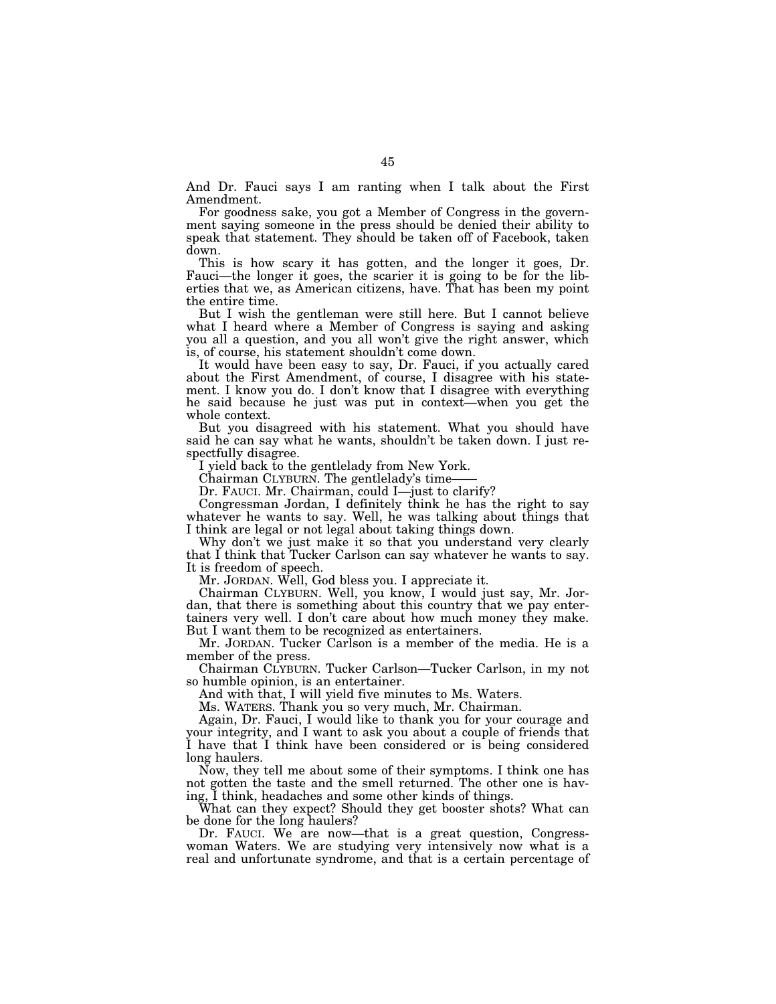And Dr. Fauci says I am ranting when I talk about the First Amendment.

For goodness sake, you got a Member of Congress in the government saying someone in the press should be denied their ability to speak that statement. They should be taken off of Facebook, taken down.

This is how scary it has gotten, and the longer it goes, Dr. Fauci—the longer it goes, the scarier it is going to be for the liberties that we, as American citizens, have. That has been my point the entire time.

But I wish the gentleman were still here. But I cannot believe what I heard where a Member of Congress is saying and asking you all a question, and you all won't give the right answer, which is, of course, his statement shouldn't come down.

It would have been easy to say, Dr. Fauci, if you actually cared about the First Amendment, of course, I disagree with his statement. I know you do. I don't know that I disagree with everything he said because he just was put in context—when you get the whole context.

But you disagreed with his statement. What you should have said he can say what he wants, shouldn't be taken down. I just respectfully disagree.

I yield back to the gentlelady from New York.

Chairman CLYBURN. The gentlelady's time-

Dr. FAUCI. Mr. Chairman, could I—just to clarify?

Congressman Jordan, I definitely think he has the right to say whatever he wants to say. Well, he was talking about things that I think are legal or not legal about taking things down.

Why don't we just make it so that you understand very clearly that I think that Tucker Carlson can say whatever he wants to say. It is freedom of speech.

Mr. JORDAN. Well, God bless you. I appreciate it.

Chairman CLYBURN. Well, you know, I would just say, Mr. Jordan, that there is something about this country that we pay entertainers very well. I don't care about how much money they make. But I want them to be recognized as entertainers.

Mr. JORDAN. Tucker Carlson is a member of the media. He is a member of the press.

Chairman CLYBURN. Tucker Carlson—Tucker Carlson, in my not so humble opinion, is an entertainer.

And with that, I will yield five minutes to Ms. Waters.

Ms. WATERS. Thank you so very much, Mr. Chairman.

Again, Dr. Fauci, I would like to thank you for your courage and your integrity, and I want to ask you about a couple of friends that I have that I think have been considered or is being considered long haulers.

Now, they tell me about some of their symptoms. I think one has not gotten the taste and the smell returned. The other one is having, I think, headaches and some other kinds of things.

What can they expect? Should they get booster shots? What can be done for the long haulers?

Dr. FAUCI. We are now—that is a great question, Congresswoman Waters. We are studying very intensively now what is a real and unfortunate syndrome, and that is a certain percentage of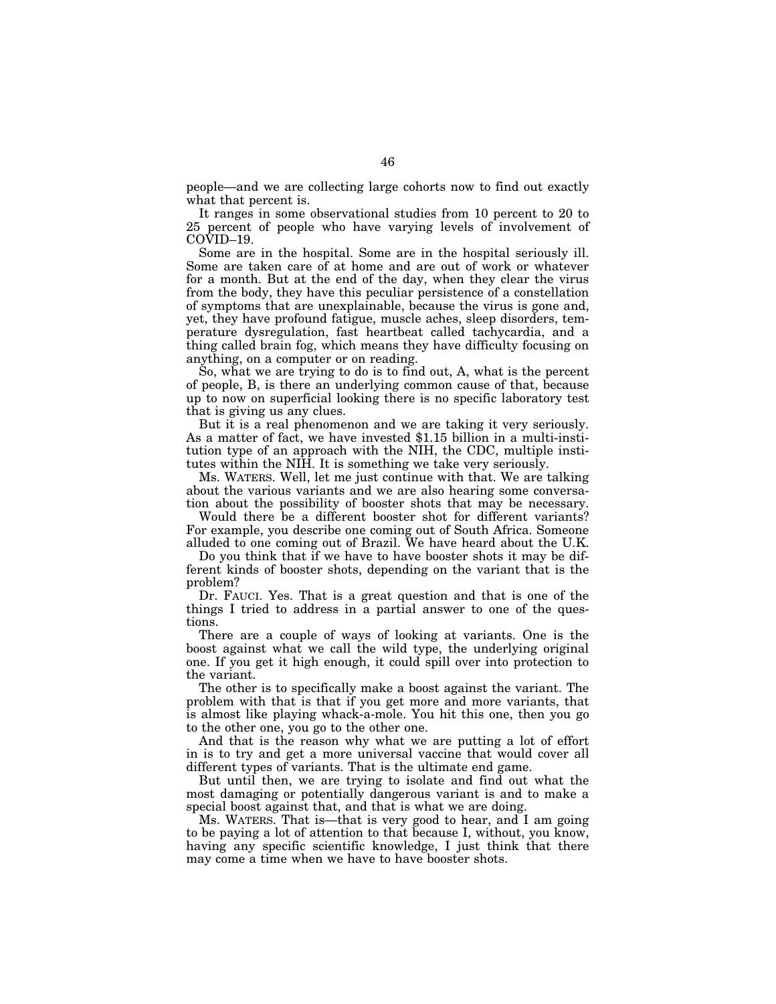people—and we are collecting large cohorts now to find out exactly what that percent is.

It ranges in some observational studies from 10 percent to 20 to 25 percent of people who have varying levels of involvement of COVID–19.

Some are in the hospital. Some are in the hospital seriously ill. Some are taken care of at home and are out of work or whatever for a month. But at the end of the day, when they clear the virus from the body, they have this peculiar persistence of a constellation of symptoms that are unexplainable, because the virus is gone and, yet, they have profound fatigue, muscle aches, sleep disorders, temperature dysregulation, fast heartbeat called tachycardia, and a thing called brain fog, which means they have difficulty focusing on anything, on a computer or on reading.

So, what we are trying to do is to find out, A, what is the percent of people, B, is there an underlying common cause of that, because up to now on superficial looking there is no specific laboratory test that is giving us any clues.

But it is a real phenomenon and we are taking it very seriously. As a matter of fact, we have invested \$1.15 billion in a multi-institution type of an approach with the NIH, the CDC, multiple institutes within the NIH. It is something we take very seriously.

Ms. WATERS. Well, let me just continue with that. We are talking about the various variants and we are also hearing some conversation about the possibility of booster shots that may be necessary.

Would there be a different booster shot for different variants? For example, you describe one coming out of South Africa. Someone alluded to one coming out of Brazil. We have heard about the U.K.

Do you think that if we have to have booster shots it may be different kinds of booster shots, depending on the variant that is the problem?

Dr. FAUCI. Yes. That is a great question and that is one of the things I tried to address in a partial answer to one of the questions.

There are a couple of ways of looking at variants. One is the boost against what we call the wild type, the underlying original one. If you get it high enough, it could spill over into protection to the variant.

The other is to specifically make a boost against the variant. The problem with that is that if you get more and more variants, that is almost like playing whack-a-mole. You hit this one, then you go to the other one, you go to the other one.

And that is the reason why what we are putting a lot of effort in is to try and get a more universal vaccine that would cover all different types of variants. That is the ultimate end game.

But until then, we are trying to isolate and find out what the most damaging or potentially dangerous variant is and to make a special boost against that, and that is what we are doing.

Ms. WATERS. That is—that is very good to hear, and I am going to be paying a lot of attention to that because I, without, you know, having any specific scientific knowledge, I just think that there may come a time when we have to have booster shots.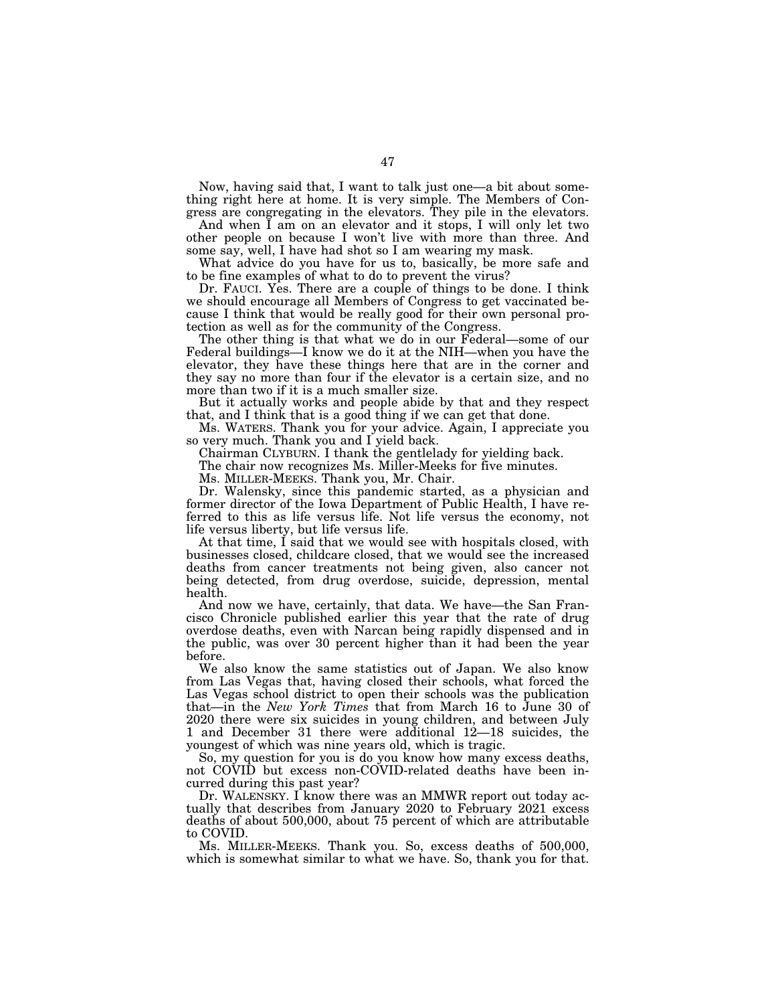Now, having said that, I want to talk just one—a bit about something right here at home. It is very simple. The Members of Congress are congregating in the elevators. They pile in the elevators.

And when I am on an elevator and it stops, I will only let two other people on because I won't live with more than three. And some say, well, I have had shot so I am wearing my mask.

What advice do you have for us to, basically, be more safe and to be fine examples of what to do to prevent the virus?

Dr. FAUCI. Yes. There are a couple of things to be done. I think we should encourage all Members of Congress to get vaccinated because I think that would be really good for their own personal protection as well as for the community of the Congress.

The other thing is that what we do in our Federal—some of our Federal buildings—I know we do it at the NIH—when you have the elevator, they have these things here that are in the corner and they say no more than four if the elevator is a certain size, and no more than two if it is a much smaller size.

But it actually works and people abide by that and they respect that, and I think that is a good thing if we can get that done.

Ms. WATERS. Thank you for your advice. Again, I appreciate you so very much. Thank you and I yield back.

Chairman CLYBURN. I thank the gentlelady for yielding back.

The chair now recognizes Ms. Miller-Meeks for five minutes.

Ms. MILLER-MEEKS. Thank you, Mr. Chair.

Dr. Walensky, since this pandemic started, as a physician and former director of the Iowa Department of Public Health, I have referred to this as life versus life. Not life versus the economy, not life versus liberty, but life versus life.

At that time, I said that we would see with hospitals closed, with businesses closed, childcare closed, that we would see the increased deaths from cancer treatments not being given, also cancer not being detected, from drug overdose, suicide, depression, mental health.

And now we have, certainly, that data. We have—the San Francisco Chronicle published earlier this year that the rate of drug overdose deaths, even with Narcan being rapidly dispensed and in the public, was over 30 percent higher than it had been the year before.

We also know the same statistics out of Japan. We also know from Las Vegas that, having closed their schools, what forced the Las Vegas school district to open their schools was the publication that—in the *New York Times* that from March 16 to June 30 of 2020 there were six suicides in young children, and between July 1 and December 31 there were additional 12—18 suicides, the youngest of which was nine years old, which is tragic.

So, my question for you is do you know how many excess deaths, not COVID but excess non-COVID-related deaths have been incurred during this past year?

Dr. WALENSKY. I know there was an MMWR report out today actually that describes from January 2020 to February 2021 excess deaths of about 500,000, about 75 percent of which are attributable to COVID.

Ms. MILLER-MEEKS. Thank you. So, excess deaths of 500,000, which is somewhat similar to what we have. So, thank you for that.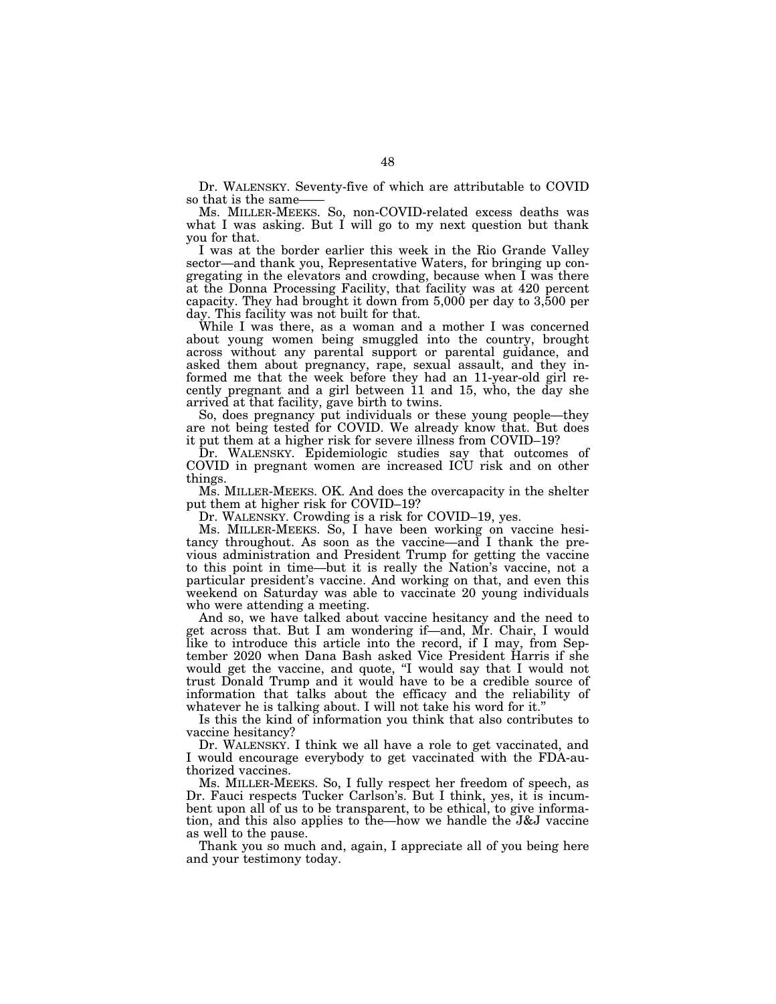Dr. WALENSKY. Seventy-five of which are attributable to COVID so that is the same-

Ms. MILLER-MEEKS. So, non-COVID-related excess deaths was what I was asking. But I will go to my next question but thank you for that.

I was at the border earlier this week in the Rio Grande Valley sector—and thank you, Representative Waters, for bringing up congregating in the elevators and crowding, because when I was there at the Donna Processing Facility, that facility was at 420 percent capacity. They had brought it down from 5,000 per day to 3,500 per day. This facility was not built for that.

While I was there, as a woman and a mother I was concerned about young women being smuggled into the country, brought across without any parental support or parental guidance, and asked them about pregnancy, rape, sexual assault, and they informed me that the week before they had an 11-year-old girl recently pregnant and a girl between 11 and 15, who, the day she arrived at that facility, gave birth to twins.

So, does pregnancy put individuals or these young people—they are not being tested for COVID. We already know that. But does it put them at a higher risk for severe illness from COVID–19?

Dr. WALENSKY. Epidemiologic studies say that outcomes of COVID in pregnant women are increased ICU risk and on other things.

Ms. MILLER-MEEKS. OK. And does the overcapacity in the shelter put them at higher risk for COVID–19?

Dr. WALENSKY. Crowding is a risk for COVID–19, yes.

Ms. MILLER-MEEKS. So, I have been working on vaccine hesitancy throughout. As soon as the vaccine—and I thank the previous administration and President Trump for getting the vaccine to this point in time—but it is really the Nation's vaccine, not a particular president's vaccine. And working on that, and even this weekend on Saturday was able to vaccinate 20 young individuals who were attending a meeting.

And so, we have talked about vaccine hesitancy and the need to get across that. But I am wondering if—and, Mr. Chair, I would like to introduce this article into the record, if I may, from September 2020 when Dana Bash asked Vice President Harris if she would get the vaccine, and quote, "I would say that I would not trust Donald Trump and it would have to be a credible source of information that talks about the efficacy and the reliability of whatever he is talking about. I will not take his word for it."

Is this the kind of information you think that also contributes to vaccine hesitancy?

Dr. WALENSKY. I think we all have a role to get vaccinated, and I would encourage everybody to get vaccinated with the FDA-authorized vaccines.

Ms. MILLER-MEEKS. So, I fully respect her freedom of speech, as Dr. Fauci respects Tucker Carlson's. But I think, yes, it is incumbent upon all of us to be transparent, to be ethical, to give information, and this also applies to the—how we handle the J&J vaccine as well to the pause.

Thank you so much and, again, I appreciate all of you being here and your testimony today.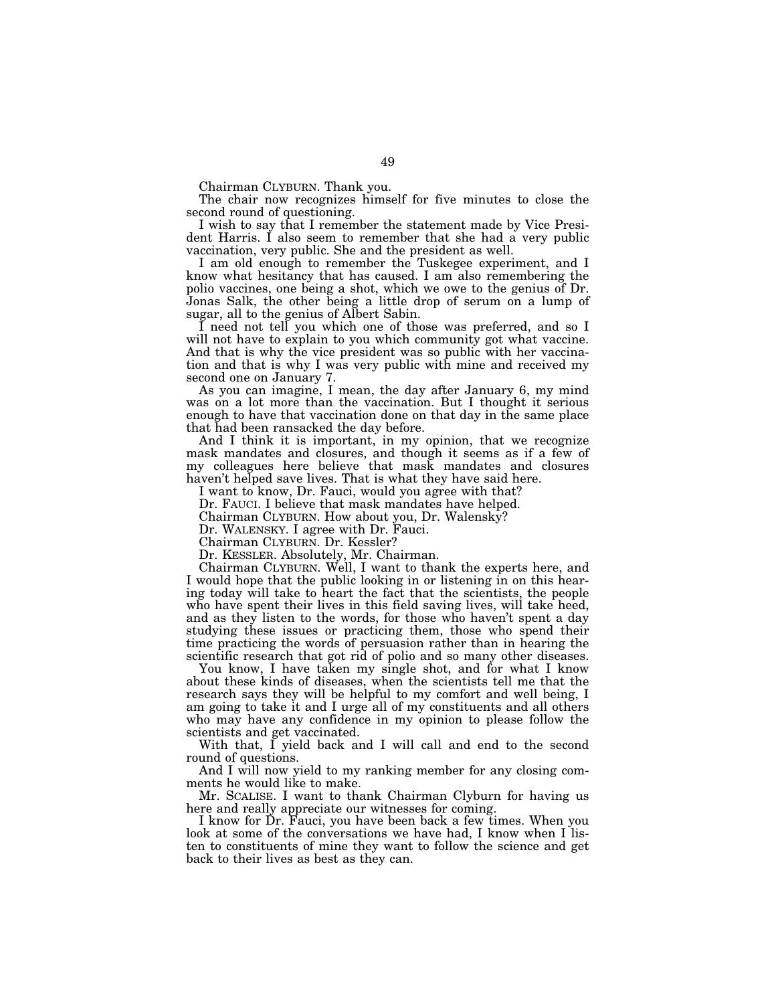Chairman CLYBURN. Thank you.

The chair now recognizes himself for five minutes to close the second round of questioning.

I wish to say that I remember the statement made by Vice President Harris. I also seem to remember that she had a very public vaccination, very public. She and the president as well.

I am old enough to remember the Tuskegee experiment, and I know what hesitancy that has caused. I am also remembering the polio vaccines, one being a shot, which we owe to the genius of Dr. Jonas Salk, the other being a little drop of serum on a lump of sugar, all to the genius of Albert Sabin.

I need not tell you which one of those was preferred, and so I will not have to explain to you which community got what vaccine. And that is why the vice president was so public with her vaccination and that is why I was very public with mine and received my second one on January 7.

As you can imagine, I mean, the day after January 6, my mind was on a lot more than the vaccination. But I thought it serious enough to have that vaccination done on that day in the same place that had been ransacked the day before.

And I think it is important, in my opinion, that we recognize mask mandates and closures, and though it seems as if a few of my colleagues here believe that mask mandates and closures haven't helped save lives. That is what they have said here.

I want to know, Dr. Fauci, would you agree with that?

Dr. FAUCI. I believe that mask mandates have helped.

Chairman CLYBURN. How about you, Dr. Walensky?

Dr. WALENSKY. I agree with Dr. Fauci.

Chairman CLYBURN. Dr. Kessler?

Dr. KESSLER. Absolutely, Mr. Chairman.

Chairman CLYBURN. Well, I want to thank the experts here, and I would hope that the public looking in or listening in on this hearing today will take to heart the fact that the scientists, the people who have spent their lives in this field saving lives, will take heed, and as they listen to the words, for those who haven't spent a day studying these issues or practicing them, those who spend their time practicing the words of persuasion rather than in hearing the scientific research that got rid of polio and so many other diseases.

You know, I have taken my single shot, and for what I know about these kinds of diseases, when the scientists tell me that the research says they will be helpful to my comfort and well being, I am going to take it and I urge all of my constituents and all others who may have any confidence in my opinion to please follow the scientists and get vaccinated.

With that, I yield back and I will call and end to the second round of questions.

And I will now yield to my ranking member for any closing comments he would like to make.

Mr. SCALISE. I want to thank Chairman Clyburn for having us here and really appreciate our witnesses for coming.

I know for Dr. Fauci, you have been back a few times. When you look at some of the conversations we have had, I know when I listen to constituents of mine they want to follow the science and get back to their lives as best as they can.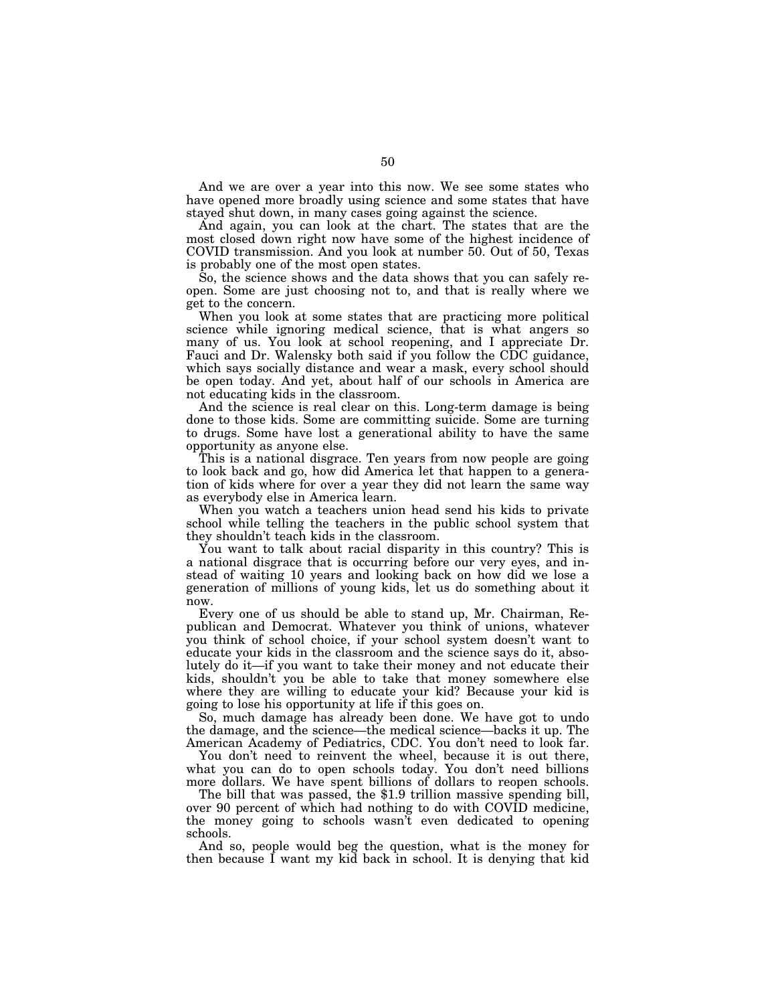And we are over a year into this now. We see some states who have opened more broadly using science and some states that have stayed shut down, in many cases going against the science.

And again, you can look at the chart. The states that are the most closed down right now have some of the highest incidence of COVID transmission. And you look at number 50. Out of 50, Texas is probably one of the most open states.

So, the science shows and the data shows that you can safely reopen. Some are just choosing not to, and that is really where we get to the concern.

When you look at some states that are practicing more political science while ignoring medical science, that is what angers so many of us. You look at school reopening, and I appreciate Dr. Fauci and Dr. Walensky both said if you follow the CDC guidance, which says socially distance and wear a mask, every school should be open today. And yet, about half of our schools in America are not educating kids in the classroom.

And the science is real clear on this. Long-term damage is being done to those kids. Some are committing suicide. Some are turning to drugs. Some have lost a generational ability to have the same opportunity as anyone else.

This is a national disgrace. Ten years from now people are going to look back and go, how did America let that happen to a generation of kids where for over a year they did not learn the same way as everybody else in America learn.

When you watch a teachers union head send his kids to private school while telling the teachers in the public school system that they shouldn't teach kids in the classroom.

You want to talk about racial disparity in this country? This is a national disgrace that is occurring before our very eyes, and instead of waiting 10 years and looking back on how did we lose a generation of millions of young kids, let us do something about it now.

Every one of us should be able to stand up, Mr. Chairman, Republican and Democrat. Whatever you think of unions, whatever you think of school choice, if your school system doesn't want to educate your kids in the classroom and the science says do it, absolutely do it—if you want to take their money and not educate their kids, shouldn't you be able to take that money somewhere else where they are willing to educate your kid? Because your kid is going to lose his opportunity at life if this goes on.

So, much damage has already been done. We have got to undo the damage, and the science—the medical science—backs it up. The American Academy of Pediatrics, CDC. You don't need to look far.

You don't need to reinvent the wheel, because it is out there, what you can do to open schools today. You don't need billions more dollars. We have spent billions of dollars to reopen schools.

The bill that was passed, the \$1.9 trillion massive spending bill, over 90 percent of which had nothing to do with COVID medicine, the money going to schools wasn't even dedicated to opening schools.

And so, people would beg the question, what is the money for then because I want my kid back in school. It is denying that kid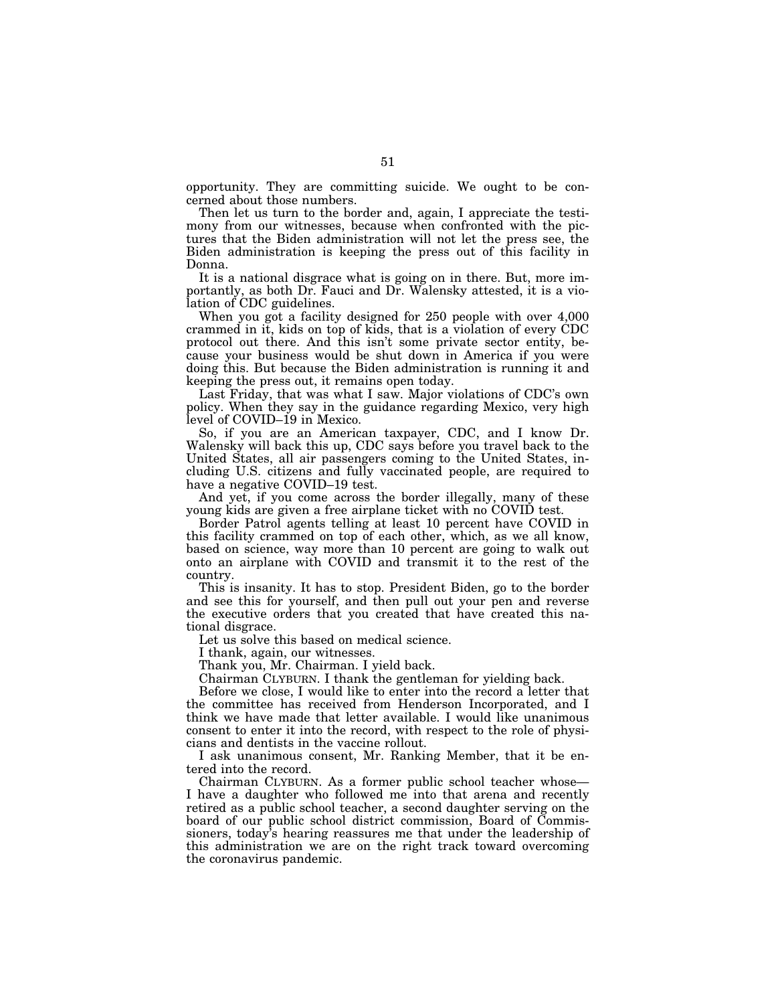opportunity. They are committing suicide. We ought to be concerned about those numbers.

Then let us turn to the border and, again, I appreciate the testimony from our witnesses, because when confronted with the pictures that the Biden administration will not let the press see, the Biden administration is keeping the press out of this facility in Donna.

It is a national disgrace what is going on in there. But, more importantly, as both Dr. Fauci and Dr. Walensky attested, it is a violation of CDC guidelines.

When you got a facility designed for 250 people with over 4,000 crammed in it, kids on top of kids, that is a violation of every CDC protocol out there. And this isn't some private sector entity, because your business would be shut down in America if you were doing this. But because the Biden administration is running it and keeping the press out, it remains open today.

Last Friday, that was what I saw. Major violations of CDC's own policy. When they say in the guidance regarding Mexico, very high level of COVID–19 in Mexico.

So, if you are an American taxpayer, CDC, and I know Dr. Walensky will back this up, CDC says before you travel back to the United States, all air passengers coming to the United States, including U.S. citizens and fully vaccinated people, are required to have a negative COVID–19 test.

And yet, if you come across the border illegally, many of these young kids are given a free airplane ticket with no COVID test.

Border Patrol agents telling at least 10 percent have COVID in this facility crammed on top of each other, which, as we all know, based on science, way more than 10 percent are going to walk out onto an airplane with COVID and transmit it to the rest of the country.

This is insanity. It has to stop. President Biden, go to the border and see this for yourself, and then pull out your pen and reverse the executive orders that you created that have created this national disgrace.

Let us solve this based on medical science.

I thank, again, our witnesses.

Thank you, Mr. Chairman. I yield back.

Chairman CLYBURN. I thank the gentleman for yielding back.

Before we close, I would like to enter into the record a letter that the committee has received from Henderson Incorporated, and I think we have made that letter available. I would like unanimous consent to enter it into the record, with respect to the role of physicians and dentists in the vaccine rollout.

I ask unanimous consent, Mr. Ranking Member, that it be entered into the record.

Chairman CLYBURN. As a former public school teacher whose— I have a daughter who followed me into that arena and recently retired as a public school teacher, a second daughter serving on the board of our public school district commission, Board of Commissioners, today's hearing reassures me that under the leadership of this administration we are on the right track toward overcoming the coronavirus pandemic.